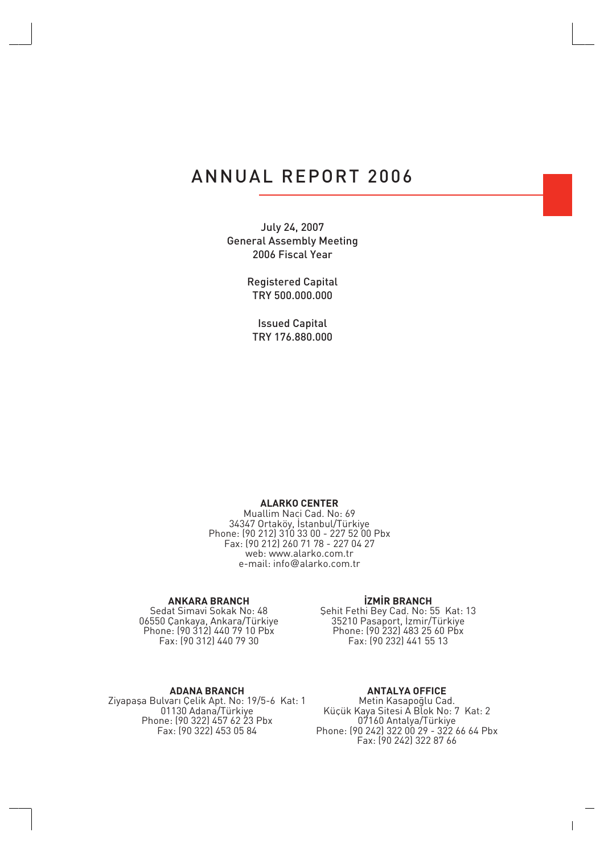### ANNUAL REPORT 2006

July 24, 2007 General Assembly Meeting 2006 Fiscal Year

> Registered Capital TRY 500.000.000

Issued Capital TRY 176.880.000

### **ALARKO CENTER**

Muallim Naci Cad. No: 69 34347 Ortaköy, Istanbul/Türkiye Phone: (90 212) 310 33 00 - 227 52 00 Pbx Fax: (90 212) 260 71 78 - 227 04 27 web: www.alarko.com.tr e-mail: info@alarko.com.tr

### **ANKARA BRANCH**

Sedat Simavi Sokak No: 48 06550 Çankaya, Ankara/Türkiye Phone: (90 312) 440 79 10 Pbx Fax: (90 312) 440 79 30

### *<u>IZMIR BRANCH</u>*

fiehit Fethi Bey Cad. No: 55 Kat: 13 35210 Pasaport, Izmir/Türkiye Phone: (90 232) 483 25 60 Pbx Fax: (90 232) 441 55 13

#### **ADANA BRANCH**

Ziyapaşa Bulvarı Çelik Apt. No: 19/5-6 Kat: 1 01130 Adana/Türkiye Phone: (90 322) 457 62 23 Pbx Fax: (90 322) 453 05 84

### **ANTALYA OFFICE**

Metin Kasapoğlu Cad. Küçük Kaya Sitesi A Blok No: 7 Kat: 2 07160 Antalya/Türkiye Phone: (90 242) 322 00 29 - 322 66 64 Pbx Fax: (90 242) 322 87 66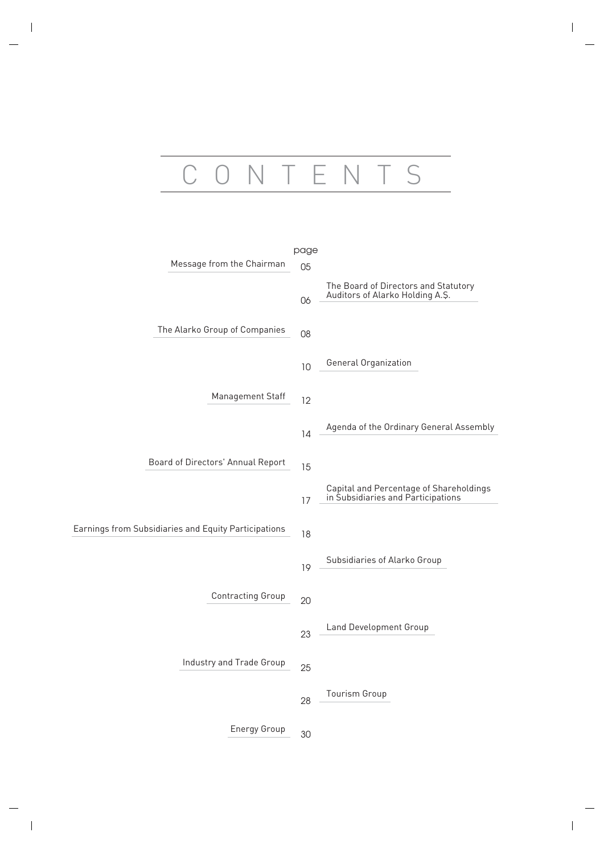# CONTENTS

|                                                      | page |                                                                               |
|------------------------------------------------------|------|-------------------------------------------------------------------------------|
| Message from the Chairman                            | 05   |                                                                               |
|                                                      | 06   | The Board of Directors and Statutory<br>Auditors of Alarko Holding A.S.       |
| The Alarko Group of Companies                        | 08   |                                                                               |
|                                                      | 10   | General Organization                                                          |
| Management Staff                                     | 12   |                                                                               |
|                                                      | 14   | Agenda of the Ordinary General Assembly                                       |
| Board of Directors' Annual Report                    | 15   |                                                                               |
|                                                      | 17   | Capital and Percentage of Shareholdings<br>in Subsidiaries and Participations |
| Earnings from Subsidiaries and Equity Participations | 18   |                                                                               |
|                                                      | 19   | Subsidiaries of Alarko Group                                                  |
| <b>Contracting Group</b>                             | 20   |                                                                               |
|                                                      | 23   | Land Development Group                                                        |
| Industry and Trade Group                             | 25   |                                                                               |
|                                                      | 28   | Tourism Group                                                                 |
| <b>Energy Group</b>                                  | 30   |                                                                               |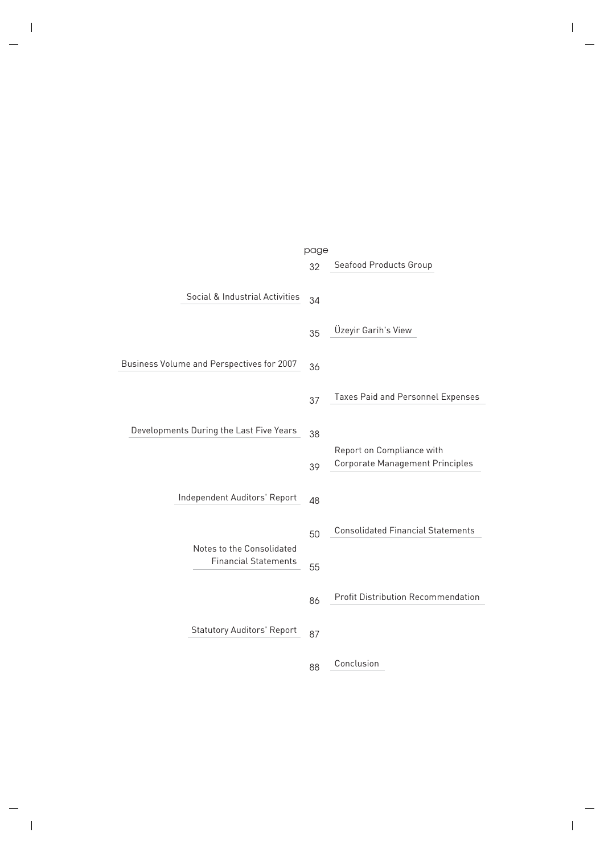|                                           | page |                                                                     |
|-------------------------------------------|------|---------------------------------------------------------------------|
|                                           | 32   | Seafood Products Group                                              |
| Social & Industrial Activities            | 34   |                                                                     |
|                                           | 35   | Üzeyir Garih's View                                                 |
| Business Volume and Perspectives for 2007 | 36   |                                                                     |
|                                           | 37   | Taxes Paid and Personnel Expenses                                   |
| Developments During the Last Five Years   | 38   |                                                                     |
|                                           | 39   | Report on Compliance with<br><b>Corporate Management Principles</b> |
| Independent Auditors' Report              | 48   |                                                                     |
| Notes to the Consolidated                 | 50   | <b>Consolidated Financial Statements</b>                            |
| <b>Financial Statements</b>               |      |                                                                     |
|                                           | 86   | <b>Profit Distribution Recommendation</b>                           |
| <b>Statutory Auditors' Report</b>         | 87   |                                                                     |
|                                           | 00   | Conclusion                                                          |

88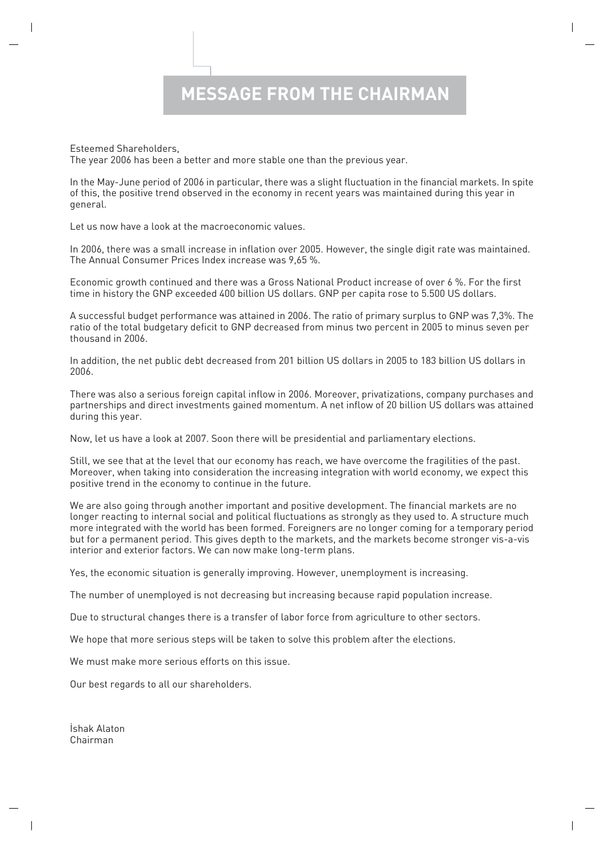Esteemed Shareholders,

The year 2006 has been a better and more stable one than the previous year.

In the May-June period of 2006 in particular, there was a slight fluctuation in the financial markets. In spite of this, the positive trend observed in the economy in recent years was maintained during this year in general.

Let us now have a look at the macroeconomic values.

In 2006, there was a small increase in inflation over 2005. However, the single digit rate was maintained. The Annual Consumer Prices Index increase was 9,65 %.

Economic growth continued and there was a Gross National Product increase of over 6 %. For the first time in history the GNP exceeded 400 billion US dollars. GNP per capita rose to 5.500 US dollars.

A successful budget performance was attained in 2006. The ratio of primary surplus to GNP was 7,3%. The ratio of the total budgetary deficit to GNP decreased from minus two percent in 2005 to minus seven per thousand in 2006.

In addition, the net public debt decreased from 201 billion US dollars in 2005 to 183 billion US dollars in 2006.

There was also a serious foreign capital inflow in 2006. Moreover, privatizations, company purchases and partnerships and direct investments gained momentum. A net inflow of 20 billion US dollars was attained during this year.

Now, let us have a look at 2007. Soon there will be presidential and parliamentary elections.

Still, we see that at the level that our economy has reach, we have overcome the fragilities of the past. Moreover, when taking into consideration the increasing integration with world economy, we expect this positive trend in the economy to continue in the future.

We are also going through another important and positive development. The financial markets are no longer reacting to internal social and political fluctuations as strongly as they used to. A structure much more integrated with the world has been formed. Foreigners are no longer coming for a temporary period but for a permanent period. This gives depth to the markets, and the markets become stronger vis-a-vis interior and exterior factors. We can now make long-term plans.

Yes, the economic situation is generally improving. However, unemployment is increasing.

The number of unemployed is not decreasing but increasing because rapid population increase.

Due to structural changes there is a transfer of labor force from agriculture to other sectors.

We hope that more serious steps will be taken to solve this problem after the elections.

We must make more serious efforts on this issue.

Our best regards to all our shareholders.

İshak Alaton Chairman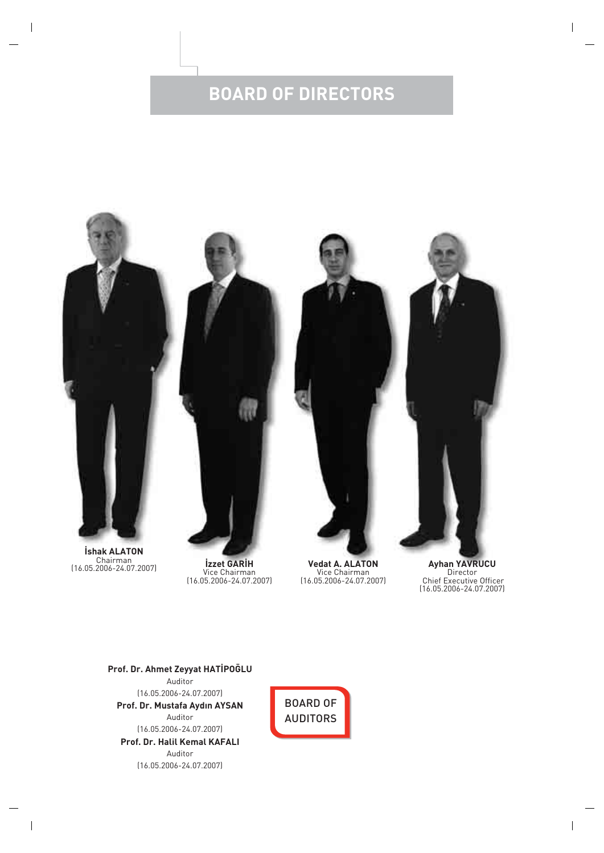# **BOARD OF DIRECTORS**



Chairman (16.05.2006-24.07.2007) **‹zzet GAR‹H**

Vice Chairman (16.05.2006-24.07.2007)

**Vedat A. ALATON** Vice Chairman (16.05.2006-24.07.2007)

**Ayhan YAVRUCU** Director Chief Executive Officer (16.05.2006-24.07.2007)

**Prof. Dr. Halil Kemal KAFALI** Auditor (16.05.2006-24.07.2007) **Prof. Dr. Ahmet Zeyyat HATİPOĞLU** Auditor (16.05.2006-24.07.2007) **Prof. Dr. Mustafa Ayd›n AYSAN** Auditor (16.05.2006-24.07.2007)

BOARD OF AUDITORS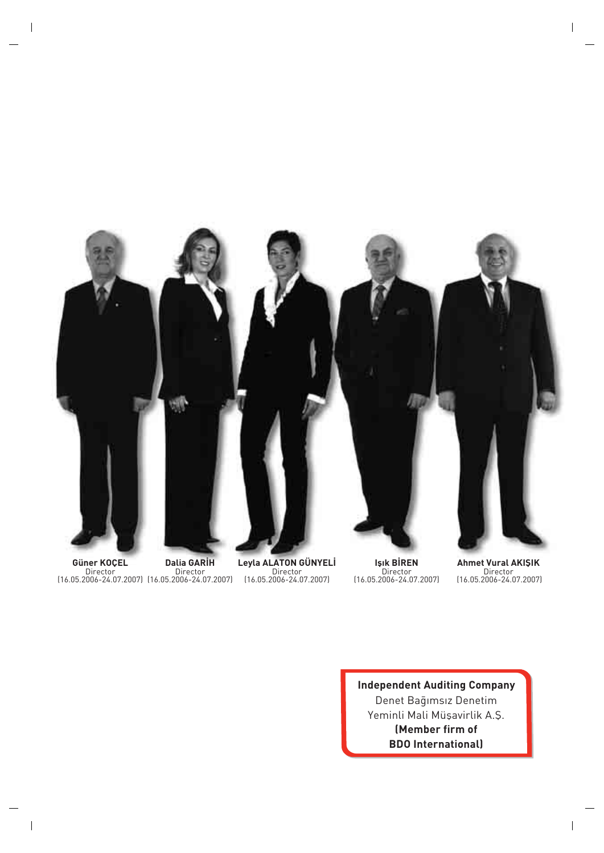

**Güner KOÇEL** Director (16.05.2006-24.07.2007) Director (16.05.2006-24.07.2007)

**Dalia GARİH** 

**Leyla ALATON GÜNYELİ** Director (16.05.2006-24.07.2007)

**Işık BİREN** Director (16.05.2006-24.07.2007)

**Ahmet Vural AKIŞIK** Director (16.05.2006-24.07.2007)

**Independent Auditing Company** Denet Bağımsız Denetim Yeminli Mali Müşavirlik A.Ş. **(Member firm of BDO International)**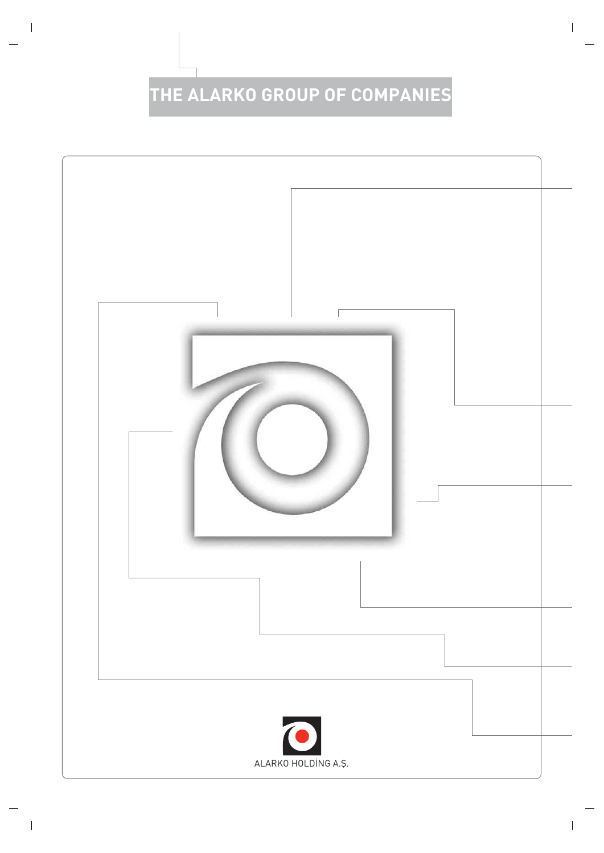# **THE ALARKO GROUP OF COMPANIES**

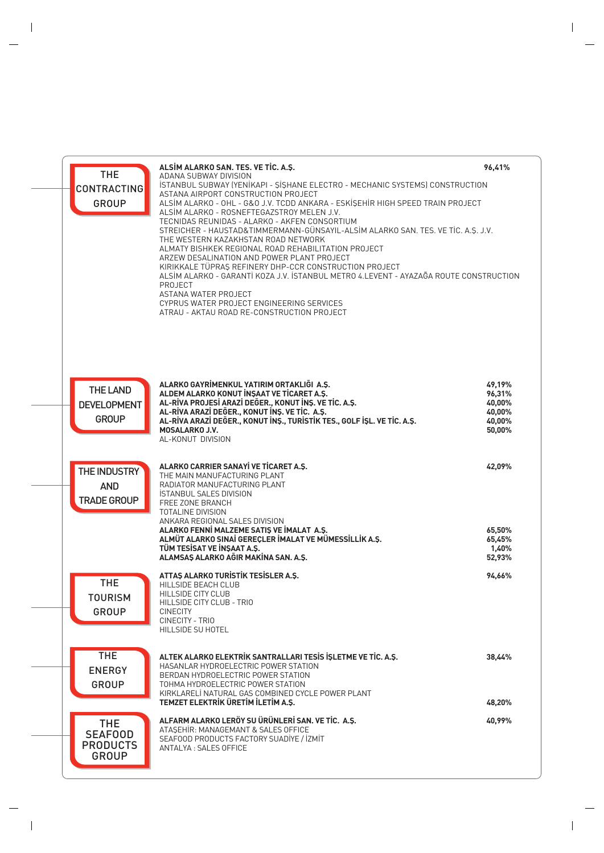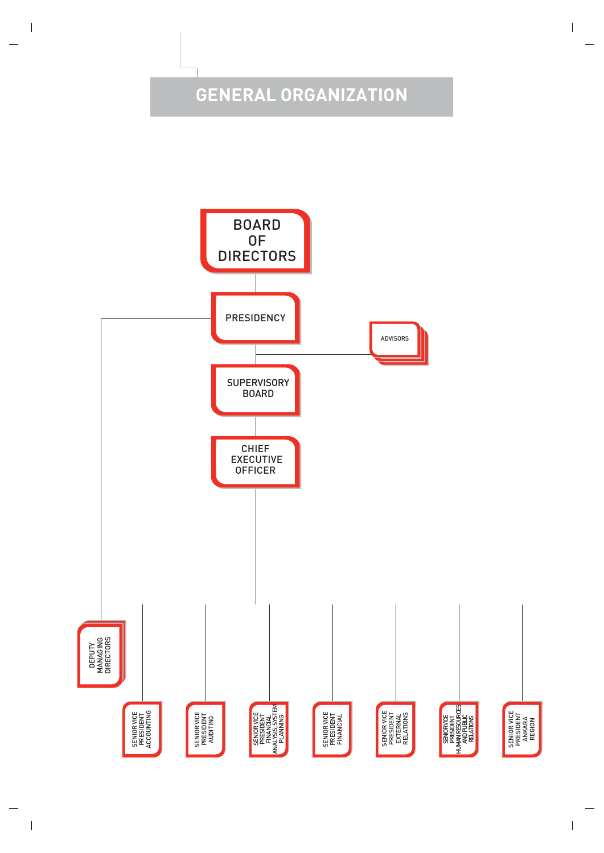# **GENERAL ORGANIZATION**

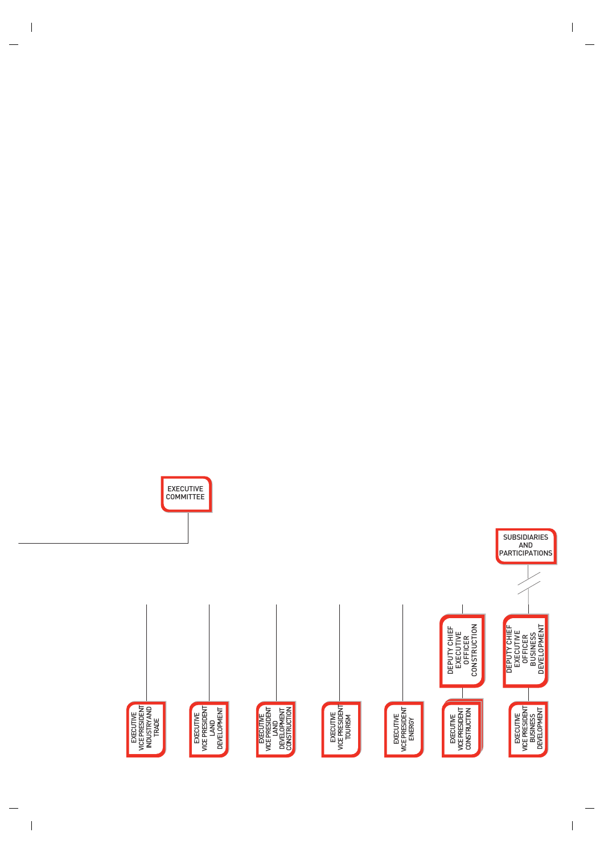

EXECUTIVE COMMITTEE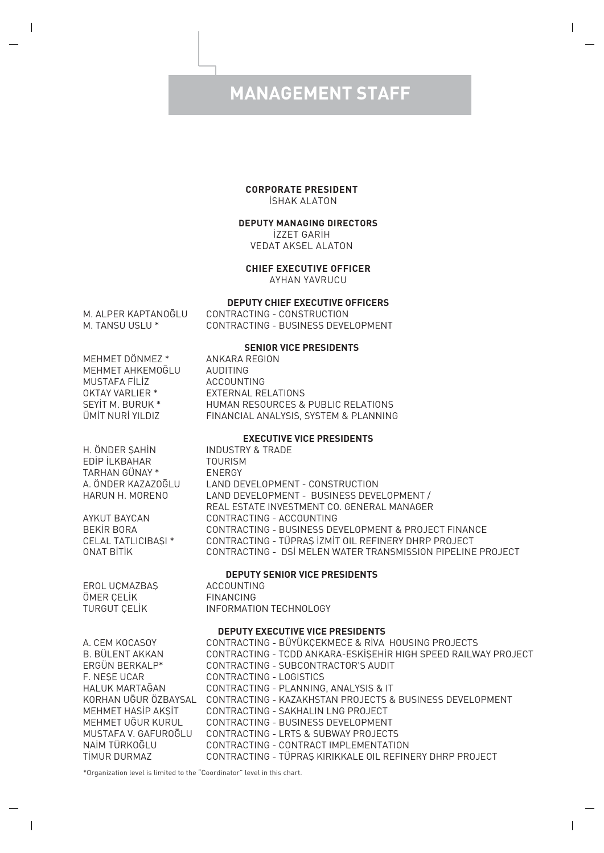### **MANAGEMENT STAFF**

### **CORPORATE PRESIDENT**

**ISHAK ALATON** 

### **DEPUTY MANAGING DIRECTORS**

**İZZET GARİH** VEDAT AKSEL ALATON

### **CHIEF EXECUTIVE OFFICER**

AYHAN YAVRUCU

#### **DEPUTY CHIEF EXECUTIVE OFFICERS**

M. ALPER KAPTANOĞLU CONTRACTING - CONSTRUCTION<br>M. TANSU USLU \* CONTRACTING - BUSINESS DEVE CONTRACTING - BUSINESS DEVELOPMENT

#### **SENIOR VICE PRESIDENTS**

| MEHMET DÖNMEZ *      |
|----------------------|
| MFHMFT AHKFMOĞI U    |
| <b>MUSTAFA FİLİZ</b> |
| OKTAY VARI IFR *     |
| SEYIT M. BURUK *     |
| ÜMİT NURİ YILDIZ     |

ANKARA REGION **AUDITING ACCOUNTING EXTERNAL RELATIONS** HUMAN RESOURCES & PUBLIC RELATIONS FINANCIAL ANALYSIS, SYSTEM & PLANNING

#### **EXECUTIVE VICE PRESIDENTS**

H. ÖNDER ŞAHİN INDUSTRY & TRADE EDIP ILKBAHAR TOURISM TARHAN GÜNAY \* ENERGY

A. ÖNDER KAZAZO⁄LU LAND DEVELOPMENT - CONSTRUCTION LAND DEVELOPMENT - BUSINESS DEVELOPMENT / REAL ESTATE INVESTMENT CO. GENERAL MANAGER AYKUT BAYCAN CONTRACTING - ACCOUNTING<br>BEKİR BORA CONTRACTING - BUSINESS DE CONTRACTING - BUSINESS DEVELOPMENT & PROJECT FINANCE CELAL TATLICIBAfiI \* CONTRACTING - TÜPRAfi ‹ZM‹T OIL REFINERY DHRP PROJECT CONTRACTING - DSİ MELEN WATER TRANSMISSION PIPELINE PROJECT

#### **DEPUTY SENIOR VICE PRESIDENTS**

EROL UÇMAZBAfi ACCOUNTING ÖMER ÇELİK

TURGUT CELIK INFORMATION TECHNOLOGY

#### **DEPUTY EXECUTIVE VICE PRESIDENTS**

| A. CEM KOCASOY       | CONTRACTING - BÜYÜKÇEKMECE & RİVA HOUSING PROJECTS             |
|----------------------|----------------------------------------------------------------|
| B. BÜLENT AKKAN      | CONTRACTING - TCDD ANKARA-ESKİŞEHİR HIGH SPEED RAILWAY PROJECT |
| ERGÜN BERKALP*       | CONTRACTING - SUBCONTRACTOR'S AUDIT                            |
| F. NESE UCAR         | CONTRACTING - LOGISTICS                                        |
| HALUK MARTAGAN       | CONTRACTING - PLANNING, ANALYSIS & IT                          |
| KORHAN UĞUR ÖZBAYSAL | CONTRACTING - KAZAKHSTAN PROJECTS & BUSINESS DEVELOPMENT       |
| MEHMET HASIP AKSIT   | CONTRACTING - SAKHALIN LNG PROJECT                             |
| MEHMET UGUR KURUL    | CONTRACTING - BUSINESS DEVELOPMENT                             |
| MUSTAFA V. GAFUROĞLU | CONTRACTING - LRTS & SUBWAY PROJECTS                           |
| NAİM TÜRKOĞLU        | CONTRACTING - CONTRACT IMPLEMENTATION                          |
| TIMUR DURMAZ         | CONTRACTING - TÜPRAS KIRIKKALE OIL REFINERY DHRP PROJECT       |
|                      |                                                                |

\*Organization level is limited to the "Coordinator" level in this chart.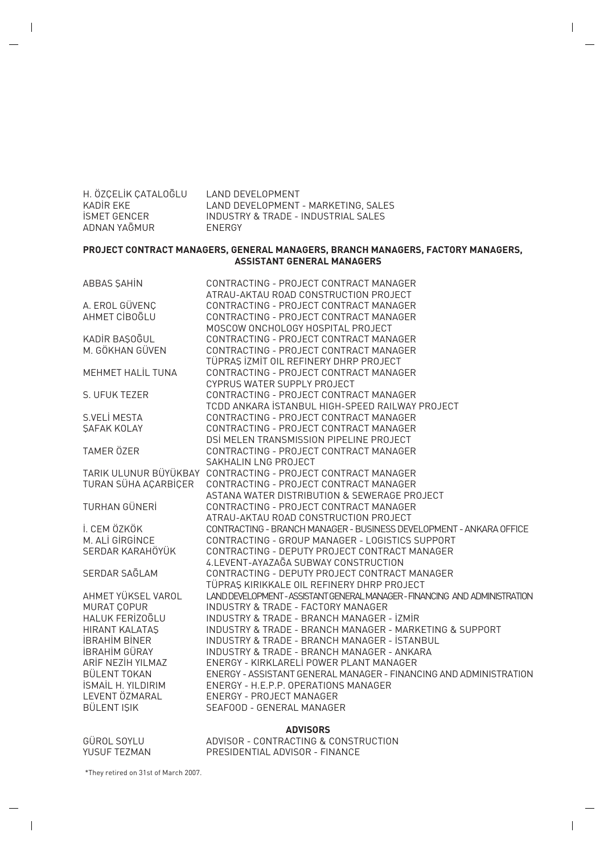| H. ÖZCELİK CATALOĞLU | LAND DEVELOPMENT                    |
|----------------------|-------------------------------------|
| KADİR EKE            | LAND DEVELOPMENT - MARKETING, SALES |
| <b>ISMET GENCER</b>  | INDUSTRY & TRADE - INDUSTRIAL SALES |
| ADNAN YAĞMUR         | <b>FNFRGY</b>                       |

### **PROJECT CONTRACT MANAGERS, GENERAL MANAGERS, BRANCH MANAGERS, FACTORY MANAGERS, ASSISTANT GENERAL MANAGERS**

| ABBAS ŞAHIN               | CONTRACTING - PROJECT CONTRACT MANAGER                                                                                       |
|---------------------------|------------------------------------------------------------------------------------------------------------------------------|
|                           | ATRAU-AKTAU ROAD CONSTRUCTION PROJECT                                                                                        |
| A. EROL GÜVENÇ            | CONTRACTING - PROJECT CONTRACT MANAGER                                                                                       |
| AHMET CİBOĞLU             | CONTRACTING - PROJECT CONTRACT MANAGER                                                                                       |
|                           | MOSCOW ONCHOLOGY HOSPITAL PROJECT                                                                                            |
| KADİR BAŞOĞUL             | CONTRACTING - PROJECT CONTRACT MANAGER                                                                                       |
| M. GÖKHAN GÜVEN           | CONTRACTING - PROJECT CONTRACT MANAGER                                                                                       |
|                           | TÜPRAŞ İZMİT OIL REFINERY DHRP PROJECT                                                                                       |
| MEHMET HALİL TUNA         | CONTRACTING - PROJECT CONTRACT MANAGER                                                                                       |
|                           | CYPRUS WATER SUPPLY PROJECT                                                                                                  |
| S. UFUK TEZER             | CONTRACTING - PROJECT CONTRACT MANAGER                                                                                       |
|                           | TCDD ANKARA İSTANBUL HIGH-SPEED RAILWAY PROJECT                                                                              |
| S.VELİ MESTA              | CONTRACTING - PROJECT CONTRACT MANAGER                                                                                       |
| <b><i>SAFAK KOLAY</i></b> | CONTRACTING - PROJECT CONTRACT MANAGER                                                                                       |
|                           | DSİ MELEN TRANSMISSION PIPELINE PROJECT                                                                                      |
| <b>TAMER ÖZER</b>         | CONTRACTING - PROJECT CONTRACT MANAGER                                                                                       |
|                           | SAKHALIN LNG PROJECT                                                                                                         |
|                           | TARIK ULUNUR BÜYÜKBAY CONTRACTING - PROJECT CONTRACT MANAGER                                                                 |
| TURAN SÜHA AÇARBİÇER      | CONTRACTING - PROJECT CONTRACT MANAGER                                                                                       |
|                           | ASTANA WATER DISTRIBUTION & SEWERAGE PROJECT                                                                                 |
| TURHAN GÜNERİ             | CONTRACTING - PROJECT CONTRACT MANAGER                                                                                       |
|                           | ATRAU-AKTAU ROAD CONSTRUCTION PROJECT                                                                                        |
| İ. CEM ÖZKÖK              | CONTRACTING - BRANCH MANAGER - BUSINESS DEVELOPMENT - ANKARA OFFICE                                                          |
| M. ALI GIRGINCE           | CONTRACTING - GROUP MANAGER - LOGISTICS SUPPORT                                                                              |
| SERDAR KARAHÖYÜK          | CONTRACTING - DEPUTY PROJECT CONTRACT MANAGER                                                                                |
|                           | 4.LEVENT-AYAZAĞA SUBWAY CONSTRUCTION                                                                                         |
| SERDAR SAGLAM             | CONTRACTING - DEPUTY PROJECT CONTRACT MANAGER                                                                                |
| AHMET YÜKSEL VAROL        | TÜPRAŞ KIRIKKALE OIL REFINERY DHRP PROJECT                                                                                   |
| <b>MURAT COPUR</b>        | LAND DEVELOPMENT - ASSISTANT GENERAL MANAGER - FINANCING AND ADMINISTRATION<br><b>INDUSTRY &amp; TRADE - FACTORY MANAGER</b> |
| HALUK FERİZOĞLU           | INDUSTRY & TRADE - BRANCH MANAGER - İZMİR                                                                                    |
| <b>HIRANT KALATAS</b>     | INDUSTRY & TRADE - BRANCH MANAGER - MARKETING & SUPPORT                                                                      |
| <b>IBRAHIM BINER</b>      | <b>INDUSTRY &amp; TRADE - BRANCH MANAGER - ISTANBUL</b>                                                                      |
| <b>IBRAHIM GÜRAY</b>      | <b>INDUSTRY &amp; TRADE - BRANCH MANAGER - ANKARA</b>                                                                        |
| ARİF NEZİH YILMAZ         | ENERGY - KIRKLARELİ POWER PLANT MANAGER                                                                                      |
| <b>BÜLENT TOKAN</b>       | ENERGY - ASSISTANT GENERAL MANAGER - FINANCING AND ADMINISTRATION                                                            |
| <b>İSMAİL H. YILDIRIM</b> | ENERGY - H.E.P.P. OPERATIONS MANAGER                                                                                         |
| LEVENT ÖZMARAL            | FNFRGY - PROJECT MANAGER                                                                                                     |
| BÜLENT IŞIK               | SEAFOOD - GENERAL MANAGER                                                                                                    |
|                           |                                                                                                                              |

#### **ADVISORS**

GÜROL SOYLU ADVISOR - CONTRACTING & CONSTRUCTION YUSUF TEZMAN PRESIDENTIAL ADVISOR - FINANCE

\*They retired on 31st of March 2007.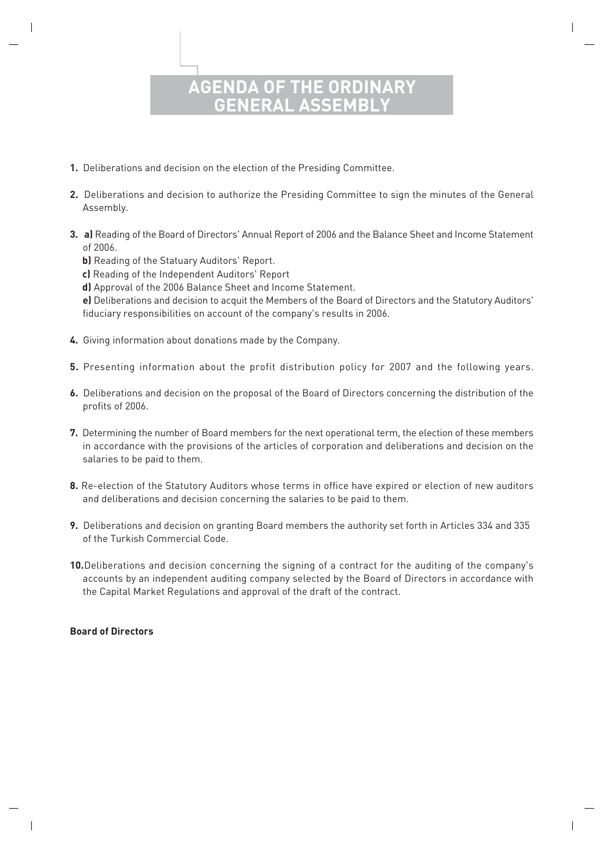### **AGENDA OF THE ORD GENERAL ASSEMBLY**

- **1.** Deliberations and decision on the election of the Presiding Committee.
- **2.** Deliberations and decision to authorize the Presiding Committee to sign the minutes of the General Assembly.
- **3. a)** Reading of the Board of Directors' Annual Report of 2006 and the Balance Sheet and Income Statement of 2006.
	- **b)** Reading of the Statuary Auditors' Report.
	- **c)** Reading of the Independent Auditors' Report
	- **d)** Approval of the 2006 Balance Sheet and Income Statement.

 **e)** Deliberations and decision to acquit the Members of the Board of Directors and the Statutory Auditors' fiduciary responsibilities on account of the company's results in 2006.

- **4.** Giving information about donations made by the Company.
- **5.** Presenting information about the profit distribution policy for 2007 and the following years.
- **6.** Deliberations and decision on the proposal of the Board of Directors concerning the distribution of the profits of 2006.
- **7.** Determining the number of Board members for the next operational term, the election of these members in accordance with the provisions of the articles of corporation and deliberations and decision on the salaries to be paid to them.
- **8.** Re-election of the Statutory Auditors whose terms in office have expired or election of new auditors and deliberations and decision concerning the salaries to be paid to them.
- **9.** Deliberations and decision on granting Board members the authority set forth in Articles 334 and 335 of the Turkish Commercial Code.
- **10.**Deliberations and decision concerning the signing of a contract for the auditing of the company's accounts by an independent auditing company selected by the Board of Directors in accordance with the Capital Market Regulations and approval of the draft of the contract.

### **Board of Directors**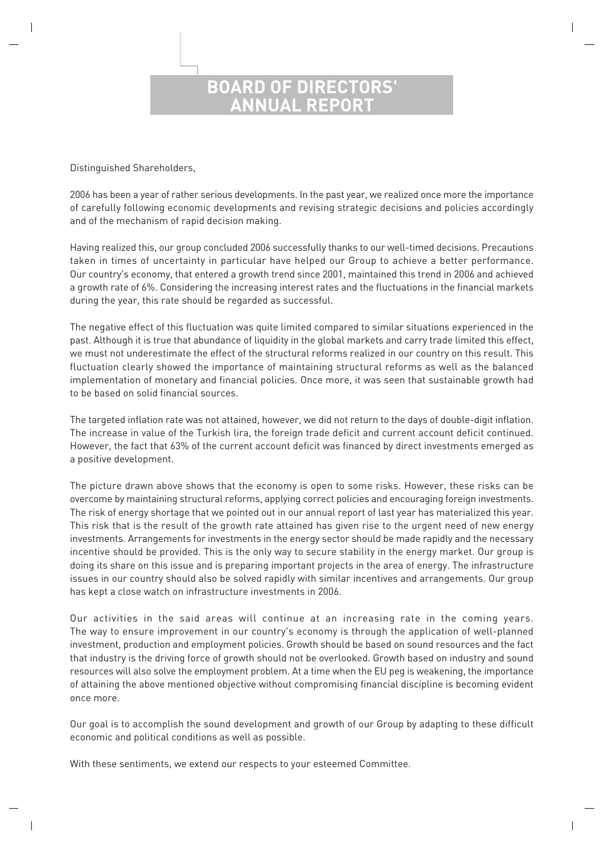### **BOARD OF DIRECTORS' NUAL REPO**

Distinguished Shareholders,

2006 has been a year of rather serious developments. In the past year, we realized once more the importance of carefully following economic developments and revising strategic decisions and policies accordingly and of the mechanism of rapid decision making.

Having realized this, our group concluded 2006 successfully thanks to our well-timed decisions. Precautions taken in times of uncertainty in particular have helped our Group to achieve a better performance. Our country's economy, that entered a growth trend since 2001, maintained this trend in 2006 and achieved a growth rate of 6%. Considering the increasing interest rates and the fluctuations in the financial markets during the year, this rate should be regarded as successful.

The negative effect of this fluctuation was quite limited compared to similar situations experienced in the past. Although it is true that abundance of liquidity in the global markets and carry trade limited this effect, we must not underestimate the effect of the structural reforms realized in our country on this result. This fluctuation clearly showed the importance of maintaining structural reforms as well as the balanced implementation of monetary and financial policies. Once more, it was seen that sustainable growth had to be based on solid financial sources.

The targeted inflation rate was not attained, however, we did not return to the days of double-digit inflation. The increase in value of the Turkish lira, the foreign trade deficit and current account deficit continued. However, the fact that 63% of the current account deficit was financed by direct investments emerged as a positive development.

The picture drawn above shows that the economy is open to some risks. However, these risks can be overcome by maintaining structural reforms, applying correct policies and encouraging foreign investments. The risk of energy shortage that we pointed out in our annual report of last year has materialized this year. This risk that is the result of the growth rate attained has given rise to the urgent need of new energy investments. Arrangements for investments in the energy sector should be made rapidly and the necessary incentive should be provided. This is the only way to secure stability in the energy market. Our group is doing its share on this issue and is preparing important projects in the area of energy. The infrastructure issues in our country should also be solved rapidly with similar incentives and arrangements. Our group has kept a close watch on infrastructure investments in 2006.

Our activities in the said areas will continue at an increasing rate in the coming years. The way to ensure improvement in our country's economy is through the application of well-planned investment, production and employment policies. Growth should be based on sound resources and the fact that industry is the driving force of growth should not be overlooked. Growth based on industry and sound resources will also solve the employment problem. At a time when the EU peg is weakening, the importance of attaining the above mentioned objective without compromising financial discipline is becoming evident once more.

Our goal is to accomplish the sound development and growth of our Group by adapting to these difficult economic and political conditions as well as possible.

With these sentiments, we extend our respects to your esteemed Committee.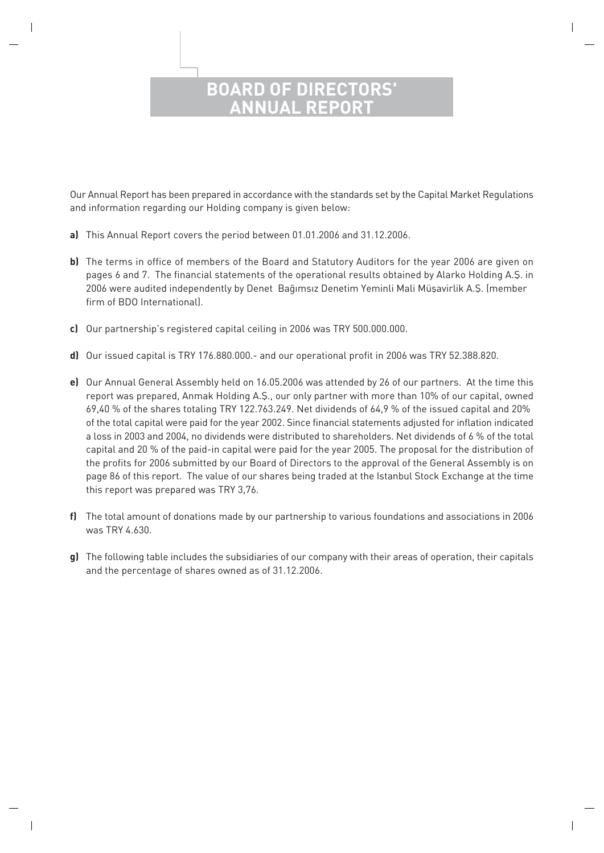### **BOARD OF DIREC ANNUAL REPORT**

Our Annual Report has been prepared in accordance with the standards set by the Capital Market Regulations and information regarding our Holding company is given below:

- **a)** This Annual Report covers the period between 01.01.2006 and 31.12.2006.
- **b)** The terms in office of members of the Board and Statutory Auditors for the year 2006 are given on pages 6 and 7. The financial statements of the operational results obtained by Alarko Holding A.Ş. in 2006 were audited independently by Denet Baqımsız Denetim Yeminli Mali Müşavirlik A.Ş. (member firm of BDO International).
- **c)** Our partnership's registered capital ceiling in 2006 was TRY 500.000.000.
- **d)** Our issued capital is TRY 176.880.000.- and our operational profit in 2006 was TRY 52.388.820.
- **e)** Our Annual General Assembly held on 16.05.2006 was attended by 26 of our partners. At the time this report was prepared, Anmak Holding A.Ş., our only partner with more than 10% of our capital, owned 69,40 % of the shares totaling TRY 122.763.249. Net dividends of 64,9 % of the issued capital and 20% of the total capital were paid for the year 2002. Since financial statements adjusted for inflation indicated a loss in 2003 and 2004, no dividends were distributed to shareholders. Net dividends of 6 % of the total capital and 20 % of the paid-in capital were paid for the year 2005. The proposal for the distribution of the profits for 2006 submitted by our Board of Directors to the approval of the General Assembly is on page 86 of this report. The value of our shares being traded at the Istanbul Stock Exchange at the time this report was prepared was TRY 3,76.
- **f)** The total amount of donations made by our partnership to various foundations and associations in 2006 was TRY 4.630.
- **g)** The following table includes the subsidiaries of our company with their areas of operation, their capitals and the percentage of shares owned as of 31.12.2006.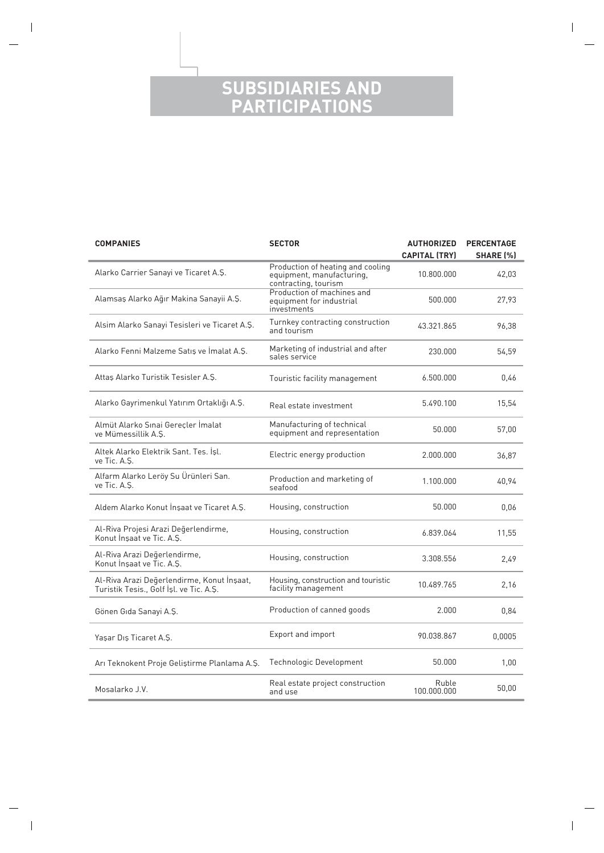### **SUBSIDIARIES AND PARTICIPATIONS**

| <b>COMPANIES</b><br><b>SECTOR</b>                                                     |                                                                                 | <b>AUTHORIZED</b>    | <b>PERCENTAGE</b> |
|---------------------------------------------------------------------------------------|---------------------------------------------------------------------------------|----------------------|-------------------|
| Alarko Carrier Sanayi ve Ticaret A.Ş.                                                 | Production of heating and cooling                                               | <b>CAPITAL (TRY)</b> | <b>SHARE [%]</b>  |
|                                                                                       | equipment, manufacturing,<br>contracting, tourism<br>Production of machines and | 10.800.000           | 42,03             |
| Alamsaş Alarko Ağır Makina Sanayii A.Ş.                                               | equipment for industrial<br>investments                                         | 500.000              | 27,93             |
| Alsim Alarko Sanayi Tesisleri ve Ticaret A.Ş.                                         | Turnkey contracting construction<br>and tourism                                 | 43.321.865           | 96,38             |
| Alarko Fenni Malzeme Satış ve İmalat A.Ş.                                             | Marketing of industrial and after<br>sales service                              | 230.000              | 54,59             |
| Attas Alarko Turistik Tesisler A.S.                                                   | Touristic facility management                                                   | 6.500.000            | 0,46              |
| Alarko Gayrimenkul Yatırım Ortaklığı A.Ş.                                             | Real estate investment                                                          | 5.490.100            | 15,54             |
| Almüt Alarko Sınai Gereçler İmalat<br>ve Mümessillik A.S.                             | Manufacturing of technical<br>equipment and representation                      | 50.000               | 57,00             |
| Altek Alarko Elektrik Sant. Tes. İsl.<br>ve Tic. A.S.                                 | Electric energy production                                                      | 2.000.000            | 36,87             |
| Alfarm Alarko Leröy Su Ürünleri San.<br>ve Tic. A.S.                                  | Production and marketing of<br>seafood                                          | 1.100.000            | 40,94             |
| Aldem Alarko Konut İnşaat ve Ticaret A.Ş.                                             | Housing, construction                                                           | 50.000               | 0,06              |
| Al-Riva Projesi Arazi Değerlendirme,<br>Konut Insaat ve Tic. A.S.                     | Housing, construction                                                           | 6.839.064            | 11,55             |
| Al-Riva Arazi Değerlendirme,<br>Konut Insaat ve Tic. A.S.                             | Housing, construction                                                           | 3.308.556            | 2,49              |
| Al-Riva Arazi Değerlendirme, Konut İnşaat,<br>Turistik Tesis., Golf İşl. ve Tic. A.Ş. | Housing, construction and touristic<br>facility management                      | 10.489.765           | 2,16              |
| Gönen Gıda Sanayi A.Ş.                                                                | Production of canned goods                                                      | 2.000                | 0,84              |
| Yaşar Dış Ticaret A.Ş.                                                                | Export and import                                                               | 90.038.867           | 0,0005            |
| Arı Teknokent Proje Geliştirme Planlama A.Ş.                                          | Technologic Development                                                         | 50.000               | 1,00              |
| Mosalarko J.V.                                                                        | Real estate project construction<br>and use                                     | Ruble<br>100.000.000 | 50,00             |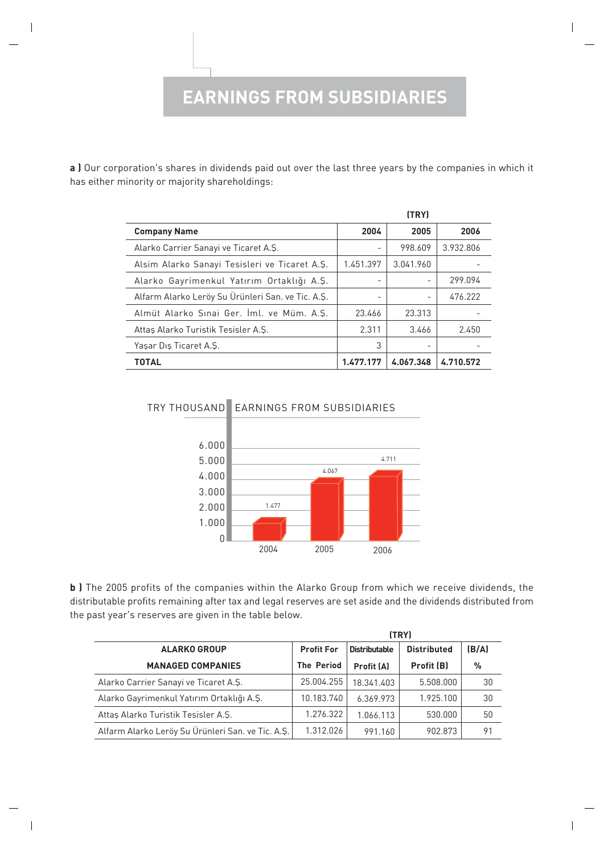### **EARNINGS FROM SUBSIDIARIES**

**a )** Our corporation's shares in dividends paid out over the last three years by the companies in which it has either minority or majority shareholdings:

|                                                   |           | (TRY)             |           |
|---------------------------------------------------|-----------|-------------------|-----------|
| <b>Company Name</b>                               | 2004      | 2005              | 2006      |
| Alarko Carrier Sanayi ve Ticaret A.S.             | -         | 998.609           | 3.932.806 |
| Alsim Alarko Sanayi Tesisleri ve Ticaret A.Ş.     | 1.451.397 | 3.041.960         |           |
| Alarko Gayrimenkul Yatırım Ortaklığı A.Ş.         |           |                   | 299.094   |
| Alfarm Alarko Leröy Su Ürünleri San. ve Tic. A.Ş. |           | $\qquad \qquad -$ | 476.222   |
| Almüt Alarko Sınai Ger. İml. ve Müm. A.Ş.         | 23.466    | 23.313            |           |
| Attas Alarko Turistik Tesisler A.S.               | 2.311     | 3.466             | 2.450     |
| Yasar Dis Ticaret A.S.                            | 3         |                   |           |
| <b>TOTAL</b>                                      | 1.477.177 | 4.067.348         | 4.710.572 |



**b )** The 2005 profits of the companies within the Alarko Group from which we receive dividends, the distributable profits remaining after tax and legal reserves are set aside and the dividends distributed from the past year's reserves are given in the table below.

|                                                   |                   |                      | (TRY)              |       |
|---------------------------------------------------|-------------------|----------------------|--------------------|-------|
| <b>ALARKO GROUP</b>                               | <b>Profit For</b> | <b>Distributable</b> | <b>Distributed</b> | (B/A) |
| <b>MANAGED COMPANIES</b>                          | <b>The Period</b> | Profit (A)           | Profit (B)         | $\%$  |
| Alarko Carrier Sanayi ve Ticaret A.Ş.             | 25.004.255        | 18.341.403           | 5.508.000          | 30    |
| Alarko Gayrimenkul Yatırım Ortaklığı A.Ş.         | 10.183.740        | 6.369.973            | 1.925.100          | 30    |
| Attas Alarko Turistik Tesisler A.S.               | 1.276.322         | 1.066.113            | 530.000            | 50    |
| Alfarm Alarko Leröy Su Ürünleri San. ve Tic. A.Ş. | 1.312.026         | 991.160              | 902.873            | 91    |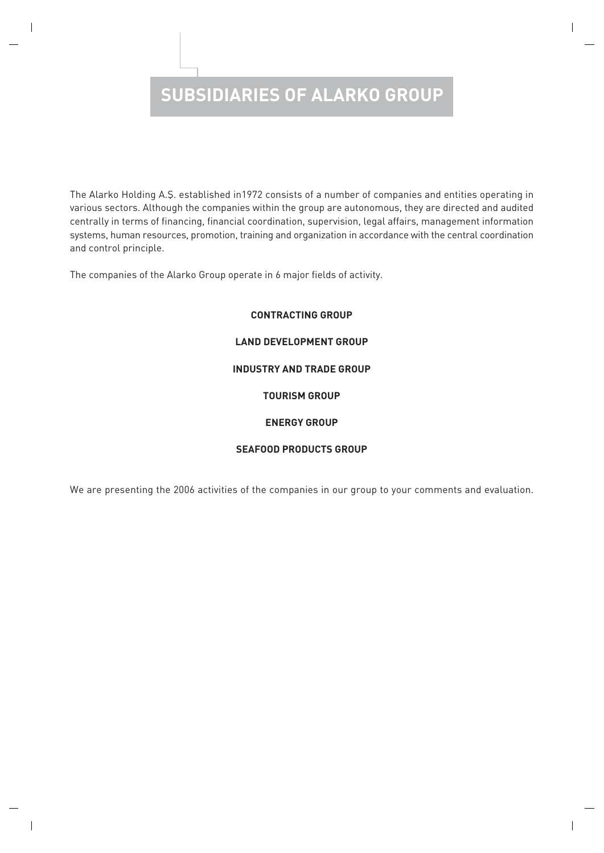# **SUBSIDIARIES OF ALARKO GROUP**

The Alarko Holding A.Ş. established in1972 consists of a number of companies and entities operating in various sectors. Although the companies within the group are autonomous, they are directed and audited centrally in terms of financing, financial coordination, supervision, legal affairs, management information systems, human resources, promotion, training and organization in accordance with the central coordination and control principle.

The companies of the Alarko Group operate in 6 major fields of activity.

# **CONTRACTING GROUP LAND DEVELOPMENT GROUP INDUSTRY AND TRADE GROUP TOURISM GROUP ENERGY GROUP**

### **SEAFOOD PRODUCTS GROUP**

We are presenting the 2006 activities of the companies in our group to your comments and evaluation.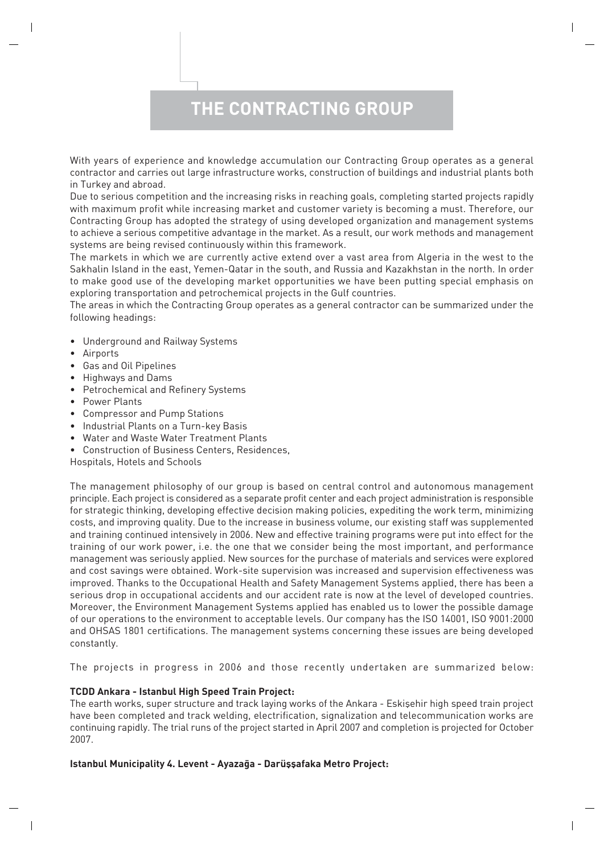## **THE CONTRACTING GROUP**

With years of experience and knowledge accumulation our Contracting Group operates as a general contractor and carries out large infrastructure works, construction of buildings and industrial plants both in Turkey and abroad.

Due to serious competition and the increasing risks in reaching goals, completing started projects rapidly with maximum profit while increasing market and customer variety is becoming a must. Therefore, our Contracting Group has adopted the strategy of using developed organization and management systems to achieve a serious competitive advantage in the market. As a result, our work methods and management systems are being revised continuously within this framework.

The markets in which we are currently active extend over a vast area from Algeria in the west to the Sakhalin Island in the east, Yemen-Qatar in the south, and Russia and Kazakhstan in the north. In order to make good use of the developing market opportunities we have been putting special emphasis on exploring transportation and petrochemical projects in the Gulf countries.

The areas in which the Contracting Group operates as a general contractor can be summarized under the following headings:

- Underground and Railway Systems
- Airports
- Gas and Oil Pipelines
- Highways and Dams
- Petrochemical and Refinery Systems
- Power Plants
- Compressor and Pump Stations
- Industrial Plants on a Turn-key Basis
- Water and Waste Water Treatment Plants
- Construction of Business Centers, Residences,

Hospitals, Hotels and Schools

The management philosophy of our group is based on central control and autonomous management principle. Each project is considered as a separate profit center and each project administration is responsible for strategic thinking, developing effective decision making policies, expediting the work term, minimizing costs, and improving quality. Due to the increase in business volume, our existing staff was supplemented and training continued intensively in 2006. New and effective training programs were put into effect for the training of our work power, i.e. the one that we consider being the most important, and performance management was seriously applied. New sources for the purchase of materials and services were explored and cost savings were obtained. Work-site supervision was increased and supervision effectiveness was improved. Thanks to the Occupational Health and Safety Management Systems applied, there has been a serious drop in occupational accidents and our accident rate is now at the level of developed countries. Moreover, the Environment Management Systems applied has enabled us to lower the possible damage of our operations to the environment to acceptable levels. Our company has the ISO 14001, ISO 9001:2000 and OHSAS 1801 certifications. The management systems concerning these issues are being developed constantly.

The projects in progress in 2006 and those recently undertaken are summarized below:

### **TCDD Ankara - Istanbul High Speed Train Project:**

The earth works, super structure and track laying works of the Ankara - Eskisehir high speed train project have been completed and track welding, electrification, signalization and telecommunication works are continuing rapidly. The trial runs of the project started in April 2007 and completion is projected for October 2007.

### **Istanbul Municipality 4. Levent - Ayazağa - Darüşşafaka Metro Project:**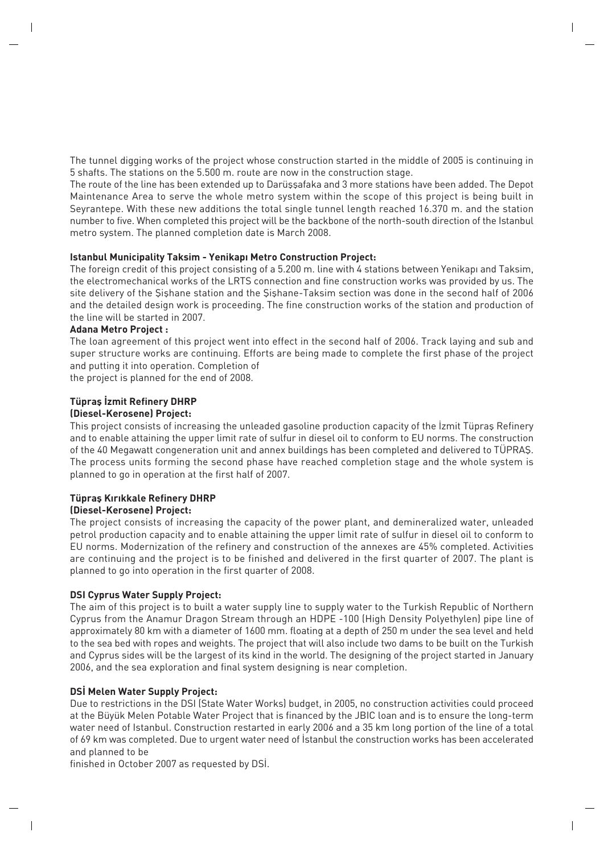The tunnel digging works of the project whose construction started in the middle of 2005 is continuing in 5 shafts. The stations on the 5.500 m. route are now in the construction stage.

The route of the line has been extended up to Darüssafaka and 3 more stations have been added. The Depot Maintenance Area to serve the whole metro system within the scope of this project is being built in Seyrantepe. With these new additions the total single tunnel length reached 16.370 m. and the station number to five. When completed this project will be the backbone of the north-south direction of the Istanbul metro system. The planned completion date is March 2008.

### **Istanbul Municipality Taksim - Yenikapı Metro Construction Project:**

The foreign credit of this project consisting of a 5.200 m. line with 4 stations between Yenikapı and Taksim, the electromechanical works of the LRTS connection and fine construction works was provided by us. The site delivery of the Sishane station and the Sishane-Taksim section was done in the second half of 2006 and the detailed design work is proceeding. The fine construction works of the station and production of the line will be started in 2007.

### **Adana Metro Project :**

The loan agreement of this project went into effect in the second half of 2006. Track laying and sub and super structure works are continuing. Efforts are being made to complete the first phase of the project and putting it into operation. Completion of

the project is planned for the end of 2008.

### **Tüpras İzmit Refinery DHRP**

### **(Diesel-Kerosene) Project:**

This project consists of increasing the unleaded gasoline production capacity of the Izmit Tüpras Refinery and to enable attaining the upper limit rate of sulfur in diesel oil to conform to EU norms. The construction of the 40 Megawatt congeneration unit and annex buildings has been completed and delivered to TÜPRAS. The process units forming the second phase have reached completion stage and the whole system is planned to go in operation at the first half of 2007.

### **Tüpras Kırıkkale Refinery DHRP**

### **(Diesel-Kerosene) Project:**

The project consists of increasing the capacity of the power plant, and demineralized water, unleaded petrol production capacity and to enable attaining the upper limit rate of sulfur in diesel oil to conform to EU norms. Modernization of the refinery and construction of the annexes are 45% completed. Activities are continuing and the project is to be finished and delivered in the first quarter of 2007. The plant is planned to go into operation in the first quarter of 2008.

### **DSI Cyprus Water Supply Project:**

The aim of this project is to built a water supply line to supply water to the Turkish Republic of Northern Cyprus from the Anamur Dragon Stream through an HDPE -100 (High Density Polyethylen) pipe line of approximately 80 km with a diameter of 1600 mm. floating at a depth of 250 m under the sea level and held to the sea bed with ropes and weights. The project that will also include two dams to be built on the Turkish and Cyprus sides will be the largest of its kind in the world. The designing of the project started in January 2006, and the sea exploration and final system designing is near completion.

### **DSİ Melen Water Supply Project:**

Due to restrictions in the DSI (State Water Works) budget, in 2005, no construction activities could proceed at the Büyük Melen Potable Water Project that is financed by the JBIC loan and is to ensure the long-term water need of Istanbul. Construction restarted in early 2006 and a 35 km long portion of the line of a total of 69 km was completed. Due to urgent water need of İstanbul the construction works has been accelerated and planned to be

finished in October 2007 as requested by DSI.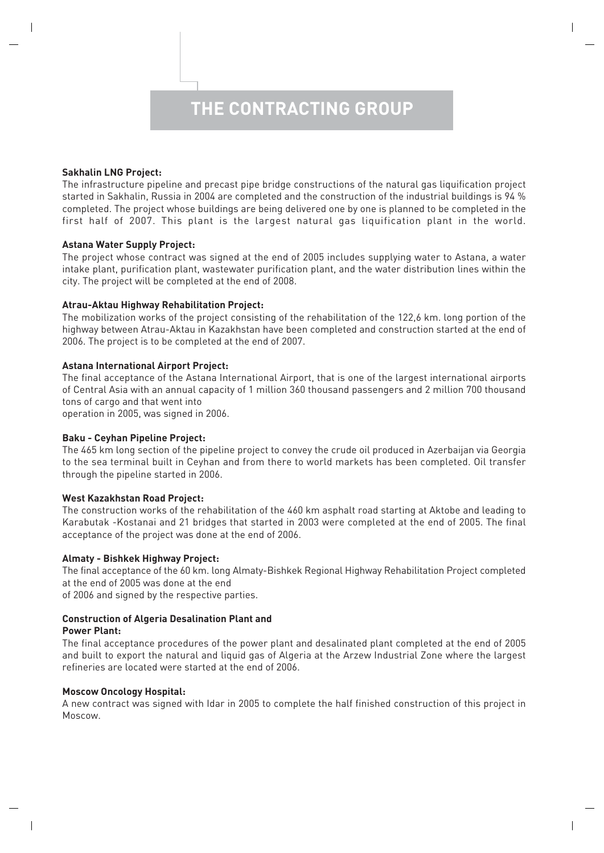### **Sakhalin LNG Project:**

The infrastructure pipeline and precast pipe bridge constructions of the natural gas liquification project started in Sakhalin, Russia in 2004 are completed and the construction of the industrial buildings is 94 % completed. The project whose buildings are being delivered one by one is planned to be completed in the first half of 2007. This plant is the largest natural gas liquification plant in the world.

### **Astana Water Supply Project:**

The project whose contract was signed at the end of 2005 includes supplying water to Astana, a water intake plant, purification plant, wastewater purification plant, and the water distribution lines within the city. The project will be completed at the end of 2008.

### **Atrau-Aktau Highway Rehabilitation Project:**

The mobilization works of the project consisting of the rehabilitation of the 122,6 km. long portion of the highway between Atrau-Aktau in Kazakhstan have been completed and construction started at the end of 2006. The project is to be completed at the end of 2007.

### **Astana International Airport Project:**

The final acceptance of the Astana International Airport, that is one of the largest international airports of Central Asia with an annual capacity of 1 million 360 thousand passengers and 2 million 700 thousand tons of cargo and that went into

operation in 2005, was signed in 2006.

### **Baku - Ceyhan Pipeline Project:**

The 465 km long section of the pipeline project to convey the crude oil produced in Azerbaijan via Georgia to the sea terminal built in Ceyhan and from there to world markets has been completed. Oil transfer through the pipeline started in 2006.

### **West Kazakhstan Road Project:**

The construction works of the rehabilitation of the 460 km asphalt road starting at Aktobe and leading to Karabutak -Kostanai and 21 bridges that started in 2003 were completed at the end of 2005. The final acceptance of the project was done at the end of 2006.

### **Almaty - Bishkek Highway Project:**

The final acceptance of the 60 km. long Almaty-Bishkek Regional Highway Rehabilitation Project completed at the end of 2005 was done at the end

of 2006 and signed by the respective parties.

### **Construction of Algeria Desalination Plant and**

### **Power Plant:**

The final acceptance procedures of the power plant and desalinated plant completed at the end of 2005 and built to export the natural and liquid gas of Algeria at the Arzew Industrial Zone where the largest refineries are located were started at the end of 2006.

### **Moscow Oncology Hospital:**

A new contract was signed with Idar in 2005 to complete the half finished construction of this project in Moscow.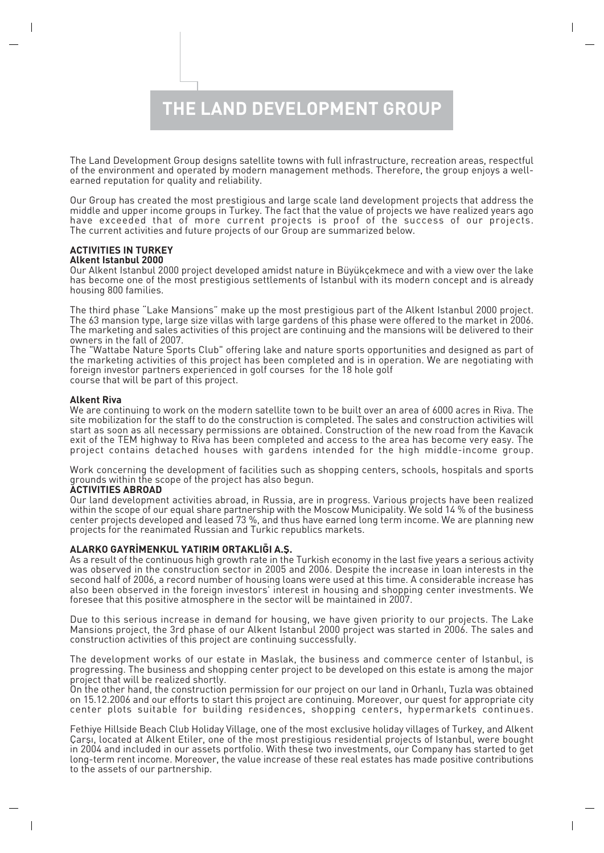**THE LAND DEVELOPMENT GROUP**

The Land Development Group designs satellite towns with full infrastructure, recreation areas, respectful of the environment and operated by modern management methods. Therefore, the group enjoys a wellearned reputation for quality and reliability.

Our Group has created the most prestigious and large scale land development projects that address the middle and upper income groups in Turkey. The fact that the value of projects we have realized years ago have exceeded that of more current projects is proof of the success of our projects. The current activities and future projects of our Group are summarized below.

#### **ACTIVITIES IN TURKEY Alkent Istanbul 2000**

Our Alkent Istanbul 2000 project developed amidst nature in Büyükçekmece and with a view over the lake has become one of the most prestigious settlements of Istanbul with its modern concept and is already housing 800 families.

The third phase "Lake Mansions" make up the most prestigious part of the Alkent Istanbul 2000 project. The 63 mansion type, large size villas with large gardens of this phase were offered to the market in 2006. The marketing and sales activities of this project are continuing and the mansions will be delivered to their owners in the fall of 2007.

The "Wattabe Nature Sports Club" offering lake and nature sports opportunities and designed as part of the marketing activities of this project has been completed and is in operation. We are negotiating with foreign investor partners experienced in golf courses for the 18 hole golf course that will be part of this project.

### **Alkent Riva**

We are continuing to work on the modern satellite town to be built over an area of 6000 acres in Riva. The site mobilization for the staff to do the construction is completed. The sales and construction activities will start as soon as all necessary permissions are obtained. Construction of the new road from the Kavacık exit of the TEM highway to Riva has been completed and access to the area has become very easy. The project contains detached houses with gardens intended for the high middle-income group.

Work concerning the development of facilities such as shopping centers, schools, hospitals and sports grounds within the scope of the project has also begun.

### **ACTIVITIES ABROAD**

Our land development activities abroad, in Russia, are in progress. Various projects have been realized within the scope of our equal share partnership with the Moscow Municipality. We sold 14 % of the business center projects developed and leased 73 %, and thus have earned long term income. We are planning new projects for the reanimated Russian and Turkic republics markets.

### **ALARKO GAYR‹MENKUL YATIRIM ORTAKLI⁄I A.fi.**

As a result of the continuous high growth rate in the Turkish economy in the last five years a serious activity was observed in the construction sector in 2005 and 2006. Despite the increase in loan interests in the second half of 2006, a record number of housing loans were used at this time. A considerable increase has also been observed in the foreign investors' interest in housing and shopping center investments. We foresee that this positive atmosphere in the sector will be maintained in 2007.

Due to this serious increase in demand for housing, we have given priority to our projects. The Lake Mansions project, the 3rd phase of our Alkent Istanbul 2000 project was started in 2006. The sales and construction activities of this project are continuing successfully.

The development works of our estate in Maslak, the business and commerce center of Istanbul, is progressing. The business and shopping center project to be developed on this estate is among the major project that will be realized shortly.

On the other hand, the construction permission for our project on our land in Orhanlı, Tuzla was obtained on 15.12.2006 and our efforts to start this project are continuing. Moreover, our quest for appropriate city center plots suitable for building residences, shopping centers, hypermarkets continues.

Fethiye Hillside Beach Club Holiday Village, one of the most exclusive holiday villages of Turkey, and Alkent Carsi, located at Alkent Etiler, one of the most prestigious residential projects of Istanbul, were bought in 2004 and included in our assets portfolio. With these two investments, our Company has started to get long-term rent income. Moreover, the value increase of these real estates has made positive contributions to the assets of our partnership.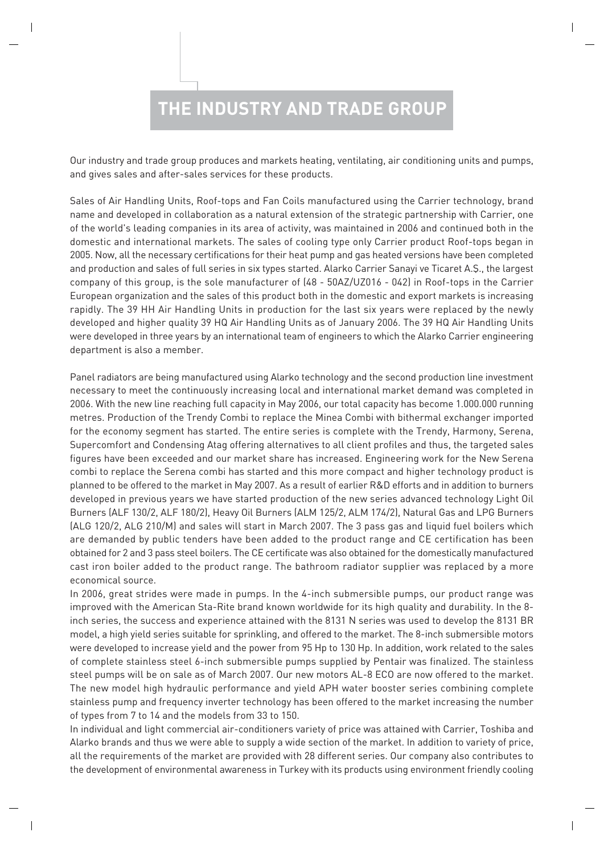# **THE INDUSTRY AND TRADE GROUP**

Our industry and trade group produces and markets heating, ventilating, air conditioning units and pumps, and gives sales and after-sales services for these products.

Sales of Air Handling Units, Roof-tops and Fan Coils manufactured using the Carrier technology, brand name and developed in collaboration as a natural extension of the strategic partnership with Carrier, one of the world's leading companies in its area of activity, was maintained in 2006 and continued both in the domestic and international markets. The sales of cooling type only Carrier product Roof-tops began in 2005. Now, all the necessary certifications for their heat pump and gas heated versions have been completed and production and sales of full series in six types started. Alarko Carrier Sanayi ve Ticaret A.Ş., the largest company of this group, is the sole manufacturer of (48 - 50AZ/UZ016 - 042) in Roof-tops in the Carrier European organization and the sales of this product both in the domestic and export markets is increasing rapidly. The 39 HH Air Handling Units in production for the last six years were replaced by the newly developed and higher quality 39 HQ Air Handling Units as of January 2006. The 39 HQ Air Handling Units were developed in three years by an international team of engineers to which the Alarko Carrier engineering department is also a member.

Panel radiators are being manufactured using Alarko technology and the second production line investment necessary to meet the continuously increasing local and international market demand was completed in 2006. With the new line reaching full capacity in May 2006, our total capacity has become 1.000.000 running metres. Production of the Trendy Combi to replace the Minea Combi with bithermal exchanger imported for the economy segment has started. The entire series is complete with the Trendy, Harmony, Serena, Supercomfort and Condensing Atag offering alternatives to all client profiles and thus, the targeted sales figures have been exceeded and our market share has increased. Engineering work for the New Serena combi to replace the Serena combi has started and this more compact and higher technology product is planned to be offered to the market in May 2007. As a result of earlier R&D efforts and in addition to burners developed in previous years we have started production of the new series advanced technology Light Oil Burners (ALF 130/2, ALF 180/2), Heavy Oil Burners (ALM 125/2, ALM 174/2), Natural Gas and LPG Burners (ALG 120/2, ALG 210/M) and sales will start in March 2007. The 3 pass gas and liquid fuel boilers which are demanded by public tenders have been added to the product range and CE certification has been obtained for 2 and 3 pass steel boilers. The CE certificate was also obtained for the domestically manufactured cast iron boiler added to the product range. The bathroom radiator supplier was replaced by a more economical source.

In 2006, great strides were made in pumps. In the 4-inch submersible pumps, our product range was improved with the American Sta-Rite brand known worldwide for its high quality and durability. In the 8 inch series, the success and experience attained with the 8131 N series was used to develop the 8131 BR model, a high yield series suitable for sprinkling, and offered to the market. The 8-inch submersible motors were developed to increase yield and the power from 95 Hp to 130 Hp. In addition, work related to the sales of complete stainless steel 6-inch submersible pumps supplied by Pentair was finalized. The stainless steel pumps will be on sale as of March 2007. Our new motors AL-8 ECO are now offered to the market. The new model high hydraulic performance and yield APH water booster series combining complete stainless pump and frequency inverter technology has been offered to the market increasing the number of types from 7 to 14 and the models from 33 to 150.

In individual and light commercial air-conditioners variety of price was attained with Carrier, Toshiba and Alarko brands and thus we were able to supply a wide section of the market. In addition to variety of price, all the requirements of the market are provided with 28 different series. Our company also contributes to the development of environmental awareness in Turkey with its products using environment friendly cooling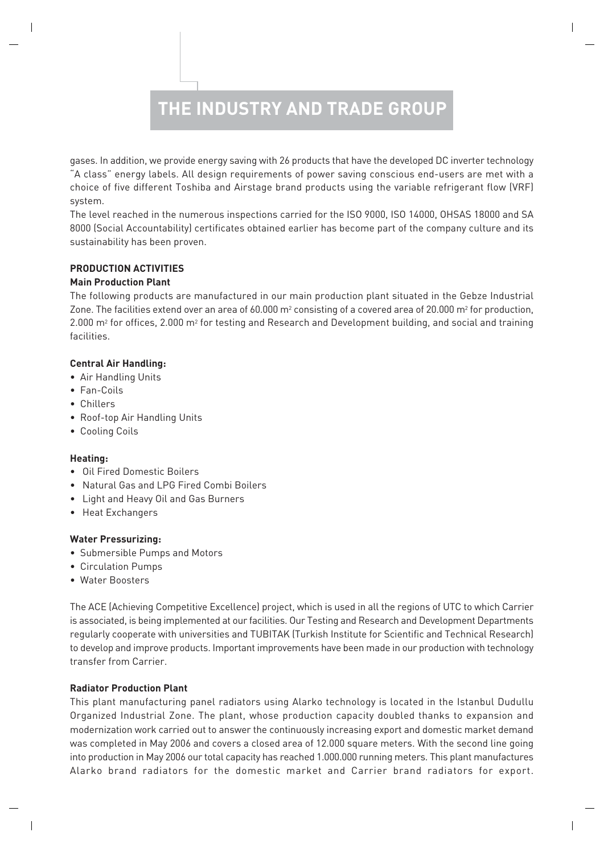## **THE INDUSTRY AND TRADE GROUP**

gases. In addition, we provide energy saving with 26 products that have the developed DC inverter technology "A class" energy labels. All design requirements of power saving conscious end-users are met with a choice of five different Toshiba and Airstage brand products using the variable refrigerant flow (VRF) system.

The level reached in the numerous inspections carried for the ISO 9000, ISO 14000, OHSAS 18000 and SA 8000 (Social Accountability) certificates obtained earlier has become part of the company culture and its sustainability has been proven.

### **PRODUCTION ACTIVITIES**

### **Main Production Plant**

The following products are manufactured in our main production plant situated in the Gebze Industrial Zone. The facilities extend over an area of 60.000  $m^2$  consisting of a covered area of 20.000  $m^2$  for production, 2.000 m<sup>2</sup> for offices, 2.000 m<sup>2</sup> for testing and Research and Development building, and social and training facilities.

### **Central Air Handling:**

- Air Handling Units
- Fan-Coils
- Chillers
- Roof-top Air Handling Units
- Cooling Coils

### **Heating:**

- Oil Fired Domestic Boilers
- Natural Gas and LPG Fired Combi Boilers
- Light and Heavy Oil and Gas Burners
- Heat Exchangers

### **Water Pressurizing:**

- Submersible Pumps and Motors
- Circulation Pumps
- Water Boosters

The ACE (Achieving Competitive Excellence) project, which is used in all the regions of UTC to which Carrier is associated, is being implemented at our facilities. Our Testing and Research and Development Departments regularly cooperate with universities and TUBITAK (Turkish Institute for Scientific and Technical Research) to develop and improve products. Important improvements have been made in our production with technology transfer from Carrier.

### **Radiator Production Plant**

This plant manufacturing panel radiators using Alarko technology is located in the Istanbul Dudullu Organized Industrial Zone. The plant, whose production capacity doubled thanks to expansion and modernization work carried out to answer the continuously increasing export and domestic market demand was completed in May 2006 and covers a closed area of 12.000 square meters. With the second line going into production in May 2006 our total capacity has reached 1.000.000 running meters. This plant manufactures Alarko brand radiators for the domestic market and Carrier brand radiators for export.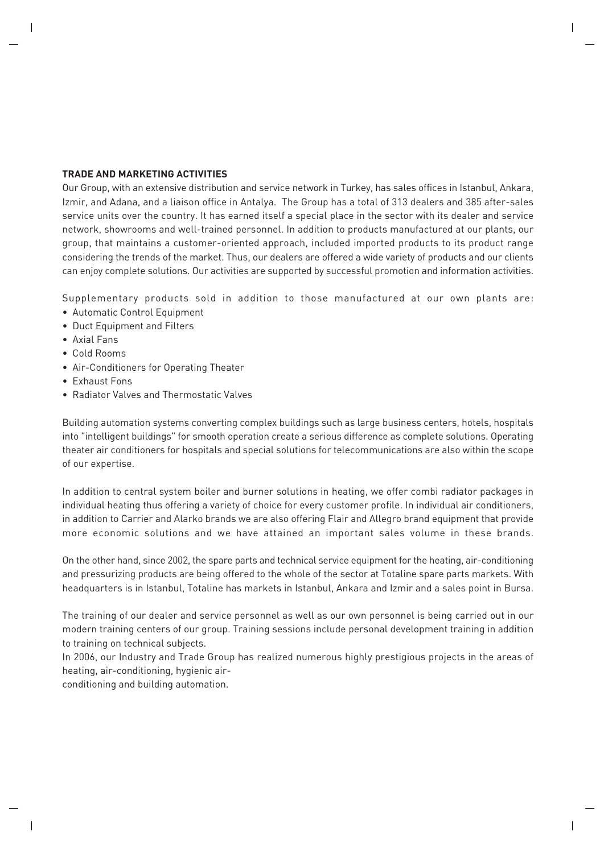### **TRADE AND MARKETING ACTIVITIES**

Our Group, with an extensive distribution and service network in Turkey, has sales offices in Istanbul, Ankara, Izmir, and Adana, and a liaison office in Antalya. The Group has a total of 313 dealers and 385 after-sales service units over the country. It has earned itself a special place in the sector with its dealer and service network, showrooms and well-trained personnel. In addition to products manufactured at our plants, our group, that maintains a customer-oriented approach, included imported products to its product range considering the trends of the market. Thus, our dealers are offered a wide variety of products and our clients can enjoy complete solutions. Our activities are supported by successful promotion and information activities.

Supplementary products sold in addition to those manufactured at our own plants are:

- Automatic Control Equipment
- Duct Equipment and Filters
- Axial Fans
- Cold Rooms
- Air-Conditioners for Operating Theater
- Exhaust Fons
- Radiator Valves and Thermostatic Valves

Building automation systems converting complex buildings such as large business centers, hotels, hospitals into "intelligent buildings" for smooth operation create a serious difference as complete solutions. Operating theater air conditioners for hospitals and special solutions for telecommunications are also within the scope of our expertise.

In addition to central system boiler and burner solutions in heating, we offer combi radiator packages in individual heating thus offering a variety of choice for every customer profile. In individual air conditioners, in addition to Carrier and Alarko brands we are also offering Flair and Allegro brand equipment that provide more economic solutions and we have attained an important sales volume in these brands.

On the other hand, since 2002, the spare parts and technical service equipment for the heating, air-conditioning and pressurizing products are being offered to the whole of the sector at Totaline spare parts markets. With headquarters is in Istanbul, Totaline has markets in Istanbul, Ankara and Izmir and a sales point in Bursa.

The training of our dealer and service personnel as well as our own personnel is being carried out in our modern training centers of our group. Training sessions include personal development training in addition to training on technical subjects.

In 2006, our Industry and Trade Group has realized numerous highly prestigious projects in the areas of heating, air-conditioning, hygienic air-

conditioning and building automation.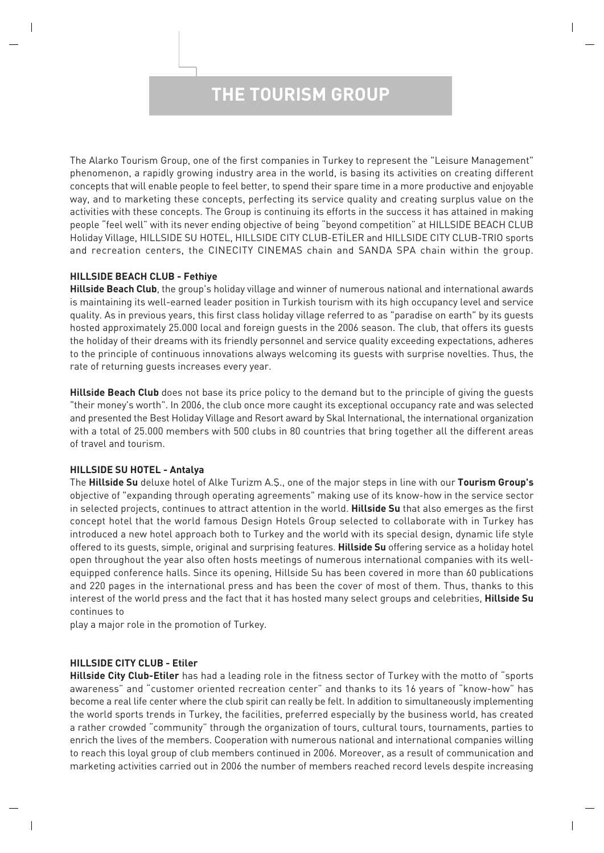# **THE TOURISM GROUP**

The Alarko Tourism Group, one of the first companies in Turkey to represent the "Leisure Management" phenomenon, a rapidly growing industry area in the world, is basing its activities on creating different concepts that will enable people to feel better, to spend their spare time in a more productive and enjoyable way, and to marketing these concepts, perfecting its service quality and creating surplus value on the activities with these concepts. The Group is continuing its efforts in the success it has attained in making people "feel well" with its never ending objective of being "beyond competition" at HILLSIDE BEACH CLUB Holiday Village, HILLSIDE SU HOTEL, HILLSIDE CITY CLUB-ETİLER and HILLSIDE CITY CLUB-TRIO sports and recreation centers, the CINECITY CINEMAS chain and SANDA SPA chain within the group.

### **HILLSIDE BEACH CLUB - Fethiye**

**Hillside Beach Club**, the group's holiday village and winner of numerous national and international awards is maintaining its well-earned leader position in Turkish tourism with its high occupancy level and service quality. As in previous years, this first class holiday village referred to as "paradise on earth" by its guests hosted approximately 25.000 local and foreign guests in the 2006 season. The club, that offers its guests the holiday of their dreams with its friendly personnel and service quality exceeding expectations, adheres to the principle of continuous innovations always welcoming its guests with surprise novelties. Thus, the rate of returning guests increases every year.

**Hillside Beach Club** does not base its price policy to the demand but to the principle of giving the guests "their money's worth". In 2006, the club once more caught its exceptional occupancy rate and was selected and presented the Best Holiday Village and Resort award by Skal International, the international organization with a total of 25.000 members with 500 clubs in 80 countries that bring together all the different areas of travel and tourism.

### **HILLSIDE SU HOTEL - Antalya**

The **Hillside Su** deluxe hotel of Alke Turizm A.fi., one of the major steps in line with our **Tourism Group's** objective of "expanding through operating agreements" making use of its know-how in the service sector in selected projects, continues to attract attention in the world. **Hillside Su** that also emerges as the first concept hotel that the world famous Design Hotels Group selected to collaborate with in Turkey has introduced a new hotel approach both to Turkey and the world with its special design, dynamic life style offered to its guests, simple, original and surprising features. **Hillside Su** offering service as a holiday hotel open throughout the year also often hosts meetings of numerous international companies with its wellequipped conference halls. Since its opening, Hillside Su has been covered in more than 60 publications and 220 pages in the international press and has been the cover of most of them. Thus, thanks to this interest of the world press and the fact that it has hosted many select groups and celebrities, **Hillside Su** continues to

play a major role in the promotion of Turkey.

### **HILLSIDE CITY CLUB - Etiler**

**Hillside City Club-Etiler** has had a leading role in the fitness sector of Turkey with the motto of "sports awareness" and "customer oriented recreation center" and thanks to its 16 years of "know-how" has become a real life center where the club spirit can really be felt. In addition to simultaneously implementing the world sports trends in Turkey, the facilities, preferred especially by the business world, has created a rather crowded "community" through the organization of tours, cultural tours, tournaments, parties to enrich the lives of the members. Cooperation with numerous national and international companies willing to reach this loyal group of club members continued in 2006. Moreover, as a result of communication and marketing activities carried out in 2006 the number of members reached record levels despite increasing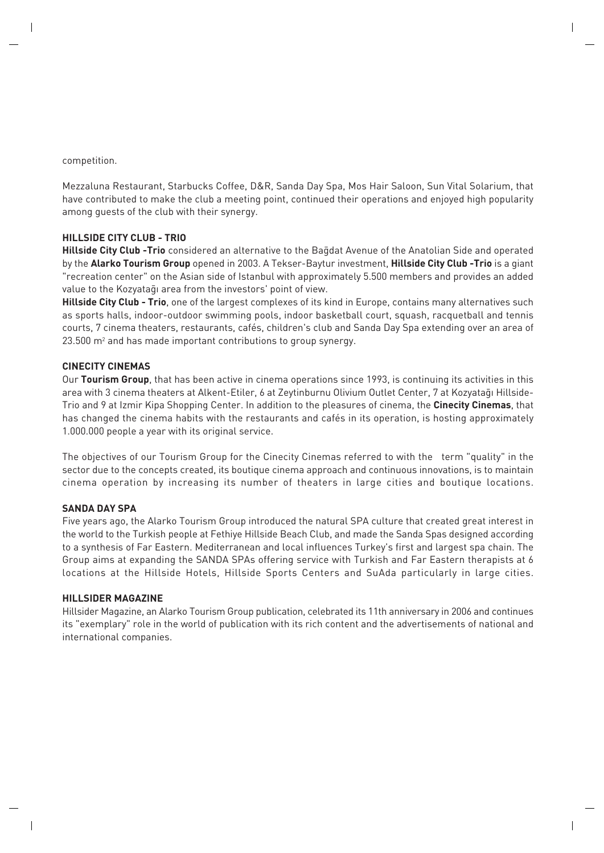competition.

Mezzaluna Restaurant, Starbucks Coffee, D&R, Sanda Day Spa, Mos Hair Saloon, Sun Vital Solarium, that have contributed to make the club a meeting point, continued their operations and enjoyed high popularity among guests of the club with their synergy.

### **HILLSIDE CITY CLUB - TRIO**

**Hillside City Club -Trio** considered an alternative to the Ba¤dat Avenue of the Anatolian Side and operated by the **Alarko Tourism Group** opened in 2003. A Tekser-Baytur investment, **Hillside City Club -Trio** is a giant "recreation center" on the Asian side of Istanbul with approximately 5.500 members and provides an added value to the Kozyataqı area from the investors' point of view.

**Hillside City Club - Trio**, one of the largest complexes of its kind in Europe, contains many alternatives such as sports halls, indoor-outdoor swimming pools, indoor basketball court, squash, racquetball and tennis courts, 7 cinema theaters, restaurants, cafés, children's club and Sanda Day Spa extending over an area of 23.500 m2 and has made important contributions to group synergy.

### **CINECITY CINEMAS**

Our **Tourism Group**, that has been active in cinema operations since 1993, is continuing its activities in this area with 3 cinema theaters at Alkent-Etiler, 6 at Zeytinburnu Olivium Outlet Center, 7 at Kozyatağı Hillside-Trio and 9 at Izmir Kipa Shopping Center. In addition to the pleasures of cinema, the **Cinecity Cinemas**, that has changed the cinema habits with the restaurants and cafés in its operation, is hosting approximately 1.000.000 people a year with its original service.

The objectives of our Tourism Group for the Cinecity Cinemas referred to with the term "quality" in the sector due to the concepts created, its boutique cinema approach and continuous innovations, is to maintain cinema operation by increasing its number of theaters in large cities and boutique locations.

### **SANDA DAY SPA**

Five years ago, the Alarko Tourism Group introduced the natural SPA culture that created great interest in the world to the Turkish people at Fethiye Hillside Beach Club, and made the Sanda Spas designed according to a synthesis of Far Eastern. Mediterranean and local influences Turkey's first and largest spa chain. The Group aims at expanding the SANDA SPAs offering service with Turkish and Far Eastern therapists at 6 locations at the Hillside Hotels, Hillside Sports Centers and SuAda particularly in large cities.

### **HILLSIDER MAGAZINE**

Hillsider Magazine, an Alarko Tourism Group publication, celebrated its 11th anniversary in 2006 and continues its "exemplary" role in the world of publication with its rich content and the advertisements of national and international companies.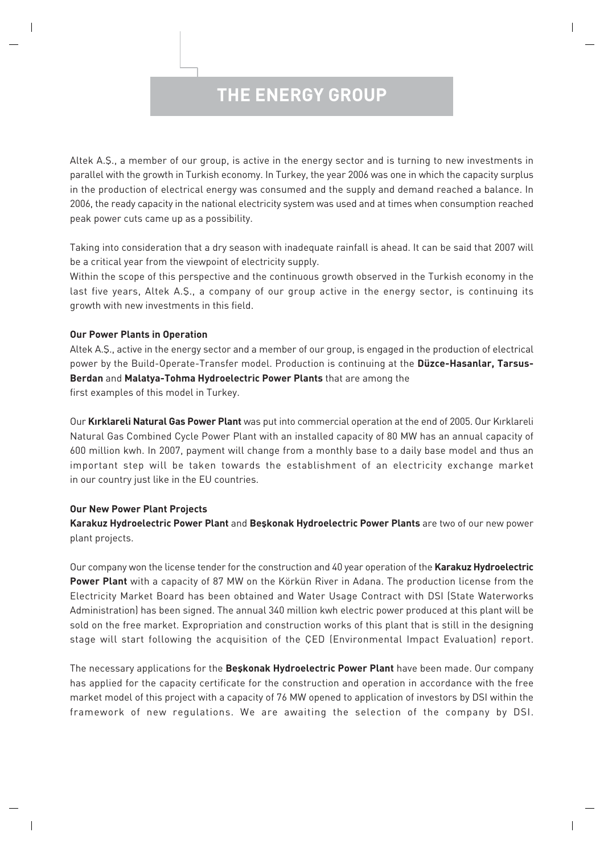## **THE ENERGY GROUP**

Altek A.Ş., a member of our group, is active in the energy sector and is turning to new investments in parallel with the growth in Turkish economy. In Turkey, the year 2006 was one in which the capacity surplus in the production of electrical energy was consumed and the supply and demand reached a balance. In 2006, the ready capacity in the national electricity system was used and at times when consumption reached peak power cuts came up as a possibility.

Taking into consideration that a dry season with inadequate rainfall is ahead. It can be said that 2007 will be a critical year from the viewpoint of electricity supply.

Within the scope of this perspective and the continuous growth observed in the Turkish economy in the last five years, Altek A.S., a company of our group active in the energy sector, is continuing its growth with new investments in this field.

### **Our Power Plants in Operation**

Altek A.S., active in the energy sector and a member of our group, is engaged in the production of electrical power by the Build-Operate-Transfer model. Production is continuing at the **Düzce-Hasanlar, Tarsus-Berdan** and **Malatya-Tohma Hydroelectric Power Plants** that are among the

first examples of this model in Turkey.

Our Kırklareli Natural Gas Power Plant was put into commercial operation at the end of 2005. Our Kırklareli Natural Gas Combined Cycle Power Plant with an installed capacity of 80 MW has an annual capacity of 600 million kwh. In 2007, payment will change from a monthly base to a daily base model and thus an important step will be taken towards the establishment of an electricity exchange market in our country just like in the EU countries.

### **Our New Power Plant Projects**

**Karakuz Hydroelectric Power Plant** and **Beflkonak Hydroelectric Power Plants** are two of our new power plant projects.

Our company won the license tender for the construction and 40 year operation of the **Karakuz Hydroelectric Power Plant** with a capacity of 87 MW on the Körkün River in Adana. The production license from the Electricity Market Board has been obtained and Water Usage Contract with DSI (State Waterworks Administration) has been signed. The annual 340 million kwh electric power produced at this plant will be sold on the free market. Expropriation and construction works of this plant that is still in the designing stage will start following the acquisition of the ÇED (Environmental Impact Evaluation) report.

The necessary applications for the **Beskonak Hydroelectric Power Plant** have been made. Our company has applied for the capacity certificate for the construction and operation in accordance with the free market model of this project with a capacity of 76 MW opened to application of investors by DSI within the framework of new regulations. We are awaiting the selection of the company by DSI.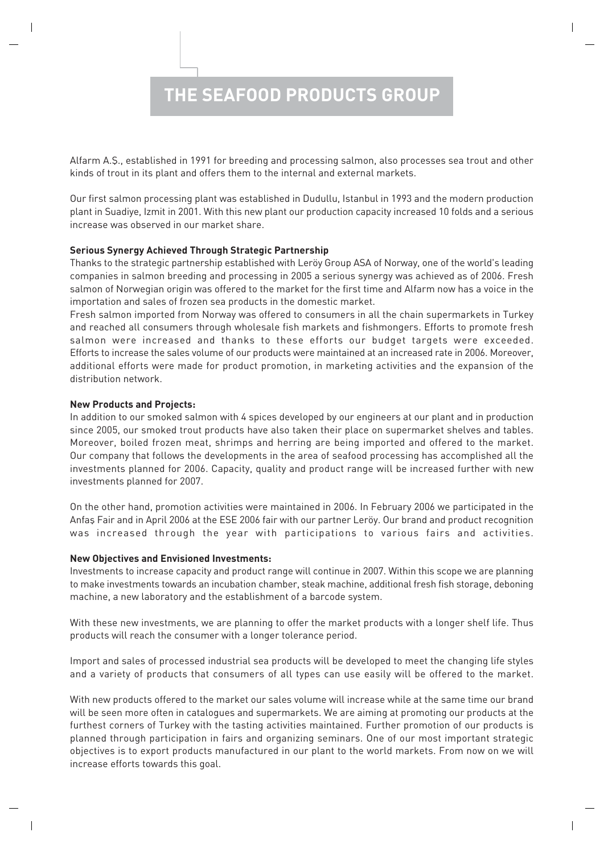# **THE SEAFOOD PRODUCTS GROUP**

Alfarm A.S., established in 1991 for breeding and processing salmon, also processes sea trout and other kinds of trout in its plant and offers them to the internal and external markets.

Our first salmon processing plant was established in Dudullu, Istanbul in 1993 and the modern production plant in Suadiye, Izmit in 2001. With this new plant our production capacity increased 10 folds and a serious increase was observed in our market share.

### **Serious Synergy Achieved Through Strategic Partnership**

Thanks to the strategic partnership established with Leröy Group ASA of Norway, one of the world's leading companies in salmon breeding and processing in 2005 a serious synergy was achieved as of 2006. Fresh salmon of Norwegian origin was offered to the market for the first time and Alfarm now has a voice in the importation and sales of frozen sea products in the domestic market.

Fresh salmon imported from Norway was offered to consumers in all the chain supermarkets in Turkey and reached all consumers through wholesale fish markets and fishmongers. Efforts to promote fresh salmon were increased and thanks to these efforts our budget targets were exceeded. Efforts to increase the sales volume of our products were maintained at an increased rate in 2006. Moreover, additional efforts were made for product promotion, in marketing activities and the expansion of the distribution network.

### **New Products and Projects:**

In addition to our smoked salmon with 4 spices developed by our engineers at our plant and in production since 2005, our smoked trout products have also taken their place on supermarket shelves and tables. Moreover, boiled frozen meat, shrimps and herring are being imported and offered to the market. Our company that follows the developments in the area of seafood processing has accomplished all the investments planned for 2006. Capacity, quality and product range will be increased further with new investments planned for 2007.

On the other hand, promotion activities were maintained in 2006. In February 2006 we participated in the Anfas Fair and in April 2006 at the ESE 2006 fair with our partner Leröy. Our brand and product recognition was increased through the year with participations to various fairs and activities.

### **New Objectives and Envisioned Investments:**

Investments to increase capacity and product range will continue in 2007. Within this scope we are planning to make investments towards an incubation chamber, steak machine, additional fresh fish storage, deboning machine, a new laboratory and the establishment of a barcode system.

With these new investments, we are planning to offer the market products with a longer shelf life. Thus products will reach the consumer with a longer tolerance period.

Import and sales of processed industrial sea products will be developed to meet the changing life styles and a variety of products that consumers of all types can use easily will be offered to the market.

With new products offered to the market our sales volume will increase while at the same time our brand will be seen more often in catalogues and supermarkets. We are aiming at promoting our products at the furthest corners of Turkey with the tasting activities maintained. Further promotion of our products is planned through participation in fairs and organizing seminars. One of our most important strategic objectives is to export products manufactured in our plant to the world markets. From now on we will increase efforts towards this goal.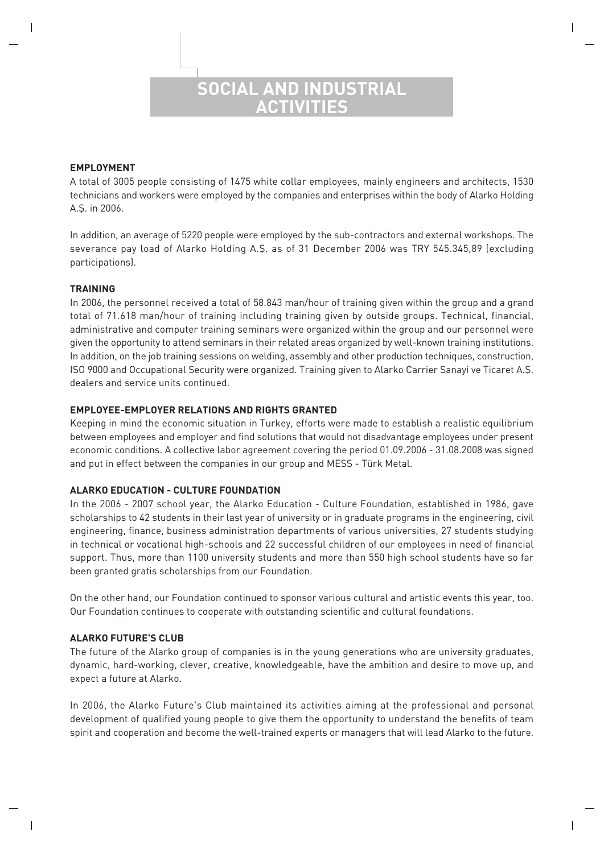### **SOCIAL AND INDUSTRIAL ACTIVITIES**

### **EMPLOYMENT**

A total of 3005 people consisting of 1475 white collar employees, mainly engineers and architects, 1530 technicians and workers were employed by the companies and enterprises within the body of Alarko Holding A.S. in 2006.

In addition, an average of 5220 people were employed by the sub-contractors and external workshops. The severance pay load of Alarko Holding A.Ş. as of 31 December 2006 was TRY 545.345,89 (excluding participations).

### **TRAINING**

In 2006, the personnel received a total of 58.843 man/hour of training given within the group and a grand total of 71.618 man/hour of training including training given by outside groups. Technical, financial, administrative and computer training seminars were organized within the group and our personnel were given the opportunity to attend seminars in their related areas organized by well-known training institutions. In addition, on the job training sessions on welding, assembly and other production techniques, construction, ISO 9000 and Occupational Security were organized. Training given to Alarko Carrier Sanayi ve Ticaret A.fi. dealers and service units continued.

### **EMPLOYEE-EMPLOYER RELATIONS AND RIGHTS GRANTED**

Keeping in mind the economic situation in Turkey, efforts were made to establish a realistic equilibrium between employees and employer and find solutions that would not disadvantage employees under present economic conditions. A collective labor agreement covering the period 01.09.2006 - 31.08.2008 was signed and put in effect between the companies in our group and MESS - Türk Metal.

### **ALARKO EDUCATION - CULTURE FOUNDATION**

In the 2006 - 2007 school year, the Alarko Education - Culture Foundation, established in 1986, gave scholarships to 42 students in their last year of university or in graduate programs in the engineering, civil engineering, finance, business administration departments of various universities, 27 students studying in technical or vocational high-schools and 22 successful children of our employees in need of financial support. Thus, more than 1100 university students and more than 550 high school students have so far been granted gratis scholarships from our Foundation.

On the other hand, our Foundation continued to sponsor various cultural and artistic events this year, too. Our Foundation continues to cooperate with outstanding scientific and cultural foundations.

### **ALARKO FUTURE'S CLUB**

The future of the Alarko group of companies is in the young generations who are university graduates, dynamic, hard-working, clever, creative, knowledgeable, have the ambition and desire to move up, and expect a future at Alarko.

In 2006, the Alarko Future's Club maintained its activities aiming at the professional and personal development of qualified young people to give them the opportunity to understand the benefits of team spirit and cooperation and become the well-trained experts or managers that will lead Alarko to the future.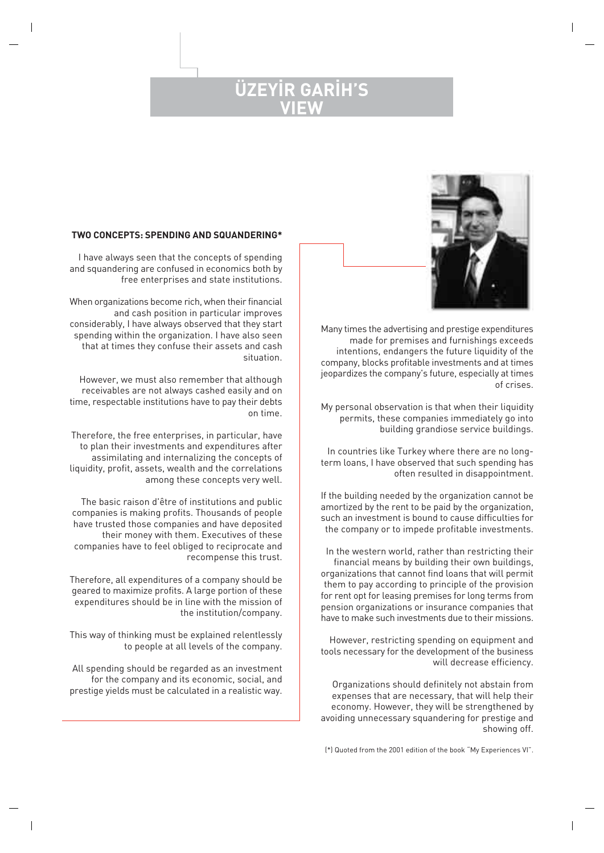### UZEYIR GA **VIEW**



Many times the advertising and prestige expenditures made for premises and furnishings exceeds intentions, endangers the future liquidity of the company, blocks profitable investments and at times jeopardizes the company's future, especially at times of crises.

My personal observation is that when their liquidity permits, these companies immediately go into building grandiose service buildings.

In countries like Turkey where there are no longterm loans, I have observed that such spending has often resulted in disappointment.

If the building needed by the organization cannot be amortized by the rent to be paid by the organization, such an investment is bound to cause difficulties for the company or to impede profitable investments.

In the western world, rather than restricting their financial means by building their own buildings, organizations that cannot find loans that will permit them to pay according to principle of the provision for rent opt for leasing premises for long terms from pension organizations or insurance companies that have to make such investments due to their missions.

However, restricting spending on equipment and tools necessary for the development of the business will decrease efficiency.

Organizations should definitely not abstain from expenses that are necessary, that will help their economy. However, they will be strengthened by avoiding unnecessary squandering for prestige and showing off.

### **TWO CONCEPTS: SPENDING AND SQUANDERING\***

I have always seen that the concepts of spending and squandering are confused in economics both by free enterprises and state institutions.

When organizations become rich, when their financial and cash position in particular improves considerably, I have always observed that they start spending within the organization. I have also seen that at times they confuse their assets and cash situation.

However, we must also remember that although receivables are not always cashed easily and on time, respectable institutions have to pay their debts on time.

Therefore, the free enterprises, in particular, have to plan their investments and expenditures after assimilating and internalizing the concepts of liquidity, profit, assets, wealth and the correlations among these concepts very well.

The basic raison d'être of institutions and public companies is making profits. Thousands of people have trusted those companies and have deposited their money with them. Executives of these companies have to feel obliged to reciprocate and recompense this trust.

Therefore, all expenditures of a company should be geared to maximize profits. A large portion of these expenditures should be in line with the mission of the institution/company.

This way of thinking must be explained relentlessly to people at all levels of the company.

All spending should be regarded as an investment for the company and its economic, social, and prestige yields must be calculated in a realistic way.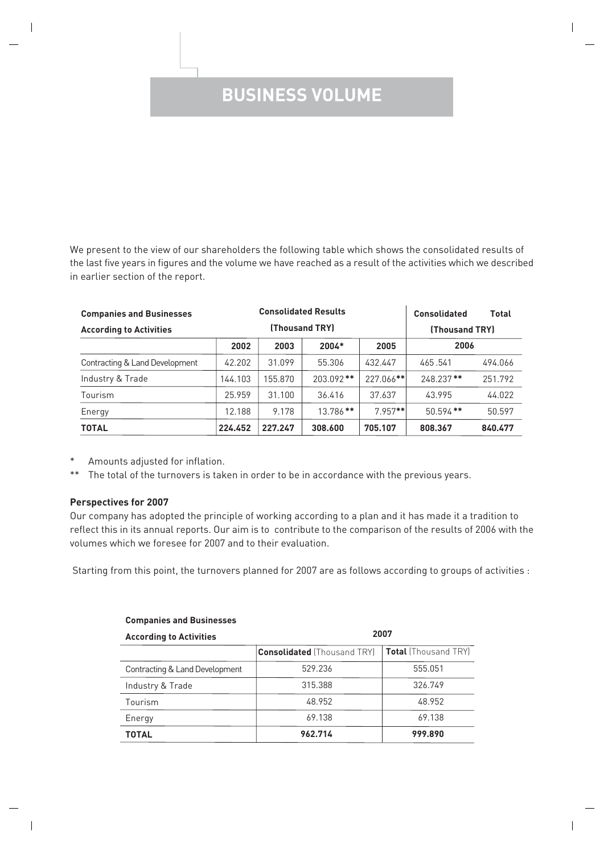# **BUSINESS VOLUME**

We present to the view of our shareholders the following table which shows the consolidated results of the last five years in figures and the volume we have reached as a result of the activities which we described in earlier section of the report.

| <b>Consolidated Results</b><br><b>Companies and Businesses</b> |                |         | <b>Consolidated</b> | <b>Total</b> |             |         |
|----------------------------------------------------------------|----------------|---------|---------------------|--------------|-------------|---------|
| <b>According to Activities</b>                                 | (Thousand TRY) |         | (Thousand TRY)      |              |             |         |
|                                                                | 2002           | 2003    | $2004*$             | 2005         | 2006        |         |
| Contracting & Land Development                                 | 42.202         | 31.099  | 55.306              | 432.447      | 465.541     | 494.066 |
| Industry & Trade                                               | 144.103        | 155.870 | $203.092**$         | 227.066**    | 248.237**   | 251.792 |
| Tourism                                                        | 25.959         | 31.100  | 36.416              | 37.637       | 43.995      | 44.022  |
| Energy                                                         | 12.188         | 9.178   | $13.786**$          | $7.957**$    | $50.594$ ** | 50.597  |
| <b>TOTAL</b>                                                   | 224.452        | 227.247 | 308,600             | 705.107      | 808.367     | 840.477 |

- \* Amounts adjusted for inflation.
- \*\* The total of the turnovers is taken in order to be in accordance with the previous years.

### **Perspectives for 2007**

Our company has adopted the principle of working according to a plan and it has made it a tradition to reflect this in its annual reports. Our aim is to contribute to the comparison of the results of 2006 with the volumes which we foresee for 2007 and to their evaluation.

Starting from this point, the turnovers planned for 2007 are as follows according to groups of activities :

| <b>Companies and Businesses</b> |                                    |                             |  |  |  |  |  |
|---------------------------------|------------------------------------|-----------------------------|--|--|--|--|--|
| <b>According to Activities</b>  | 2007                               |                             |  |  |  |  |  |
|                                 | <b>Consolidated</b> (Thousand TRY) | <b>Total</b> (Thousand TRY) |  |  |  |  |  |
| Contracting & Land Development  | 529.236                            | 555.051                     |  |  |  |  |  |
| Industry & Trade                | 315.388                            | 326.749                     |  |  |  |  |  |
| Tourism                         | 48.952                             | 48.952                      |  |  |  |  |  |
| Energy                          | 69.138                             | 69.138                      |  |  |  |  |  |
| <b>TOTAL</b>                    | 962.714                            | 999.890                     |  |  |  |  |  |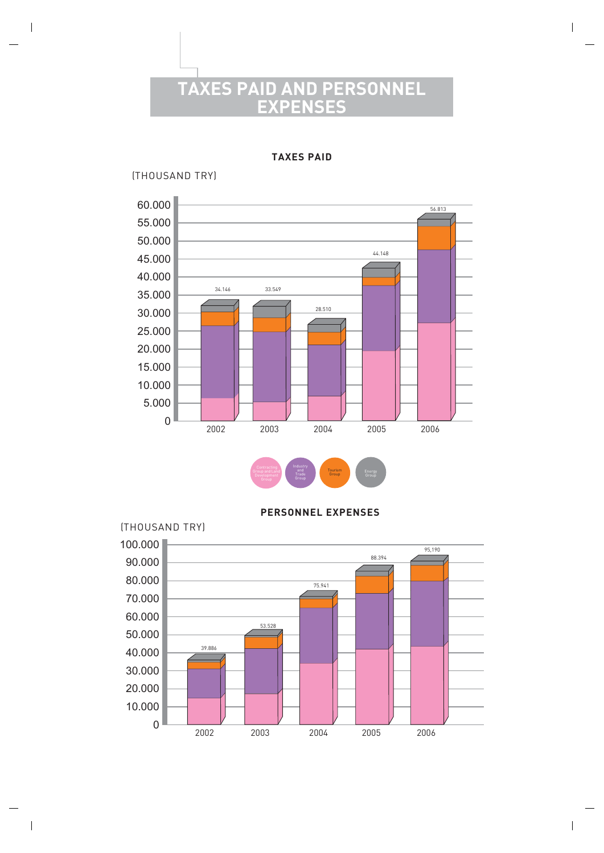# **TAXES PAID AND PERSONNEL EXPENSES**

**TAXES PAID**

(THOUSAND TRY)



**PERSONNEL EXPENSES**

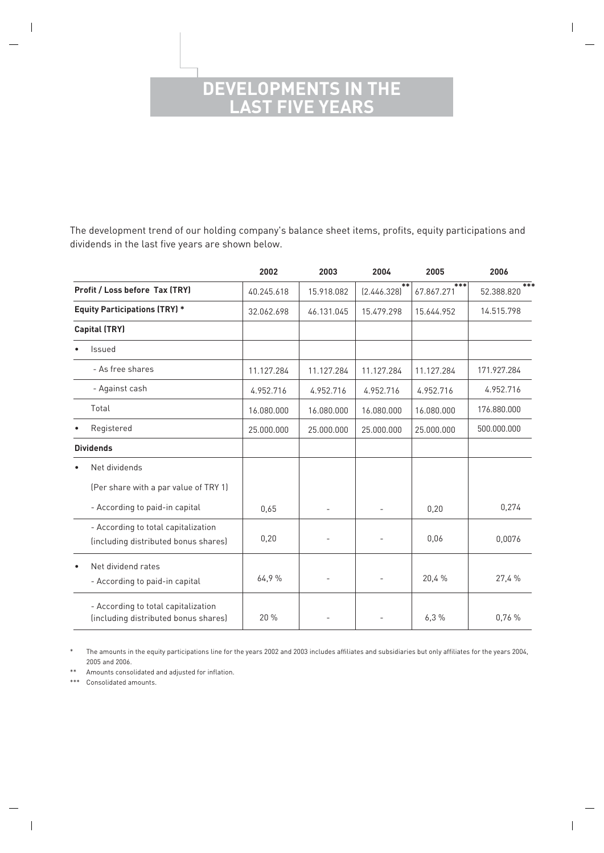### **DEVELOPMENTS IN THE LAST FIVE YEARS**

The development trend of our holding company's balance sheet items, profits, equity participations and dividends in the last five years are shown below.

|           |                                                                             | 2002       | 2003       | 2004                | 2005              | 2006              |
|-----------|-----------------------------------------------------------------------------|------------|------------|---------------------|-------------------|-------------------|
|           | Profit / Loss before Tax (TRY)                                              | 40.245.618 | 15.918.082 | $**$<br>[2.446.328] | ***<br>67.867.271 | ***<br>52.388.820 |
|           | <b>Equity Participations (TRY) *</b>                                        | 32.062.698 | 46.131.045 | 15.479.298          | 15.644.952        | 14.515.798        |
|           | <b>Capital (TRY)</b>                                                        |            |            |                     |                   |                   |
|           | <b>Issued</b>                                                               |            |            |                     |                   |                   |
|           | - As free shares                                                            | 11.127.284 | 11.127.284 | 11.127.284          | 11.127.284        | 171.927.284       |
|           | - Against cash                                                              | 4.952.716  | 4.952.716  | 4.952.716           | 4.952.716         | 4.952.716         |
|           | Total                                                                       | 16.080.000 | 16.080.000 | 16.080.000          | 16.080.000        | 176.880.000       |
|           | Registered                                                                  | 25.000.000 | 25.000.000 | 25,000,000          | 25.000.000        | 500.000.000       |
|           | <b>Dividends</b>                                                            |            |            |                     |                   |                   |
| $\bullet$ | Net dividends                                                               |            |            |                     |                   |                   |
|           | (Per share with a par value of TRY 1)                                       |            |            |                     |                   |                   |
|           | - According to paid-in capital                                              | 0,65       |            |                     | 0,20              | 0,274             |
|           | - According to total capitalization<br>(including distributed bonus shares) | 0,20       |            |                     | 0,06              | 0,0076            |
| $\bullet$ | Net dividend rates<br>- According to paid-in capital                        | 64.9%      |            |                     | 20,4%             | 27,4 %            |
|           | - According to total capitalization<br>(including distributed bonus shares) | 20 %       |            |                     | 6.3%              | 0.76%             |

\* The amounts in the equity participations line for the years 2002 and 2003 includes affiliates and subsidiaries but only affiliates for the years 2004, 2005 and 2006.

\*\* Amounts consolidated and adjusted for inflation.

\*\*\* Consolidated amounts.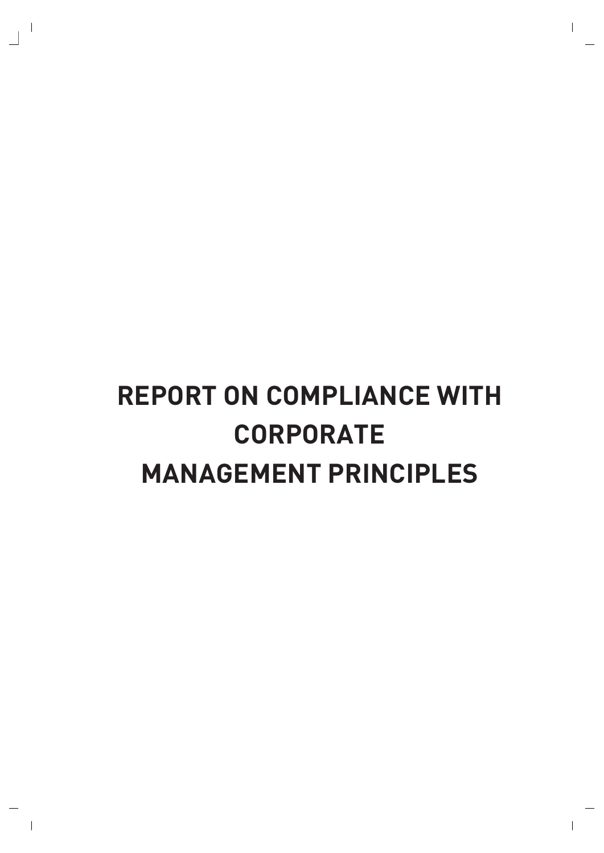# **REPORT ON COMPLIANCE WITH CORPORATE MANAGEMENT PRINCIPLES**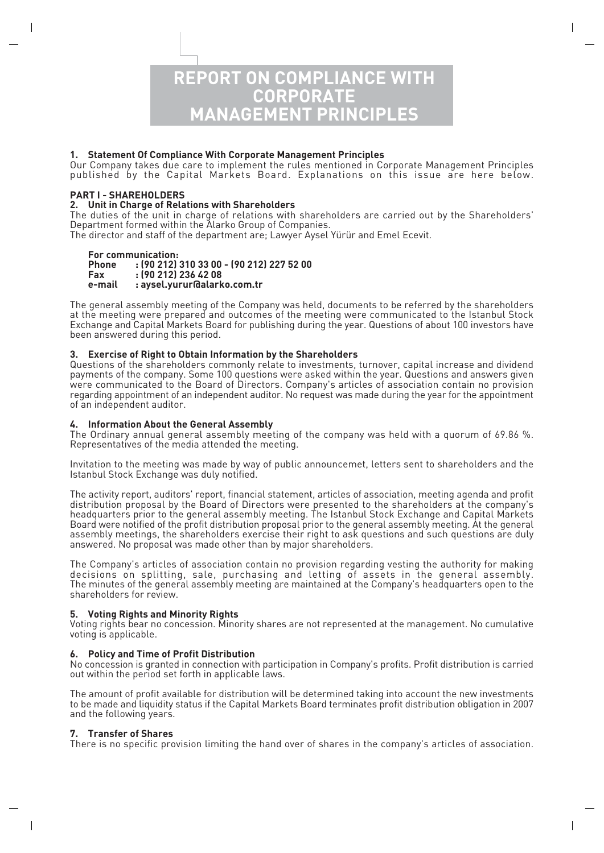

### **1. Statement Of Compliance With Corporate Management Principles**

Our Company takes due care to implement the rules mentioned in Corporate Management Principles published by the Capital Markets Board. Explanations on this issue are here below.

#### **PART I - SHAREHOLDERS**

#### **2. Unit in Charge of Relations with Shareholders**

The duties of the unit in charge of relations with shareholders are carried out by the Shareholders' Department formed within the Alarko Group of Companies.

The director and staff of the department are; Lawyer Aysel Yürür and Emel Ecevit.

### **For communication:**

#### **Phone : (90 212) 310 33 00 - (90 212) 227 52 00 Fax : (90 212) 236 42 08 e-mail : aysel.yurur@alarko.com.tr**

The general assembly meeting of the Company was held, documents to be referred by the shareholders at the meeting were prepared and outcomes of the meeting were communicated to the Istanbul Stock Exchange and Capital Markets Board for publishing during the year. Questions of about 100 investors have been answered during this period.

### **3. Exercise of Right to Obtain Information by the Shareholders**

Questions of the shareholders commonly relate to investments, turnover, capital increase and dividend payments of the company. Some 100 questions were asked within the year. Questions and answers given were communicated to the Board of Directors. Company's articles of association contain no provision regarding appointment of an independent auditor. No request was made during the year for the appointment of an independent auditor.

#### **4. Information About the General Assembly**

The Ordinary annual general assembly meeting of the company was held with a quorum of 69.86 %. Representatives of the media attended the meeting.

Invitation to the meeting was made by way of public announcemet, letters sent to shareholders and the Istanbul Stock Exchange was duly notified.

The activity report, auditors' report, financial statement, articles of association, meeting agenda and profit distribution proposal by the Board of Directors were presented to the shareholders at the company's headquarters prior to the general assembly meeting. The Istanbul Stock Exchange and Capital Markets Board were notified of the profit distribution proposal prior to the general assembly meeting. At the general assembly meetings, the shareholders exercise their right to ask questions and such questions are duly answered. No proposal was made other than by major shareholders.

The Company's articles of association contain no provision regarding vesting the authority for making decisions on splitting, sale, purchasing and letting of assets in the general assembly. The minutes of the general assembly meeting are maintained at the Company's headquarters open to the shareholders for review.

#### **5. Voting Rights and Minority Rights**

Voting rights bear no concession. Minority shares are not represented at the management. No cumulative voting is applicable.

#### **6. Policy and Time of Profit Distribution**

No concession is granted in connection with participation in Company's profits. Profit distribution is carried out within the period set forth in applicable laws.

The amount of profit available for distribution will be determined taking into account the new investments to be made and liquidity status if the Capital Markets Board terminates profit distribution obligation in 2007 and the following years.

#### **7. Transfer of Shares**

There is no specific provision limiting the hand over of shares in the company's articles of association.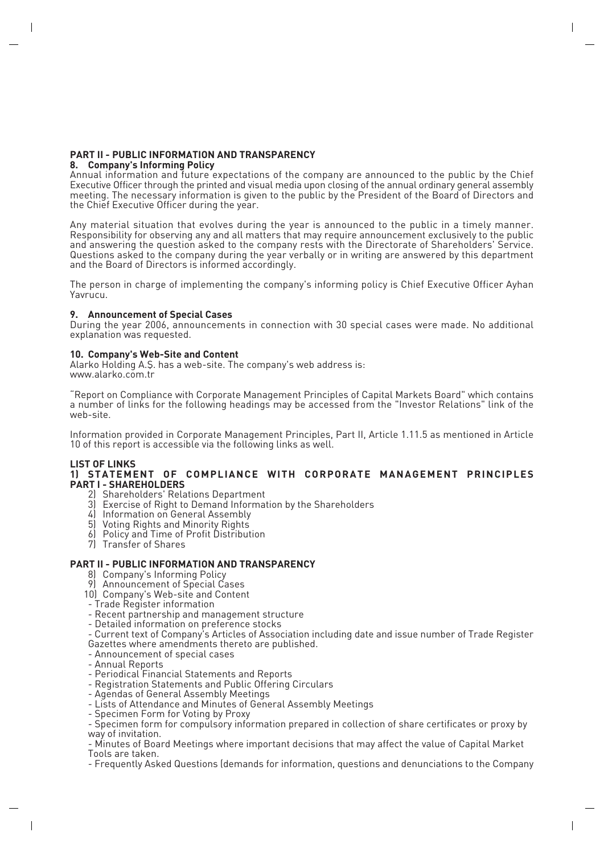### **PART II - PUBLIC INFORMATION AND TRANSPARENCY**

#### **8. Company's Informing Policy**

Annual information and future expectations of the company are announced to the public by the Chief Executive Officer through the printed and visual media upon closing of the annual ordinary general assembly meeting. The necessary information is given to the public by the President of the Board of Directors and the Chief Executive Officer during the year.

Any material situation that evolves during the year is announced to the public in a timely manner. Responsibility for observing any and all matters that may require announcement exclusively to the public and answering the question asked to the company rests with the Directorate of Shareholders' Service. Questions asked to the company during the year verbally or in writing are answered by this department and the Board of Directors is informed accordingly.

The person in charge of implementing the company's informing policy is Chief Executive Officer Ayhan Yavrucu.

#### **9. Announcement of Special Cases**

During the year 2006, announcements in connection with 30 special cases were made. No additional explanation was requested.

#### **10. Company's Web-Site and Content**

Alarko Holding A.S. has a web-site. The company's web address is: www.alarko.com.tr

"Report on Compliance with Corporate Management Principles of Capital Markets Board" which contains a number of links for the following headings may be accessed from the "Investor Relations" link of the web-site.

Information provided in Corporate Management Principles, Part II, Article 1.11.5 as mentioned in Article 10 of this report is accessible via the following links as well.

## **LIST OF LINKS**

#### **1) STATEMENT OF COMPLIANCE WITH CORPORATE MANAGEMENT PRINCIPLES PART I - SHAREHOLDERS**

- 2) Shareholders' Relations Department
- 3) Exercise of Right to Demand Information by the Shareholders
- 4) Information on General Assembly
- 5) Voting Rights and Minority Rights
- 6) Policy and Time of Profit Distribution
- 7) Transfer of Shares

#### **PART II - PUBLIC INFORMATION AND TRANSPARENCY**

- 8) Company's Informing Policy
- 9) Announcement of Special Cases
- 10) Company's Web-site and Content
- Trade Register information
- Recent partnership and management structure
- Detailed information on preference stocks
- Current text of Company's Articles of Association including date and issue number of Trade Register Gazettes where amendments thereto are published.
- Announcement of special cases
- Annual Reports
- Periodical Financial Statements and Reports
- Registration Statements and Public Offering Circulars
- Agendas of General Assembly Meetings
- Lists of Attendance and Minutes of General Assembly Meetings
- Specimen Form for Voting by Proxy

- Specimen form for compulsory information prepared in collection of share certificates or proxy by way of invitation.

- Minutes of Board Meetings where important decisions that may affect the value of Capital Market Tools are taken.

- Frequently Asked Questions (demands for information, questions and denunciations to the Company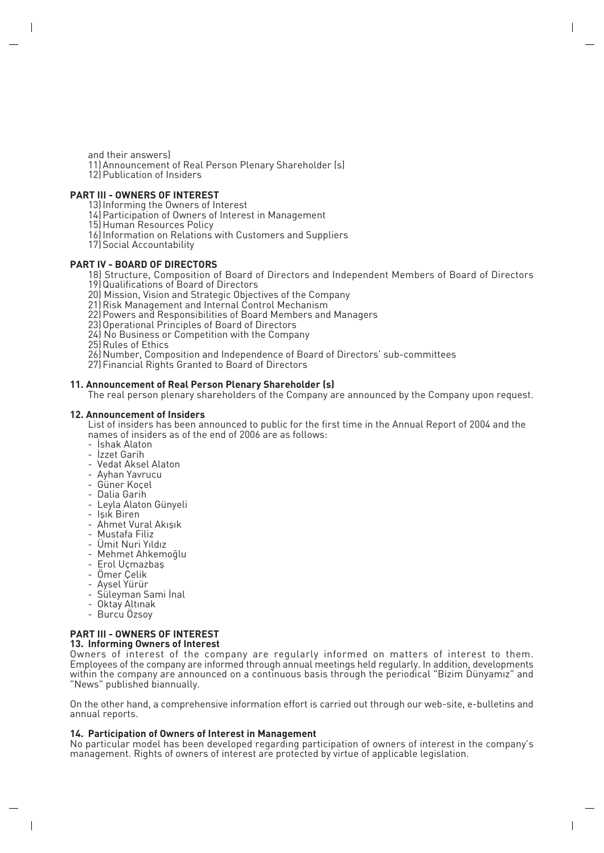and their answers) 11) Announcement of Real Person Plenary Shareholder (s) 12) Publication of Insiders

#### **PART III - OWNERS OF INTEREST**

13) Informing the Owners of Interest

14) Participation of Owners of Interest in Management

15) Human Resources Policy

- 16) Information on Relations with Customers and Suppliers
- 17) Social Accountability

#### **PART IV - BOARD OF DIRECTORS**

18) Structure, Composition of Board of Directors and Independent Members of Board of Directors

19) Qualifications of Board of Directors

20) Mission, Vision and Strategic Objectives of the Company

21) Risk Management and Internal Control Mechanism

22) Powers and Responsibilities of Board Members and Managers

23) Operational Principles of Board of Directors

24) No Business or Competition with the Company

25) Rules of Ethics

26) Number, Composition and Independence of Board of Directors' sub-committees

27) Financial Rights Granted to Board of Directors

#### **11. Announcement of Real Person Plenary Shareholder (s)**

The real person plenary shareholders of the Company are announced by the Company upon request.

#### **12. Announcement of Insiders**

List of insiders has been announced to public for the first time in the Annual Report of 2004 and the names of insiders as of the end of 2006 are as follows:

- İshak Alaton

- İzzet Garih
- Vedat Aksel Alaton
- Ayhan Yavrucu
- Güner Koçel
- Dalia Garih
- Leyla Alaton Günyeli
- Isik Biren
- Ahmet Vural Akışık
- Mustafa Filiz
- Ümit Nuri Yıldız
- Mehmet Ahkemoqlu
- Erol Uçmazbaş
- Ömer Çelik
- Aysel Yürür
- Süleyman Sami İnal
- Oktay Altınak
- Burcu Özsoy

# **PART III - OWNERS OF INTEREST**

**13. Informing Owners of Interest**

Owners of interest of the company are regularly informed on matters of interest to them. Employees of the company are informed through annual meetings held regularly. In addition, developments within the company are announced on a continuous basis through the periodical "Bizim Dünyamız" and "News" published biannually.

On the other hand, a comprehensive information effort is carried out through our web-site, e-bulletins and annual reports.

#### **14. Participation of Owners of Interest in Management**

No particular model has been developed regarding participation of owners of interest in the company's management. Rights of owners of interest are protected by virtue of applicable legislation.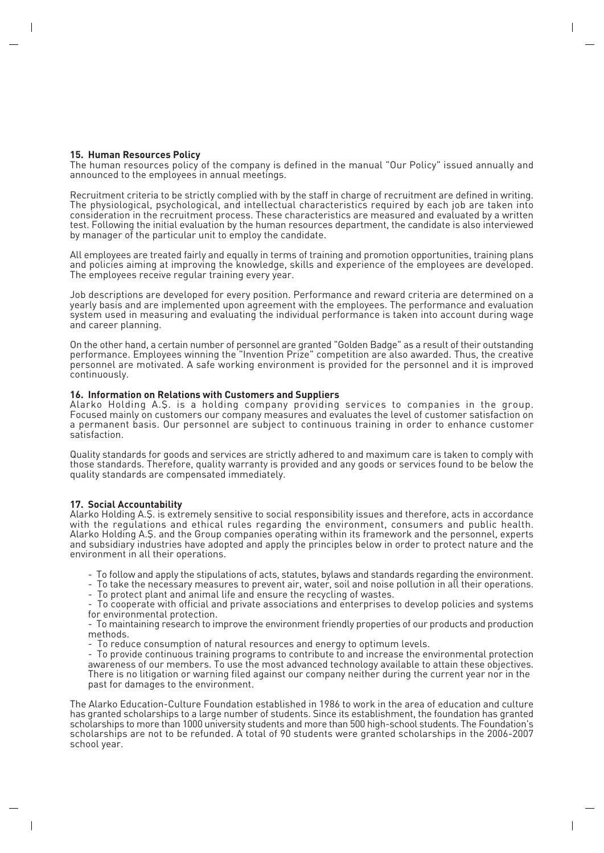#### **15. Human Resources Policy**

The human resources policy of the company is defined in the manual "Our Policy" issued annually and announced to the employees in annual meetings.

Recruitment criteria to be strictly complied with by the staff in charge of recruitment are defined in writing. The physiological, psychological, and intellectual characteristics required by each job are taken into consideration in the recruitment process. These characteristics are measured and evaluated by a written test. Following the initial evaluation by the human resources department, the candidate is also interviewed by manager of the particular unit to employ the candidate.

All employees are treated fairly and equally in terms of training and promotion opportunities, training plans and policies aiming at improving the knowledge, skills and experience of the employees are developed. The employees receive regular training every year.

Job descriptions are developed for every position. Performance and reward criteria are determined on a yearly basis and are implemented upon agreement with the employees. The performance and evaluation system used in measuring and evaluating the individual performance is taken into account during wage and career planning.

On the other hand, a certain number of personnel are granted "Golden Badge" as a result of their outstanding performance. Employees winning the "Invention Prize" competition are also awarded. Thus, the creative personnel are motivated. A safe working environment is provided for the personnel and it is improved continuously.

#### **16. Information on Relations with Customers and Suppliers**

Alarko Holding A.fi. is a holding company providing services to companies in the group. Focused mainly on customers our company measures and evaluates the level of customer satisfaction on a permanent basis. Our personnel are subject to continuous training in order to enhance customer satisfaction.

Quality standards for goods and services are strictly adhered to and maximum care is taken to comply with those standards. Therefore, quality warranty is provided and any goods or services found to be below the quality standards are compensated immediately.

#### **17. Social Accountability**

Alarko Holding A.fi. is extremely sensitive to social responsibility issues and therefore, acts in accordance with the regulations and ethical rules regarding the environment, consumers and public health. Alarko Holding A.fi. and the Group companies operating within its framework and the personnel, experts and subsidiary industries have adopted and apply the principles below in order to protect nature and the environment in all their operations.

- To follow and apply the stipulations of acts, statutes, bylaws and standards regarding the environment.

- To take the necessary measures to prevent air, water, soil and noise pollution in all their operations.

- To protect plant and animal life and ensure the recycling of wastes.

- To cooperate with official and private associations and enterprises to develop policies and systems for environmental protection.

- To maintaining research to improve the environment friendly properties of our products and production methods.

- To reduce consumption of natural resources and energy to optimum levels.

- To provide continuous training programs to contribute to and increase the environmental protection awareness of our members. To use the most advanced technology available to attain these objectives. There is no litigation or warning filed against our company neither during the current year nor in the past for damages to the environment.

The Alarko Education-Culture Foundation established in 1986 to work in the area of education and culture has granted scholarships to a large number of students. Since its establishment, the foundation has granted scholarships to more than 1000 university students and more than 500 high-school students. The Foundation's scholarships are not to be refunded. A total of 90 students were granted scholarships in the 2006-2007 school year.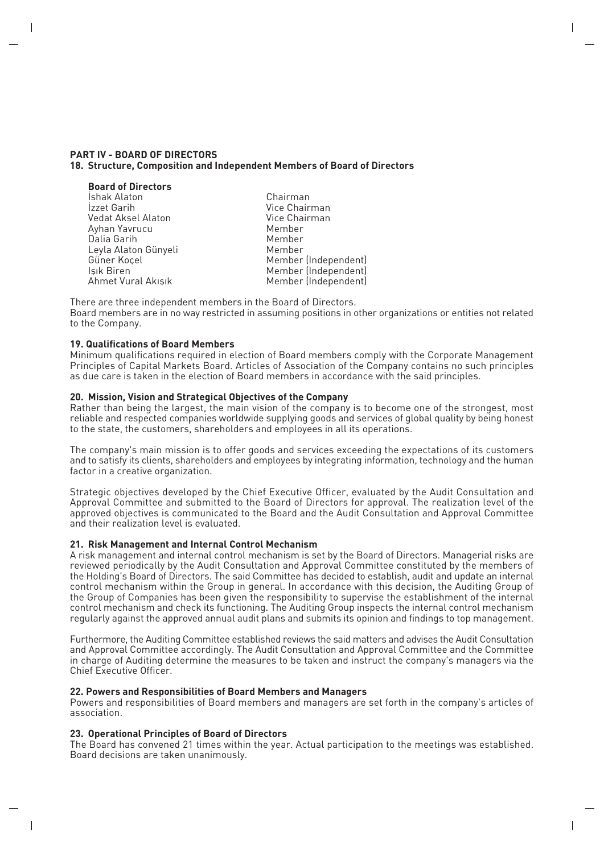#### **PART IV - BOARD OF DIRECTORS 18. Structure, Composition and Independent Members of Board of Directors**

| <b>Board of Directors</b> |                      |
|---------------------------|----------------------|
| İshak Alaton              | Chairman             |
| Izzet Garih               | Vice Chairman        |
| Vedat Aksel Alaton        | Vice Chairman        |
| Ayhan Yavrucu             | Member               |
| Dalia Garih               | Member               |
| Leyla Alaton Günyeli      | Member               |
| Güner Koçel               | Member (Independent) |
| Işık Biren                | Member (Independent) |
| Ahmet Vural Akışık        | Member (Independent) |
|                           |                      |

There are three independent members in the Board of Directors. Board members are in no way restricted in assuming positions in other organizations or entities not related to the Company.

#### **19. Qualifications of Board Members**

Minimum qualifications required in election of Board members comply with the Corporate Management Principles of Capital Markets Board. Articles of Association of the Company contains no such principles as due care is taken in the election of Board members in accordance with the said principles.

#### **20. Mission, Vision and Strategical Objectives of the Company**

Rather than being the largest, the main vision of the company is to become one of the strongest, most reliable and respected companies worldwide supplying goods and services of global quality by being honest to the state, the customers, shareholders and employees in all its operations.

The company's main mission is to offer goods and services exceeding the expectations of its customers and to satisfy its clients, shareholders and employees by integrating information, technology and the human factor in a creative organization.

Strategic objectives developed by the Chief Executive Officer, evaluated by the Audit Consultation and Approval Committee and submitted to the Board of Directors for approval. The realization level of the approved objectives is communicated to the Board and the Audit Consultation and Approval Committee and their realization level is evaluated.

#### **21. Risk Management and Internal Control Mechanism**

A risk management and internal control mechanism is set by the Board of Directors. Managerial risks are reviewed periodically by the Audit Consultation and Approval Committee constituted by the members of the Holding's Board of Directors. The said Committee has decided to establish, audit and update an internal control mechanism within the Group in general. In accordance with this decision, the Auditing Group of the Group of Companies has been given the responsibility to supervise the establishment of the internal control mechanism and check its functioning. The Auditing Group inspects the internal control mechanism regularly against the approved annual audit plans and submits its opinion and findings to top management.

Furthermore, the Auditing Committee established reviews the said matters and advises the Audit Consultation and Approval Committee accordingly. The Audit Consultation and Approval Committee and the Committee in charge of Auditing determine the measures to be taken and instruct the company's managers via the Chief Executive Officer.

#### **22. Powers and Responsibilities of Board Members and Managers**

Powers and responsibilities of Board members and managers are set forth in the company's articles of association.

#### **23. Operational Principles of Board of Directors**

The Board has convened 21 times within the year. Actual participation to the meetings was established. Board decisions are taken unanimously.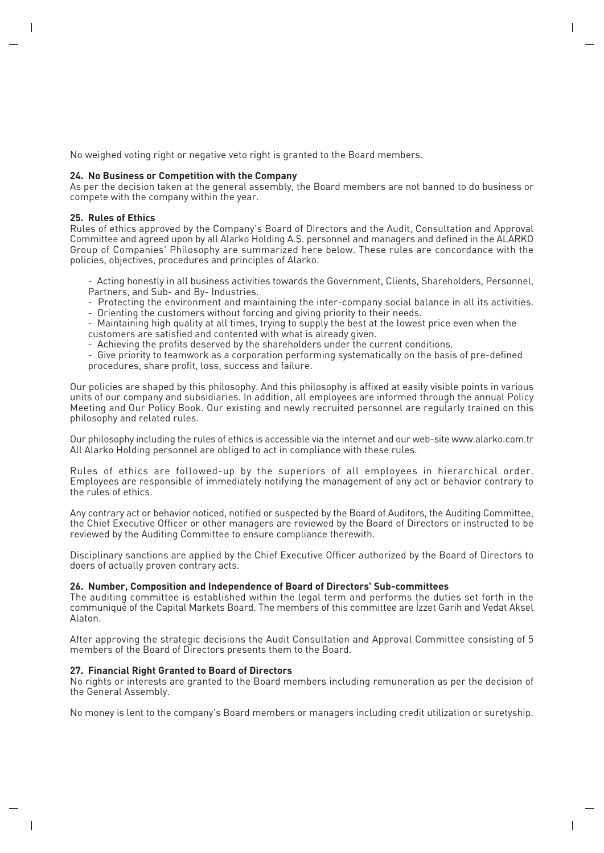No weighed voting right or negative veto right is granted to the Board members.

#### **24. No Business or Competition with the Company**

As per the decision taken at the general assembly, the Board members are not banned to do business or compete with the company within the year.

#### **25. Rules of Ethics**

Rules of ethics approved by the Company's Board of Directors and the Audit, Consultation and Approval Committee and agreed upon by all Alarko Holding A.S. personnel and managers and defined in the ALARKO Group of Companies' Philosophy are summarized here below. These rules are concordance with the policies, objectives, procedures and principles of Alarko.

- Acting honestly in all business activities towards the Government, Clients, Shareholders, Personnel, Partners, and Sub- and By- Industries.

- Protecting the environment and maintaining the inter-company social balance in all its activities.
- Orienting the customers without forcing and giving priority to their needs.

- Maintaining high quality at all times, trying to supply the best at the lowest price even when the customers are satisfied and contented with what is already given.

- Achieving the profits deserved by the shareholders under the current conditions.

- Give priority to teamwork as a corporation performing systematically on the basis of pre-defined procedures, share profit, loss, success and failure.

Our policies are shaped by this philosophy. And this philosophy is affixed at easily visible points in various units of our company and subsidiaries. In addition, all employees are informed through the annual Policy Meeting and Our Policy Book. Our existing and newly recruited personnel are regularly trained on this philosophy and related rules.

Our philosophy including the rules of ethics is accessible via the internet and our web-site www.alarko.com.tr All Alarko Holding personnel are obliged to act in compliance with these rules.

Rules of ethics are followed-up by the superiors of all employees in hierarchical order. Employees are responsible of immediately notifying the management of any act or behavior contrary to the rules of ethics.

Any contrary act or behavior noticed, notified or suspected by the Board of Auditors, the Auditing Committee, the Chief Executive Officer or other managers are reviewed by the Board of Directors or instructed to be reviewed by the Auditing Committee to ensure compliance therewith.

Disciplinary sanctions are applied by the Chief Executive Officer authorized by the Board of Directors to doers of actually proven contrary acts.

#### **26. Number, Composition and Independence of Board of Directors' Sub-committees**

The auditing committee is established within the legal term and performs the duties set forth in the communiqué of the Capital Markets Board. The members of this committee are Izzet Garih and Vedat Aksel Alaton.

After approving the strategic decisions the Audit Consultation and Approval Committee consisting of 5 members of the Board of Directors presents them to the Board.

#### **27. Financial Right Granted to Board of Directors**

No rights or interests are granted to the Board members including remuneration as per the decision of the General Assembly.

No money is lent to the company's Board members or managers including credit utilization or suretyship.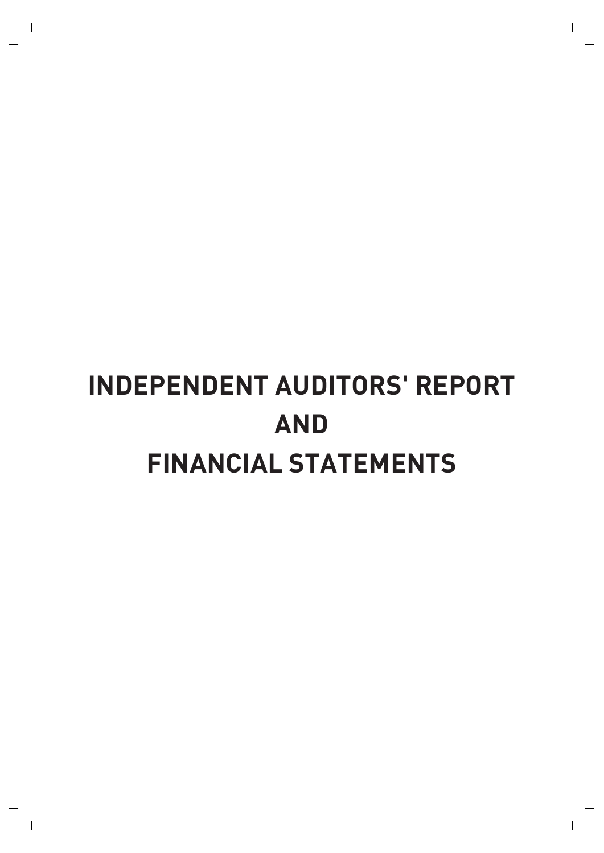# **INDEPENDENT AUDITORS' REPORT AND FINANCIAL STATEMENTS**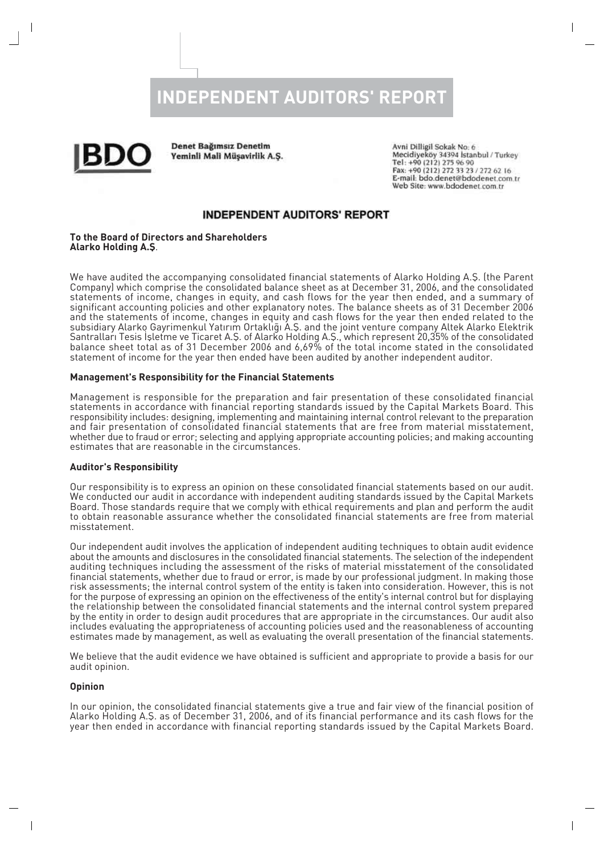# **INDEPENDENT AUDITORS' REPORT**



**Denet Bağımsız Denetim** Yeminli Mali Müşavirlik A.S.

Avni Dilligil Sokak No: 6 Mecidiyeköy 34394 İstanbul / Turkey Tel: +90 (212) 275 96 90<br>Fax: +90 (212) 275 96 90 E-mail: bdo.denet@bdodenet.com.tr Web Site: www.bdodenet.com.tr

## **INDEPENDENT AUDITORS' REPORT**

#### **To the Board of Directors and Shareholders Alarko Holding A.fi**.

We have audited the accompanying consolidated financial statements of Alarko Holding A.Ş. (the Parent Company) which comprise the consolidated balance sheet as at December 31, 2006, and the consolidated statements of income, changes in equity, and cash flows for the year then ended, and a summary of significant accounting policies and other explanatory notes. The balance sheets as of 31 December 2006 and the statements of income, changes in equity and cash flows for the year then ended related to the subsidiary Alarko Gayrimenkul Yatırım Ortaklığı A.Ş. and the joint venture company Altek Alarko Elektrik Santralları Tesis İsletme ve Ticaret A.Ş. of Alarko Holding A.Ş., which represent 20,35% of the consolidated balance sheet total as of 31 December 2006 and 6,69% of the total income stated in the consolidated statement of income for the year then ended have been audited by another independent auditor.

#### **Management's Responsibility for the Financial Statements**

Management is responsible for the preparation and fair presentation of these consolidated financial statements in accordance with financial reporting standards issued by the Capital Markets Board. This responsibility includes: designing, implementing and maintaining internal control relevant to the preparation and fair presentation of consolidated financial statements that are free from material misstatement, whether due to fraud or error; selecting and applying appropriate accounting policies; and making accounting estimates that are reasonable in the circumstances.

#### **Auditor's Responsibility**

Our responsibility is to express an opinion on these consolidated financial statements based on our audit. We conducted our audit in accordance with independent auditing standards issued by the Capital Markets Board. Those standards require that we comply with ethical requirements and plan and perform the audit to obtain reasonable assurance whether the consolidated financial statements are free from material misstatement.

Our independent audit involves the application of independent auditing techniques to obtain audit evidence about the amounts and disclosures in the consolidated financial statements. The selection of the independent auditing techniques including the assessment of the risks of material misstatement of the consolidated financial statements, whether due to fraud or error, is made by our professional judgment. In making those risk assessments; the internal control system of the entity is taken into consideration. However, this is not for the purpose of expressing an opinion on the effectiveness of the entity's internal control but for displaying the relationship between the consolidated financial statements and the internal control system prepared by the entity in order to design audit procedures that are appropriate in the circumstances. Our audit also includes evaluating the appropriateness of accounting policies used and the reasonableness of accounting estimates made by management, as well as evaluating the overall presentation of the financial statements.

We believe that the audit evidence we have obtained is sufficient and appropriate to provide a basis for our audit opinion.

#### **Opinion**

In our opinion, the consolidated financial statements give a true and fair view of the financial position of Alarko Holding A.fi. as of December 31, 2006, and of its financial performance and its cash flows for the year then ended in accordance with financial reporting standards issued by the Capital Markets Board.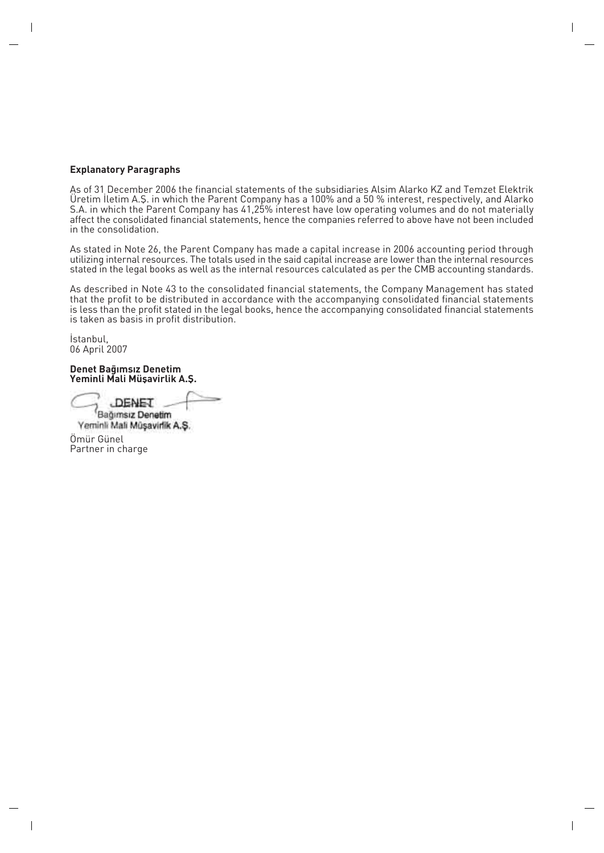#### **Explanatory Paragraphs**

As of 31 December 2006 the financial statements of the subsidiaries Alsim Alarko KZ and Temzet Elektrik Uretim lletim A.Ş. in which the Parent Company has a 100% and a 50 % interest, respectively, and Alarko S.A. in which the Parent Company has 41,25% interest have low operating volumes and do not materially affect the consolidated financial statements, hence the companies referred to above have not been included in the consolidation.

As stated in Note 26, the Parent Company has made a capital increase in 2006 accounting period through utilizing internal resources. The totals used in the said capital increase are lower than the internal resources stated in the legal books as well as the internal resources calculated as per the CMB accounting standards.

As described in Note 43 to the consolidated financial statements, the Company Management has stated that the profit to be distributed in accordance with the accompanying consolidated financial statements is less than the profit stated in the legal books, hence the accompanying consolidated financial statements is taken as basis in profit distribution.

İstanbul. 06 April 2007

Denet Bağımsız Denetim Yeminli Mali Müşavirlik A.Ş.

**DENET** 

Bağımsız Denetim Yeminli Mali Müsavirlik A.S. Ömür Günel Partner in charge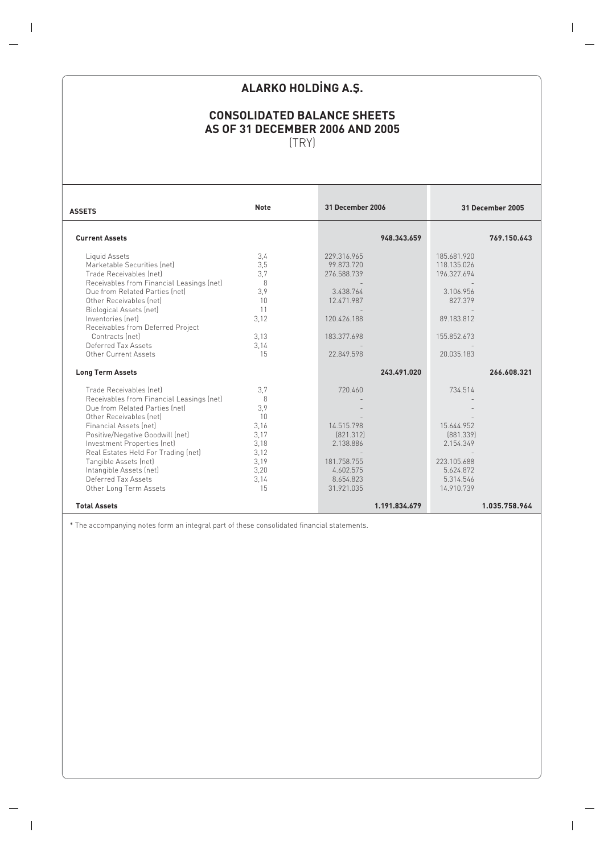# **ALARKO HOLDING A.S.**

# **CONSOLIDATED BALANCE SHEETS AS OF 31 DECEMBER 2006 AND 2005** (TRY)

| <b>ASSETS</b>                                                               | <b>Note</b> | <b>31 December 2006</b> | 31 December 2005 |
|-----------------------------------------------------------------------------|-------------|-------------------------|------------------|
| <b>Current Assets</b>                                                       |             | 948.343.659             | 769.150.643      |
|                                                                             | 3,4         | 229.316.965             | 185.681.920      |
| Liquid Assets<br>Marketable Securities (net)                                | 3,5         | 99.873.720              | 118.135.026      |
| Trade Receivables (net)                                                     | 3.7         | 276.588.739             | 196.327.694      |
|                                                                             | 8           |                         |                  |
| Receivables from Financial Leasings (net)<br>Due from Related Parties (net) | 3,9         | 3.438.764               | 3.106.956        |
| Other Receivables (net)                                                     | 10          | 12.471.987              | 827.379          |
|                                                                             | 11          |                         |                  |
| <b>Biological Assets (net)</b><br>Inventories (net)                         | 3,12        | 120.426.188             | 89.183.812       |
|                                                                             |             |                         |                  |
| Receivables from Deferred Project<br>Contracts (net)                        |             | 183.377.698             |                  |
|                                                                             | 3,13        |                         | 155.852.673      |
| Deferred Tax Assets                                                         | 3,14<br>15  | 22.849.598              | 20.035.183       |
| Other Current Assets                                                        |             |                         |                  |
| <b>Long Term Assets</b>                                                     |             | 243.491.020             | 266.608.321      |
| Trade Receivables (net)                                                     | 3.7         | 720.460                 | 734.514          |
|                                                                             | 8           |                         |                  |
| Receivables from Financial Leasings (net)<br>Due from Related Parties (net) | 3,9         |                         |                  |
| Other Receivables (net)                                                     | 10          |                         |                  |
| <b>Financial Assets (net)</b>                                               |             | 14.515.798              | 15.644.952       |
|                                                                             | 3,16        |                         |                  |
| Positive/Negative Goodwill (net)                                            | 3,17        | [821.312]               | [881.339]        |
| Investment Properties (net)                                                 | 3,18        | 2.138.886               | 2.154.349        |
| Real Estates Held For Trading (net)                                         | 3,12        |                         |                  |
| Tangible Assets (net)                                                       | 3.19        | 181.758.755             | 223.105.688      |
| Intangible Assets (net)                                                     | 3,20        | 4.602.575               | 5.624.872        |
| Deferred Tax Assets                                                         | 3,14        | 8.654.823               | 5.314.546        |
| Other Long Term Assets                                                      | 15          | 31.921.035              | 14.910.739       |
| <b>Total Assets</b>                                                         |             | 1.191.834.679           | 1.035.758.964    |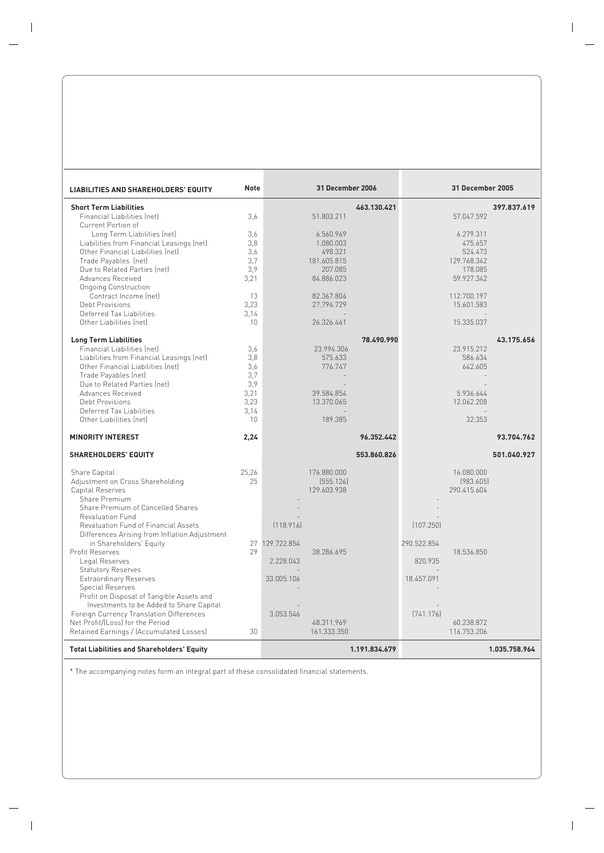| <b>LIABILITIES AND SHAREHOLDERS' EQUITY</b>         | Note       |                | 31 December 2006 |               |             | <b>31 December 2005</b> |               |
|-----------------------------------------------------|------------|----------------|------------------|---------------|-------------|-------------------------|---------------|
| <b>Short Term Liabilities</b>                       |            |                |                  | 463.130.421   |             |                         | 397.837.619   |
| Financial Liabilities (net)                         | 3,6        |                | 51.803.211       |               |             | 57.047.592              |               |
| Current Portion of                                  |            |                |                  |               |             |                         |               |
| Long Term Liabilities (net)                         | 3.6        |                | 6.560.969        |               |             | 6.279.311               |               |
| Liabilities from Financial Leasings (net)           | 3,8        |                | 1.080.003        |               |             | 475.657                 |               |
| Other Financial Liabilities (net)                   | 3,6        |                | 498.321          |               |             | 524.473                 |               |
| Trade Payables (net)                                | 3.7        |                | 181.605.815      |               |             | 129.768.342             |               |
| Due to Related Parties (net)                        | 3,9        |                | 207.085          |               |             | 178.085                 |               |
| Advances Received                                   | 3,21       |                | 84.886.023       |               |             | 59.927.342              |               |
| Ongoing Construction                                |            |                |                  |               |             |                         |               |
| Contract Income (net)                               | 13         |                | 82.367.804       |               |             | 112.700.197             |               |
| Debt Provisions                                     | 3,23       |                | 27.794.729       |               |             | 15.601.583              |               |
| Deferred Tax Liabilities<br>Other Liabilities (net) | 3.14<br>10 |                | 26.326.461       |               |             | 15.335.037              |               |
|                                                     |            |                |                  |               |             |                         |               |
| <b>Long Term Liabilities</b>                        |            |                |                  | 78.490.990    |             |                         | 43.175.656    |
| Financial Liabilities (net)                         | 3.6        |                | 23.994.306       |               |             | 23.915.212              |               |
| Liabilities from Financial Leasings (net)           | 3.8        |                | 575.633          |               |             | 586.634                 |               |
| Other Financial Liabilities (net)                   | 3,6        |                | 776.747          |               |             | 642.605                 |               |
| Trade Payables (net)                                | 3.7        |                |                  |               |             |                         |               |
| Due to Related Parties (net)                        | 3.9        |                |                  |               |             |                         |               |
| Advances Received                                   | 3,21       |                | 39.584.854       |               |             | 5.936.644               |               |
| <b>Debt Provisions</b>                              | 3,23       |                | 13.370.065       |               |             | 12.062.208              |               |
| Deferred Tax Liabilities                            | 3.14       |                |                  |               |             |                         |               |
| Other Liabilities (net)                             | 10         |                | 189.385          |               |             | 32.353                  |               |
| <b>MINORITY INTEREST</b>                            | 2,24       |                |                  | 96.352.442    |             |                         | 93.704.762    |
| <b>SHAREHOLDERS' EQUITY</b>                         |            |                |                  | 553.860.826   |             |                         | 501.040.927   |
| Share Capital                                       | 25.26      |                | 176.880.000      |               |             | 16.080.000              |               |
| Adjustment on Cross Shareholding                    | 25         |                | [555.126]        |               |             | (983.605)               |               |
| Capital Reserves                                    |            |                | 129.603.938      |               |             | 290.415.604             |               |
| Share Premium                                       |            |                |                  |               |             |                         |               |
| Share Premium of Cancelled Shares                   |            |                |                  |               |             |                         |               |
| <b>Revaluation Fund</b>                             |            |                |                  |               |             |                         |               |
| Revaluation Fund of Financial Assets                |            | [118.916]      |                  |               | (107.250)   |                         |               |
| Differences Arising from Inflation Adjustment       |            |                |                  |               |             |                         |               |
| in Shareholders' Equity<br>Profit Reserves          | 29         | 27 129,722.854 | 38.286.695       |               | 290.522.854 | 18.536.850              |               |
| Legal Reserves                                      |            | 2.228.043      |                  |               | 820.935     |                         |               |
| <b>Statutory Reserves</b>                           |            |                |                  |               |             |                         |               |
| <b>Extraordinary Reserves</b>                       |            | 33.005.106     |                  |               | 18.457.091  |                         |               |
| <b>Special Reserves</b>                             |            |                |                  |               |             |                         |               |
| Profit on Disposal of Tangible Assets and           |            |                |                  |               |             |                         |               |
| Investments to be Added to Share Capital            |            |                |                  |               |             |                         |               |
| Foreign Currency Translation Differences            |            | 3.053.546      |                  |               | [741.176]   |                         |               |
| Net Profit/(Loss) for the Period                    |            |                | 48.311.969       |               |             | 60.238.872              |               |
| Retained Earnings / (Accumulated Losses)            | 30         |                | 161.333.350      |               |             | 116.753.206             |               |
| <b>Total Liabilities and Shareholders' Equity</b>   |            |                |                  | 1.191.834.679 |             |                         | 1.035.758.964 |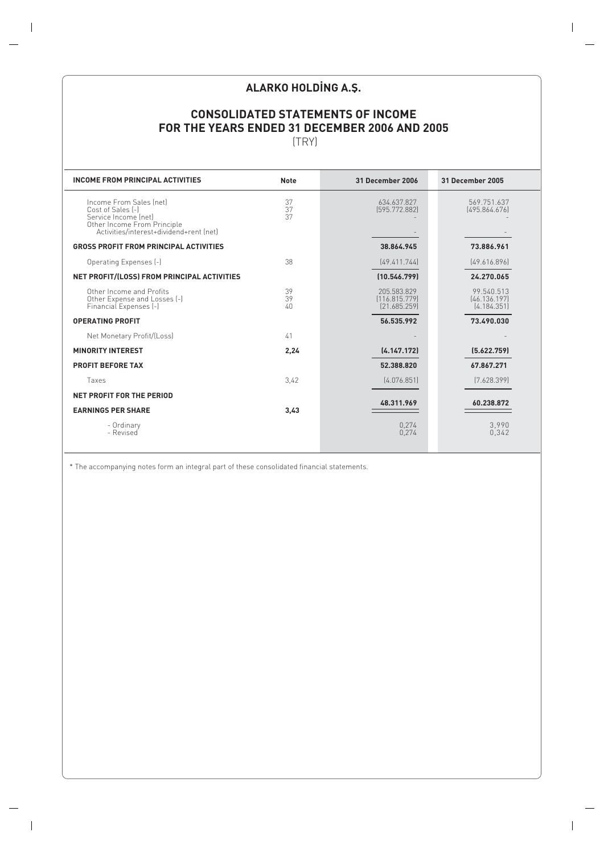# **ALARKO HOLDING A.Ş.**

# **CONSOLIDATED STATEMENTS OF INCOME FOR THE YEARS ENDED 31 DECEMBER 2006 AND 2005**

(TRY)

| <b>INCOME FROM PRINCIPAL ACTIVITIES</b>                                                                                                        | <b>Note</b>          | 31 December 2006                             | 31 December 2005                          |
|------------------------------------------------------------------------------------------------------------------------------------------------|----------------------|----------------------------------------------|-------------------------------------------|
| Income From Sales (net)<br>Cost of Sales [-]<br>Service Income (net)<br>Other Income From Principle<br>Activities/interest+dividend+rent (net) | 37<br>37<br>37       | 634.637.827<br>[595.772.882]                 | 569.751.637<br>[495.864.676]              |
| <b>GROSS PROFIT FROM PRINCIPAL ACTIVITIES</b>                                                                                                  |                      | 38.864.945                                   | 73.886.961                                |
| Operating Expenses (-)                                                                                                                         | 38                   | [49.411.744]                                 | [49.616.896]                              |
| NET PROFIT/(LOSS) FROM PRINCIPAL ACTIVITIES                                                                                                    |                      | (10.546.799)                                 | 24.270.065                                |
| Other Income and Profits<br>Other Expense and Losses [-]<br>Financial Expenses (-)                                                             | 39<br>39<br>$40^{1}$ | 205.583.829<br>[116.815.779]<br>[21.685.259] | 99.540.513<br>[46.136.197]<br>(4.184.351) |
| <b>OPERATING PROFIT</b>                                                                                                                        |                      | 56.535.992                                   | 73.490.030                                |
| Net Monetary Profit/(Loss)                                                                                                                     | 41                   |                                              |                                           |
| <b>MINORITY INTEREST</b>                                                                                                                       | 2,24                 | (4.147.172)                                  | (5.622.759)                               |
| <b>PROFIT BEFORE TAX</b>                                                                                                                       |                      | 52.388.820                                   | 67.867.271                                |
| Taxes                                                                                                                                          | 3.42                 | [4.076.851]                                  | (7.628.399)                               |
| NET PROFIT FOR THE PERIOD                                                                                                                      |                      | 48.311.969                                   | 60.238.872                                |
| <b>EARNINGS PER SHARE</b>                                                                                                                      | 3,43                 |                                              |                                           |
| - Ordinary<br>- Revised                                                                                                                        |                      | 0,274<br>0,274                               | 3,990<br>0,342                            |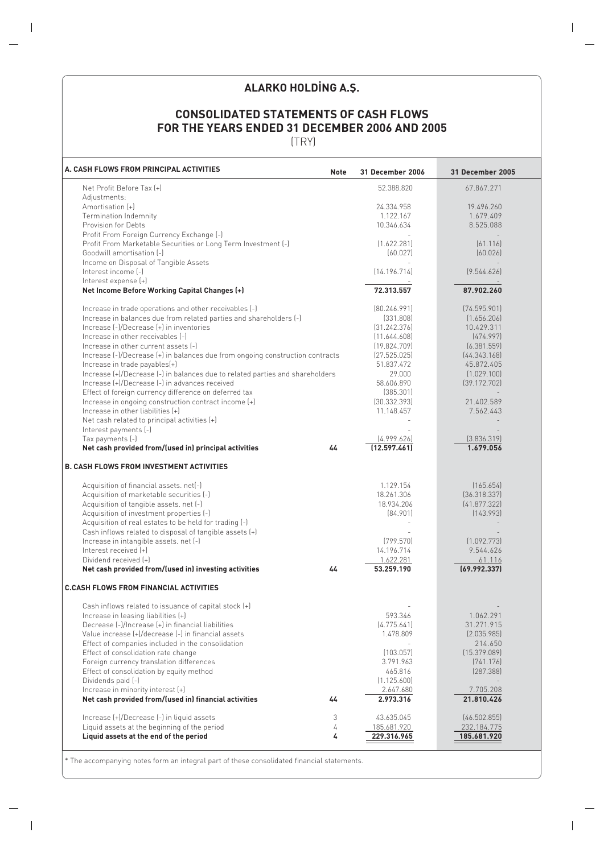# **ALARKO HOLDING A.Ş.**

# **CONSOLIDATED STATEMENTS OF CASH FLOWS FOR THE YEARS ENDED 31 DECEMBER 2006 AND 2005**

(TRY)

| A. CASH FLOWS FROM PRINCIPAL ACTIVITIES<br><b>Note</b>                        | <b>31 December 2006</b> | <b>31 December 2005</b> |
|-------------------------------------------------------------------------------|-------------------------|-------------------------|
| Net Profit Before Tax [+]                                                     | 52.388.820              | 67.867.271              |
| Adjustments:                                                                  |                         |                         |
| Amortisation [+]                                                              | 24.334.958              | 19.496.260              |
| Termination Indemnity                                                         | 1.122.167               | 1.679.409               |
| Provision for Debts                                                           | 10.346.634              | 8.525.088               |
| Profit From Foreign Currency Exchange (-)                                     |                         |                         |
| Profit From Marketable Securities or Long Term Investment (-)                 | (1.622.281)             | [61.116]                |
| Goodwill amortisation [-]                                                     | (60.027)                | (60.026)                |
| Income on Disposal of Tangible Assets                                         |                         |                         |
| Interest income (-)                                                           | [14.196.714]            | (9.544.626)             |
| Interest expense (+)                                                          |                         |                         |
| Net Income Before Working Capital Changes (+)                                 | 72.313.557              | 87.902.260              |
| Increase in trade operations and other receivables [-]                        | [80.246.991]            | (74.595.901)            |
| Increase in balances due from related parties and shareholders (-)            | (331.808)               | (1.656.206)             |
| Increase (-)/Decrease (+) in inventories                                      | [31.242.376]            | 10.429.311              |
| Increase in other receivables [-]                                             | [11.644.608]            | (474.997)               |
| Increase in other current assets [-]                                          | (19.824.709)            | (6.381.559)             |
| Increase (-)/Decrease (+) in balances due from ongoing construction contracts | [27.525.025]            | [44.343.168]            |
| Increase in trade payables(+)                                                 | 51.837.472              | 45.872.405              |
| Increase (+)/Decrease (-) in balances due to related parties and shareholders | 29.000                  | (1.029.100)             |
| Increase (+)/Decrease (-) in advances received                                | 58.606.890              | (39.172.702)            |
| Effect of foreign currency difference on deferred tax                         | (385.301)               |                         |
| Increase in ongoing construction contract income (+)                          | [30.332.393]            | 21.402.589              |
| Increase in other liabilities [+]                                             | 11.148.457              | 7.562.443               |
| Net cash related to principal activities (+)<br>Interest payments (-)         |                         |                         |
| Tax payments (-)                                                              | [4.999.626]             | [3.836.319]             |
| Net cash provided from/(used in) principal activities<br>44                   | [12.597.461]            | 1.679.056               |
| <b>B. CASH FLOWS FROM INVESTMENT ACTIVITIES</b>                               |                         |                         |
| Acquisition of financial assets. net(-)                                       | 1.129.154               | (165.654)               |
| Acquisition of marketable securities (-)                                      | 18.261.306              | (36.318.337)            |
| Acquisition of tangible assets. net [-]                                       | 18.934.206              | (41.877.322)            |
| Acquisition of investment properties (-)                                      | [84.901]                | [143.993]               |
| Acquisition of real estates to be held for trading (-)                        |                         |                         |
| Cash inflows related to disposal of tangible assets (+)                       |                         |                         |
| Increase in intangible assets. net (-)                                        | (799.570)               | (1.092.773)             |
| Interest received [+]                                                         | 14.196.714              | 9.544.626               |
| Dividend received [+]                                                         | 1.622.281               | 61.116                  |
| Net cash provided from/(used in) investing activities<br>44                   | 53.259.190              | (69.992.337)            |
| <b>C.CASH FLOWS FROM FINANCIAL ACTIVITIES</b>                                 |                         |                         |
| Cash inflows related to issuance of capital stock [+]                         |                         |                         |
| Increase in leasing liabilities (+)                                           | 593.346                 | 1.062.291               |
| Decrease (-)/Increase (+) in financial liabilities                            | (4.775.641)             | 31.271.915              |
| Value increase (+)/decrease (-) in financial assets                           | 1.478.809               | (2.035.985)             |
| Effect of companies included in the consolidation                             |                         | 214.650                 |
| Effect of consolidation rate change                                           | (103.057)               | (15.379.089)            |
| Foreign currency translation differences                                      | 3.791.963               | (741.176)               |
| Effect of consolidation by equity method                                      | 465.816                 | [287.388]               |
| Dividends paid (-)                                                            | (1.125.600)             |                         |
| Increase in minority interest (+)                                             | 2.647.680               | 7.705.208               |
| Net cash provided from/(used in) financial activities<br>44                   | 2.973.316               | 21.810.426              |
| Increase (+)/Decrease (-) in liquid assets<br>3                               | 43.635.045              | (46.502.855)            |
| Liquid assets at the beginning of the period<br>4                             | 185.681.920             | 232.184.775             |
| Liquid assets at the end of the period<br>4                                   | 229.316.965             | 185.681.920             |
|                                                                               |                         |                         |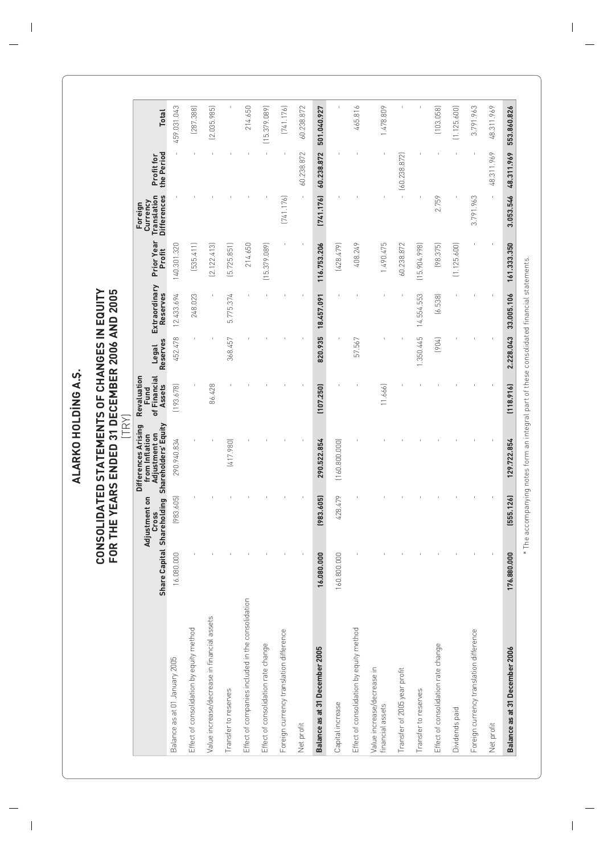ALARKO HOLDING A.S. **ALARKO HOLDING A.S.** 

# **CONSOLIDATED STATEMENTS OF CHANGES IN EQUITY FOR THE YEARS ENDED 31 DECEMBER 2006 AND 2005 CONSOLIDATED STATEMENTS OF CHANGES IN EQUITY<br>FOR THE YEARS ENDED 31 DECEMBER 2006 AND 2005<br>[TRY]**

|                                                   | <b>Share Capital</b> | Adjustment on<br><b>Cross</b> | Shareholding Shareholders' Equity<br>Differences Arising<br>Adjustment on<br>from Inflation | Revaluation<br>of Financial<br>Assets<br>Fund | Reserves<br>Legal | Extraordinary<br>Reserves | Prior Year<br>Profit | <b>Differences</b><br><b>Translation</b><br>Currency<br>Foreign | the Period<br>Profit for | <b>Total</b> |
|---------------------------------------------------|----------------------|-------------------------------|---------------------------------------------------------------------------------------------|-----------------------------------------------|-------------------|---------------------------|----------------------|-----------------------------------------------------------------|--------------------------|--------------|
| Balance as at 01 January 2005                     | 16.080.000           | (983.605)                     | 290.940.834                                                                                 | (193.678)                                     | 452.478           | 12.433.694                | 140.301.320          |                                                                 |                          | 459.031.043  |
| Effect of consolidation by equity method          |                      |                               |                                                                                             |                                               |                   | 248.023                   | [535.411]            |                                                                 |                          | [287.388]    |
| Value increase/decrease in financial assets       |                      |                               |                                                                                             | 86.428                                        |                   |                           | [2.122.413]          |                                                                 |                          | [2.035.985]  |
| Transfer to reserves                              |                      |                               | (417.980)                                                                                   |                                               | 368.457           | 5.775.374                 | (5.725.851)          |                                                                 |                          |              |
| Effect of companies included in the consolidation |                      |                               |                                                                                             |                                               |                   |                           | 214.650              |                                                                 |                          | 214.650      |
| Effect of consolidation rate change               |                      |                               |                                                                                             |                                               |                   |                           | (15.379.089)         |                                                                 |                          | [15.379.089] |
| Foreign currency translation difference           |                      |                               |                                                                                             |                                               |                   |                           |                      | [741.176]                                                       |                          | [741.176]    |
| Net profit                                        |                      |                               |                                                                                             |                                               |                   |                           |                      | $\mathfrak l$                                                   | 60.238.872               | 60.238.872   |
| Balance as at 31 December 2005                    | 16.080.000           | (983.605)                     | 290.522.854                                                                                 | (107.250)                                     | 820.935           | 18.457.091                | 116.753.206          | [741.176]                                                       | 60.238.872               | 501.040.927  |
| Capital increase                                  | 160.800.000          | 428.479                       | (160.800.000)                                                                               |                                               |                   |                           | (428.479)            |                                                                 |                          |              |
| Effect of consolidation by equity method          |                      |                               |                                                                                             |                                               | 57.567            |                           | 408.249              |                                                                 |                          | 465.816      |
| Value increase/decrease in<br>financial assets    |                      |                               |                                                                                             | 11.666                                        |                   |                           | 1.490.475            |                                                                 |                          | 1.478.809    |
| Transfer of 2005 year profit                      |                      |                               |                                                                                             |                                               |                   |                           | 60.238.872           |                                                                 | $-$ (60.238.872)         |              |
| Transfer to reserves                              |                      |                               |                                                                                             |                                               | 1.350.445         | 14.554.553                | [15.904.998]         |                                                                 |                          |              |
| Effect of consolidation rate change               |                      |                               |                                                                                             |                                               | (904)             | (6.538)                   | (98.375)             | 2.759                                                           |                          | (103.058)    |
| Dividends paid                                    |                      |                               |                                                                                             |                                               |                   |                           | (1.125.600)          |                                                                 |                          | (1.125.600)  |
| Foreign currency translation difference           |                      |                               |                                                                                             |                                               |                   |                           |                      | 3.791.963                                                       |                          | 3.791.963    |
| Net profit                                        |                      |                               |                                                                                             |                                               |                   |                           |                      |                                                                 | 48.311.969               | 48.311.969   |
| Balance as at 31 December 2006                    | 176.880.000          | [555.126]                     | 129.722.854                                                                                 | (118.916)                                     | 2.228.043         | 33.005.106                | 161.333.350          | 3.053.546                                                       | 48.311.969               | 553.860.826  |

\* The accompanying notes form an integral part of these consolidated financial statements. \* The accompanying notes form an integral part of these consolidated financial statements.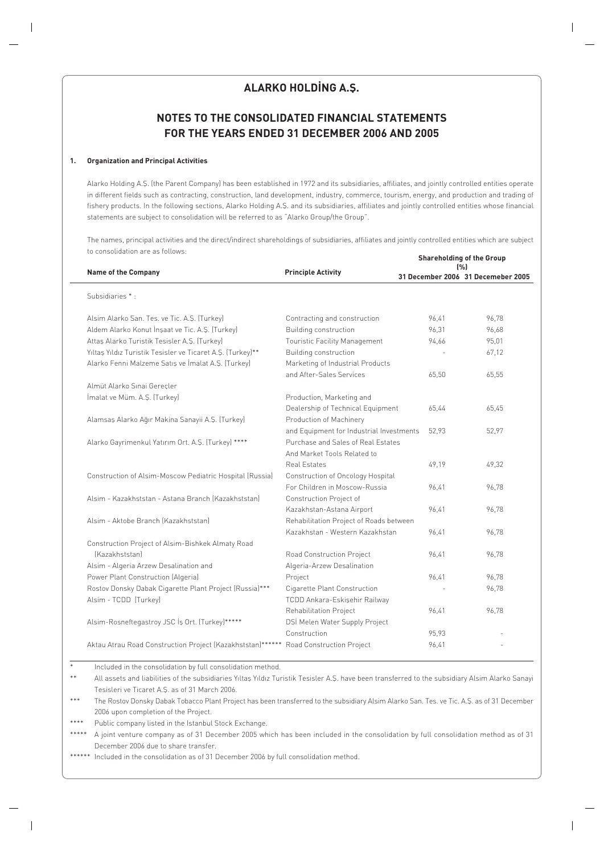# **ALARKO HOLDING A.S.**

# **NOTES TO THE CONSOLIDATED FINANCIAL STATEMENTS FOR THE YEARS ENDED 31 DECEMBER 2006 AND 2005**

#### **1. Organization and Principal Activities**

Alarko Holding A.S. (the Parent Company) has been established in 1972 and its subsidiaries, affiliates, and jointly controlled entities operate in different fields such as contracting, construction, land development, industry, commerce, tourism, energy, and production and trading of fishery products. In the following sections, Alarko Holding A.S. and its subsidiaries, affiliates and jointly controlled entities whose financial statements are subject to consolidation will be referred to as "Alarko Group/the Group".

The names, principal activities and the direct/indirect shareholdings of subsidiaries, affiliates and jointly controlled entities which are subject to consolidation are as follows: **Shareholding of the Group**

|                                                                                      |                                          |       | anarcholumy or the oroup<br>[%]    |
|--------------------------------------------------------------------------------------|------------------------------------------|-------|------------------------------------|
| <b>Name of the Company</b>                                                           | <b>Principle Activity</b>                |       | 31 December 2006 31 Decemeber 2005 |
| Subsidiaries *:                                                                      |                                          |       |                                    |
| Alsim Alarko San. Tes. ve Tic. A.Ş. (Turkey)                                         | Contracting and construction             | 96.41 | 96,78                              |
| Aldem Alarko Konut İnşaat ve Tic. A.Ş. (Turkey)                                      | Building construction                    | 96,31 | 96,68                              |
| Attas Alarko Turistik Tesisler A.S. (Turkey)                                         | Touristic Facility Management            | 94,66 | 95,01                              |
| Yıltaş Yıldız Turistik Tesisler ve Ticaret A.Ş. (Turkey)**                           | Building construction                    |       | 67,12                              |
| Alarko Fenni Malzeme Satış ve İmalat A.Ş. (Turkey)                                   | Marketing of Industrial Products         |       |                                    |
|                                                                                      | and After-Sales Services                 | 65,50 | 65,55                              |
| Almüt Alarko Sınai Gerecler                                                          |                                          |       |                                    |
| İmalat ve Müm. A.Ş. (Turkey)                                                         | Production, Marketing and                |       |                                    |
|                                                                                      | Dealership of Technical Equipment        | 65,44 | 65,45                              |
| Alamsaş Alarko Ağır Makina Sanayii A.Ş. (Turkey)                                     | Production of Machinery                  |       |                                    |
|                                                                                      | and Equipment for Industrial Investments | 52,93 | 52,97                              |
| Alarko Gayrimenkul Yatırım Ort. A.Ş. (Turkey) ****                                   | Purchase and Sales of Real Estates       |       |                                    |
|                                                                                      | And Market Tools Related to              |       |                                    |
|                                                                                      | <b>Real Estates</b>                      | 49,19 | 49,32                              |
| Construction of Alsim-Moscow Pediatric Hospital (Russia)                             | Construction of Oncology Hospital        |       |                                    |
|                                                                                      | For Children in Moscow-Russia            | 96.41 | 96,78                              |
| Alsim - Kazakhststan - Astana Branch (Kazakhststan)                                  | Construction Project of                  |       |                                    |
|                                                                                      | Kazakhstan-Astana Airport                | 96,41 | 96,78                              |
| Alsim - Aktobe Branch (Kazakhststan)                                                 | Rehabilitation Project of Roads between  |       |                                    |
|                                                                                      | Kazakhstan - Western Kazakhstan          | 96.41 | 96,78                              |
| Construction Project of Alsim-Bishkek Almaty Road                                    |                                          |       |                                    |
| [Kazakhststan]                                                                       | Road Construction Project                | 96.41 | 96.78                              |
| Alsim - Algeria Arzew Desalination and                                               | Algeria-Arzew Desalination               |       |                                    |
| Power Plant Construction (Algeria)                                                   | Project                                  | 96,41 | 96,78                              |
| Rostov Donsky Dabak Cigarette Plant Project (Russia)***                              | Cigarette Plant Construction             |       | 96,78                              |
| Alsim - TCDD (Turkey)                                                                | TCDD Ankara-Eskişehir Railway            |       |                                    |
|                                                                                      | Rehabilitation Project                   | 96,41 | 96,78                              |
| Alsim-Rosneftegastroy JSC İş Ort. (Turkey)*****                                      | DSİ Melen Water Supply Project           |       |                                    |
|                                                                                      | Construction                             | 95,93 |                                    |
| Aktau Atrau Road Construction Project (Kazakhststan)****** Road Construction Project |                                          | 96,41 |                                    |
|                                                                                      |                                          |       |                                    |

Included in the consolidation by full consolidation method.

\*\* All assets and liabilities of the subsidiaries Yıltaş Yıldız Turistik Tesisler A.Ş. have been transferred to the subsidiary Alsim Alarko Sanayi Tesisleri ve Ticaret A.Ş. as of 31 March 2006.

\*\*\* The Rostov Donsky Dabak Tobacco Plant Project has been transferred to the subsidiary Alsim Alarko San. Tes. ve Tic. A.S. as of 31 December 2006 upon completion of the Project.

\*\*\*\* Public company listed in the Istanbul Stock Exchange.

\*\*\*\*\* A joint venture company as of 31 December 2005 which has been included in the consolidation by full consolidation method as of 31 December 2006 due to share transfer.

\*\*\*\*\*\* Included in the consolidation as of 31 December 2006 by full consolidation method.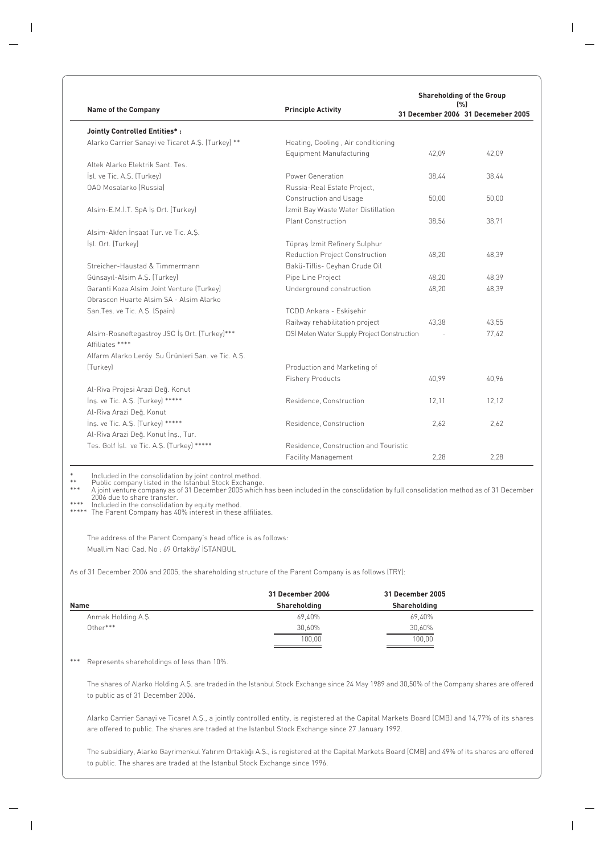|                                                                  |                                             |       | <b>Shareholding of the Group</b><br>$1\%1$ |
|------------------------------------------------------------------|---------------------------------------------|-------|--------------------------------------------|
| <b>Name of the Company</b>                                       | <b>Principle Activity</b>                   |       | 31 December 2006 31 Decemeber 2005         |
| <b>Jointly Controlled Entities*:</b>                             |                                             |       |                                            |
| Alarko Carrier Sanayi ve Ticaret A.S. (Turkey) **                | Heating, Cooling, Air conditioning          |       |                                            |
|                                                                  | Equipment Manufacturing                     | 42.09 | 42,09                                      |
| Altek Alarko Elektrik Sant, Tes.                                 |                                             |       |                                            |
| İşl. ve Tic. A.Ş. (Turkey)                                       | Power Generation                            | 38.44 | 38.44                                      |
| OAO Mosalarko (Russia)                                           | Russia-Real Estate Project,                 |       |                                            |
|                                                                  | Construction and Usage                      | 50,00 | 50,00                                      |
| Alsim-E.M.İ.T. SpA İş Ort. (Turkey)                              | İzmit Bay Waste Water Distillation          |       |                                            |
|                                                                  | <b>Plant Construction</b>                   | 38,56 | 38.71                                      |
| Alsim-Akfen İnşaat Tur. ve Tic. A.S.                             |                                             |       |                                            |
| İşl. Ort. (Turkey)                                               | Tüpraş İzmit Refinery Sulphur               |       |                                            |
|                                                                  | <b>Reduction Project Construction</b>       | 48,20 | 48,39                                      |
| Streicher-Haustad & Timmermann                                   | Bakü-Tiflis- Ceyhan Crude Oil               |       |                                            |
| Günsayıl-Alsim A.Ş. (Turkey)                                     | Pipe Line Project                           | 48,20 | 48,39                                      |
| Garanti Koza Alsim Joint Venture (Turkey)                        | Underground construction                    | 48,20 | 48,39                                      |
| Obrascon Huarte Alsim SA - Alsim Alarko                          |                                             |       |                                            |
| San.Tes. ve Tic. A.S. (Spain)                                    | TCDD Ankara - Eskisehir                     |       |                                            |
|                                                                  | Railway rehabilitation project              | 43.38 | 43,55                                      |
| Alsim-Rosneftegastroy JSC İş Ort. (Turkey)***<br>Affiliates **** | DSİ Melen Water Supply Project Construction |       | 77,42                                      |
| Alfarm Alarko Leröy Su Ürünleri San. ve Tic. A.Ş.                |                                             |       |                                            |
| (Turkey)                                                         | Production and Marketing of                 |       |                                            |
|                                                                  | <b>Fishery Products</b>                     | 40.99 | 40.96                                      |
| Al-Riva Projesi Arazi Deq. Konut                                 |                                             |       |                                            |
| Ins. ve Tic. A.S. (Turkey) *****                                 | Residence, Construction                     | 12,11 | 12,12                                      |
| Al-Riva Arazi Değ. Konut                                         |                                             |       |                                            |
| Ins. ve Tic. A.S. (Turkey) *****                                 | Residence, Construction                     | 2.62  | 2.62                                       |
| Al-Riva Arazi Deq. Konut İnş., Tur.                              |                                             |       |                                            |
| Tes. Golf İşl. ve Tic. A.Ş. (Turkey) *****                       | Residence, Construction and Touristic       |       |                                            |
|                                                                  | <b>Facility Management</b>                  | 2,28  | 2,28                                       |

\* Included in the consolidation by joint control method.<br>\*\* Public company listed in the Istanbul Stock Exchange.<br>\*\*\* A joint venture company as of 31 December 2005 which has been included in the consolid

\*\*\*\* Included in the consolidation by equity method.

\*\*\*\*\* The Parent Company has 40% interest in these affiliates.

The address of the Parent Company's head office is as follows: Muallim Naci Cad. No : 69 Ortaköy/ İSTANBUL

As of 31 December 2006 and 2005, the shareholding structure of the Parent Company is as follows (TRY):

|                    | 31 December 2006 | 31 December 2005 |  |
|--------------------|------------------|------------------|--|
| Name               | Shareholding     | Shareholding     |  |
| Anmak Holding A.Ş. | 69,40%           | 69,40%           |  |
| Other***           | 30,60%           | 30,60%           |  |
|                    | 100,00           | 100,00           |  |
|                    |                  |                  |  |

\*\*\* Represents shareholdings of less than 10%.

The shares of Alarko Holding A.S. are traded in the Istanbul Stock Exchange since 24 May 1989 and 30,50% of the Company shares are offered to public as of 31 December 2006.

Alarko Carrier Sanayi ve Ticaret A.S., a jointly controlled entity, is registered at the Capital Markets Board (CMB) and 14,77% of its shares are offered to public. The shares are traded at the Istanbul Stock Exchange since 27 January 1992.

The subsidiary, Alarko Gayrimenkul Yatırım Ortaklığı A.Ş., is registered at the Capital Markets Board (CMB) and 49% of its shares are offered to public. The shares are traded at the Istanbul Stock Exchange since 1996.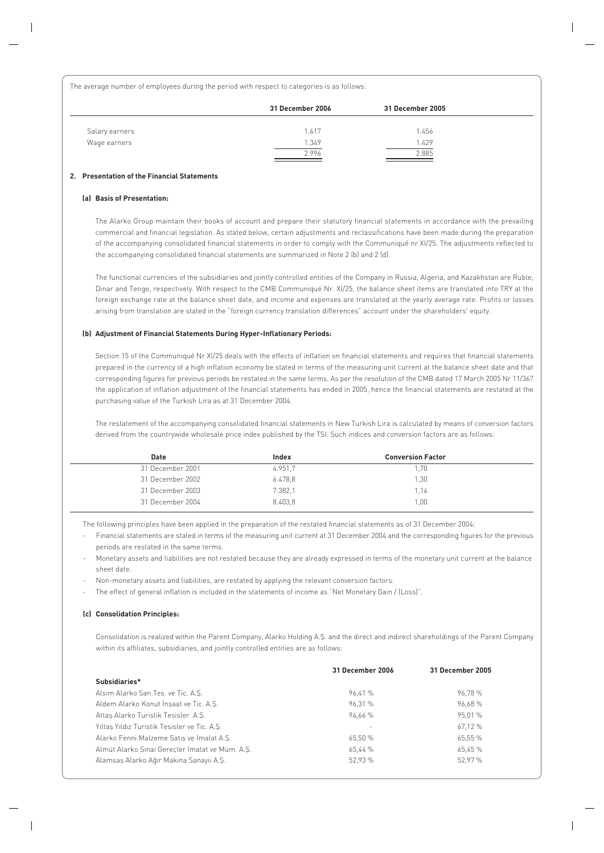The average number of employees during the period with respect to categories is as follows:

|                | 31 December 2006 | 31 December 2005 |  |
|----------------|------------------|------------------|--|
| Salary earners | 1.617            | 1.456            |  |
| Wage earners   | 1.349            | 1.429            |  |
|                | 2.996            | 2.885            |  |

#### **2. Presentation of the Financial Statements**

#### **(a) Basis of Presentation:**

The Alarko Group maintain their books of account and prepare their statutory financial statements in accordance with the prevailing commercial and financial legislation. As stated below, certain adjustments and reclassifications have been made during the preparation of the accompanying consolidated financial statements in order to comply with the Communiqué nr XI/25. The adjustments reflected to the accompanying consolidated financial statements are summarized in Note 2 (b) and 2 (d).

The functional currencies of the subsidiaries and jointly controlled entities of the Company in Russia, Algeria, and Kazakhstan are Ruble, Dinar and Tenge, respectively. With respect to the CMB Communiqué Nr. XI/25, the balance sheet items are translated into TRY at the foreign exchange rate at the balance sheet date, and income and expenses are translated at the yearly average rate. Profits or losses arising from translation are stated in the "foreign currency translation differences" account under the shareholders' equity.

#### **(b) Adjustment of Financial Statements During Hyper-Inflationary Periods:**

Section 15 of the Communiqué Nr XI/25 deals with the effects of inflation on financial statements and requires that financial statements prepared in the currency of a high inflation economy be stated in terms of the measuring unit current at the balance sheet date and that corresponding figures for previous periods be restated in the same terms. As per the resolution of the CMB dated 17 March 2005 Nr 11/367 the application of inflation adjustment of the financial statements has ended in 2005, hence the financial statements are restated at the purchasing value of the Turkish Lira as at 31 December 2004.

The restatement of the accompanying consolidated financial statements in New Turkish Lira is calculated by means of conversion factors derived from the countrywide wholesale price index published by the TSI. Such indices and conversion factors are as follows:

| Date             | Index   | <b>Conversion Factor</b> |  |
|------------------|---------|--------------------------|--|
| 31 December 2001 | 4.951.7 | 1.70                     |  |
| 31 December 2002 | 6.478.8 | 1.30                     |  |
| 31 December 2003 | 7.382.1 | 1.14                     |  |
| 31 December 2004 | 8.403.8 | 1.00                     |  |

The following principles have been applied in the preparation of the restated financial statements as of 31 December 2004:

- Financial statements are stated in terms of the measuring unit current at 31 December 2004 and the corresponding figures for the previous periods are restated in the same terms.
- Monetary assets and liabilities are not restated because they are already expressed in terms of the monetary unit current at the balance sheet date.
- Non-monetary assets and liabilities, are restated by applying the relevant conversion factors.
- The effect of general inflation is included in the statements of income as "Net Monetary Gain / (Loss)".

#### **(c) Consolidation Principles:**

Consolidation is realized within the Parent Company, Alarko Holding A.S. and the direct and indirect shareholdings of the Parent Company within its affiliates, subsidiaries, and jointly controlled entities are as follows:

|                                                 | 31 December 2006 | 31 December 2005 |
|-------------------------------------------------|------------------|------------------|
| Subsidiaries*                                   |                  |                  |
| Alsim Alarko San. Tes. ve Tic. A.S.             | 96.41 %          | 96.78%           |
| Aldem Alarko Konut İnsaat ve Tic. A.S.          | 96.31 %          | 96.68%           |
| Attas Alarko Turistik Tesisler A.S.             | 94.66 %          | 95.01 %          |
| Yıltaş Yıldız Turistik Tesisler ve Tic. A.Ş.    |                  | 67.12 %          |
| Alarko Fenni Malzeme Satis ve İmalat A.S.       | 65.50 %          | 65.55 %          |
| Almüt Alarko Sınai Gereçler İmalat ve Müm. A.Ş. | 65.44 %          | 65.45 %          |
| Alamsaş Alarko Ağır Makina Sanayii A.Ş.         | 52.93 %          | 52.97 %          |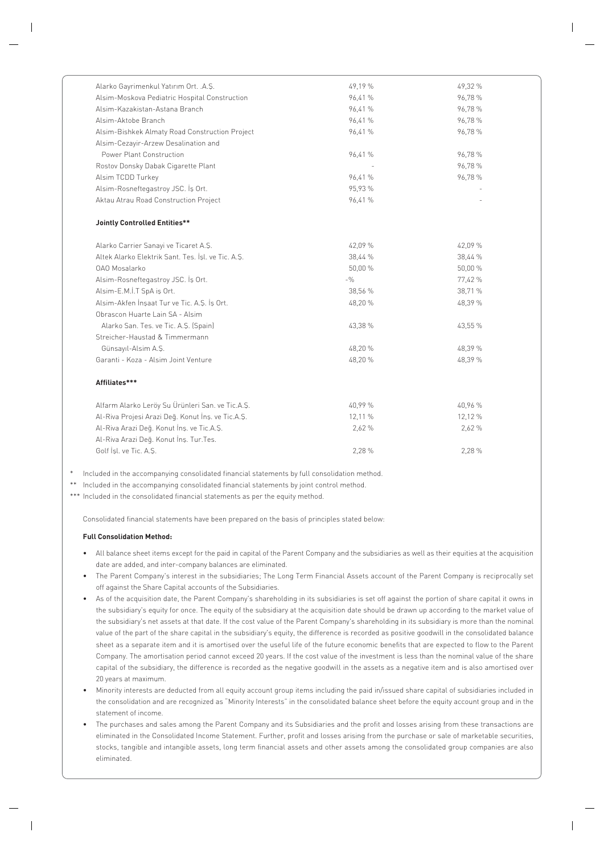| Alarko Gayrimenkul Yatırım Ort. . A.Ş.             | 49,19 % | 49,32 % |
|----------------------------------------------------|---------|---------|
| Alsim-Moskova Pediatric Hospital Construction      | 96,41 % | 96,78%  |
| Alsim-Kazakistan-Astana Branch                     | 96,41 % | 96,78%  |
| Alsim-Aktobe Branch                                | 96,41 % | 96,78%  |
| Alsim-Bishkek Almaty Road Construction Project     | 96,41 % | 96,78%  |
| Alsim-Cezayir-Arzew Desalination and               |         |         |
| Power Plant Construction                           | 96,41 % | 96,78%  |
| Rostov Donsky Dabak Cigarette Plant                |         | 96,78%  |
| Alsim TCDD Turkey                                  | 96,41 % | 96,78 % |
| Alsim-Rosneftegastroy JSC. İş Ort.                 | 95,93 % |         |
| Aktau Atrau Road Construction Project              | 96,41 % |         |
| <b>Jointly Controlled Entities**</b>               |         |         |
| Alarko Carrier Sanayi ve Ticaret A.S.              | 42,09 % | 42,09 % |
| Altek Alarko Elektrik Sant. Tes. İşl. ve Tic. A.Ş. | 38,44 % | 38,44 % |
| <b>OAO Mosalarko</b>                               | 50,00 % | 50,00 % |
| Alsim-Rosneftegastroy JSC. İş Ort.                 | $-9/0$  | 77,42 % |
| Alsim-E.M.İ.T SpA iş Ort.                          | 38,56 % | 38,71 % |
| Alsim-Akfen İnşaat Tur ve Tic. A.Ş. İş Ort.        | 48,20 % | 48,39 % |
| Obrascon Huarte Lain SA - Alsim                    |         |         |
| Alarko San. Tes. ve Tic. A.S. (Spain)              | 43,38 % | 43,55 % |
| Streicher-Haustad & Timmermann                     |         |         |
| Günsayıl-Alsim A.Ş.                                | 48,20%  | 48,39 % |
| Garanti - Koza - Alsim Joint Venture               | 48,20 % | 48,39 % |
| Affiliates***                                      |         |         |
| Alfarm Alarko Leröy Su Ürünleri San. ve Tic.A.Ş.   | 40,99 % | 40,96 % |
| Al-Riva Projesi Arazi Değ. Konut İnş. ve Tic.A.Ş.  | 12,11 % | 12,12 % |
| Al-Riva Arazi Değ. Konut İnş. ve Tic.A.Ş.          | 2,62 %  | 2,62 %  |
| Al-Riva Arazi Deq. Konut İnş. Tur. Tes.            |         |         |
| Golf İşl. ve Tic. A.Ş.                             | 2,28 %  | 2,28 %  |

Included in the accompanying consolidated financial statements by full consolidation method.

\*\* Included in the accompanying consolidated financial statements by joint control method.

\*\*\* Included in the consolidated financial statements as per the equity method.

Consolidated financial statements have been prepared on the basis of principles stated below:

#### **Full Consolidation Method:**

- All balance sheet items except for the paid in capital of the Parent Company and the subsidiaries as well as their equities at the acquisition date are added, and inter-company balances are eliminated.
- The Parent Company's interest in the subsidiaries; The Long Term Financial Assets account of the Parent Company is reciprocally set off against the Share Capital accounts of the Subsidiaries.
- As of the acquisition date, the Parent Company's shareholding in its subsidiaries is set off against the portion of share capital it owns in the subsidiary's equity for once. The equity of the subsidiary at the acquisition date should be drawn up according to the market value of the subsidiary's net assets at that date. If the cost value of the Parent Company's shareholding in its subsidiary is more than the nominal value of the part of the share capital in the subsidiary's equity, the difference is recorded as positive goodwill in the consolidated balance sheet as a separate item and it is amortised over the useful life of the future economic benefits that are expected to flow to the Parent Company. The amortisation period cannot exceed 20 years. If the cost value of the investment is less than the nominal value of the share capital of the subsidiary, the difference is recorded as the negative goodwill in the assets as a negative item and is also amortised over 20 years at maximum.
- Minority interests are deducted from all equity account group items including the paid in/issued share capital of subsidiaries included in the consolidation and are recognized as "Minority Interests" in the consolidated balance sheet before the equity account group and in the statement of income.
- The purchases and sales among the Parent Company and its Subsidiaries and the profit and losses arising from these transactions are eliminated in the Consolidated Income Statement. Further, profit and losses arising from the purchase or sale of marketable securities, stocks, tangible and intangible assets, long term financial assets and other assets among the consolidated group companies are also eliminated.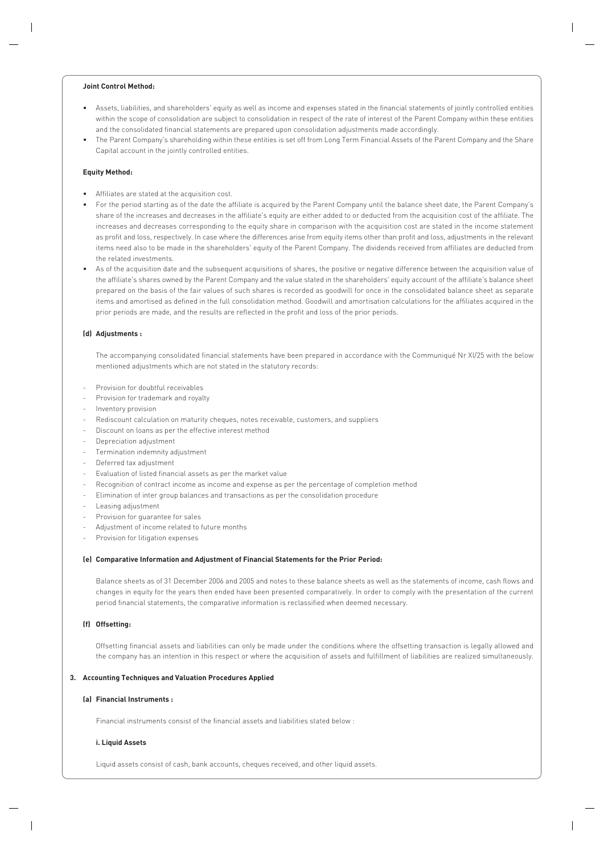#### **Joint Control Method:**

- Assets, liabilities, and shareholders' equity as well as income and expenses stated in the financial statements of jointly controlled entities within the scope of consolidation are subject to consolidation in respect of the rate of interest of the Parent Company within these entities and the consolidated financial statements are prepared upon consolidation adjustments made accordingly.
- The Parent Company's shareholding within these entities is set off from Long Term Financial Assets of the Parent Company and the Share Capital account in the jointly controlled entities.

#### **Equity Method:**

- Affiliates are stated at the acquisition cost.
- For the period starting as of the date the affiliate is acquired by the Parent Company until the balance sheet date, the Parent Company's share of the increases and decreases in the affiliate's equity are either added to or deducted from the acquisition cost of the affiliate. The increases and decreases corresponding to the equity share in comparison with the acquisition cost are stated in the income statement as profit and loss, respectively. In case where the differences arise from equity items other than profit and loss, adjustments in the relevant items need also to be made in the shareholders' equity of the Parent Company. The dividends received from affiliates are deducted from the related investments.
- As of the acquisition date and the subsequent acquisitions of shares, the positive or negative difference between the acquisition value of the affiliate's shares owned by the Parent Company and the value stated in the shareholders' equity account of the affiliate's balance sheet prepared on the basis of the fair values of such shares is recorded as goodwill for once in the consolidated balance sheet as separate items and amortised as defined in the full consolidation method. Goodwill and amortisation calculations for the affiliates acquired in the prior periods are made, and the results are reflected in the profit and loss of the prior periods.

#### **(d) Adjustments :**

The accompanying consolidated financial statements have been prepared in accordance with the Communiqué Nr XI/25 with the below mentioned adjustments which are not stated in the statutory records:

- Provision for doubtful receivables
- Provision for trademark and royalty
- Inventory provision
- Rediscount calculation on maturity cheques, notes receivable, customers, and suppliers
- Discount on loans as per the effective interest method
- Depreciation adjustment
- Termination indemnity adjustment
- Deferred tax adjustment
- Evaluation of listed financial assets as per the market value
- Recognition of contract income as income and expense as per the percentage of completion method
- Elimination of inter group balances and transactions as per the consolidation procedure
- Leasing adjustment
- Provision for guarantee for sales
- Adjustment of income related to future months
- Provision for litigation expenses

#### **(e) Comparative Information and Adjustment of Financial Statements for the Prior Period:**

Balance sheets as of 31 December 2006 and 2005 and notes to these balance sheets as well as the statements of income, cash flows and changes in equity for the years then ended have been presented comparatively. In order to comply with the presentation of the current period financial statements, the comparative information is reclassified when deemed necessary.

#### **(f) Offsetting:**

Offsetting financial assets and liabilities can only be made under the conditions where the offsetting transaction is legally allowed and the company has an intention in this respect or where the acquisition of assets and fulfillment of liabilities are realized simultaneously.

#### **3. Accounting Techniques and Valuation Procedures Applied**

#### **(a) Financial Instruments :**

Financial instruments consist of the financial assets and liabilities stated below :

#### **i. Liquid Assets**

Liquid assets consist of cash, bank accounts, cheques received, and other liquid assets.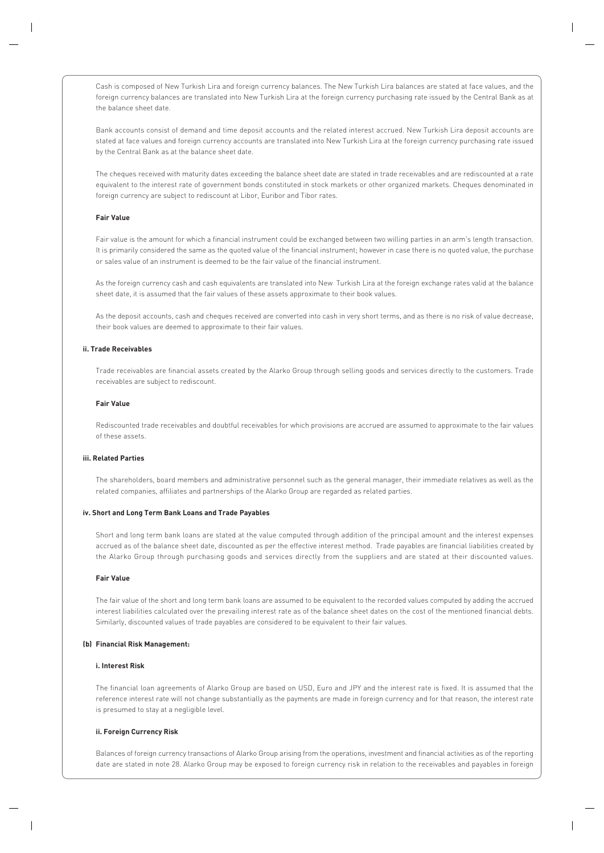Cash is composed of New Turkish Lira and foreign currency balances. The New Turkish Lira balances are stated at face values, and the foreign currency balances are translated into New Turkish Lira at the foreign currency purchasing rate issued by the Central Bank as at the balance sheet date.

Bank accounts consist of demand and time deposit accounts and the related interest accrued. New Turkish Lira deposit accounts are stated at face values and foreign currency accounts are translated into New Turkish Lira at the foreign currency purchasing rate issued by the Central Bank as at the balance sheet date.

The cheques received with maturity dates exceeding the balance sheet date are stated in trade receivables and are rediscounted at a rate equivalent to the interest rate of government bonds constituted in stock markets or other organized markets. Cheques denominated in foreign currency are subject to rediscount at Libor, Euribor and Tibor rates.

#### **Fair Value**

Fair value is the amount for which a financial instrument could be exchanged between two willing parties in an arm's length transaction. It is primarily considered the same as the quoted value of the financial instrument; however in case there is no quoted value, the purchase or sales value of an instrument is deemed to be the fair value of the financial instrument.

As the foreign currency cash and cash equivalents are translated into New Turkish Lira at the foreign exchange rates valid at the balance sheet date, it is assumed that the fair values of these assets approximate to their book values.

As the deposit accounts, cash and cheques received are converted into cash in very short terms, and as there is no risk of value decrease, their book values are deemed to approximate to their fair values.

#### **ii. Trade Receivables**

Trade receivables are financial assets created by the Alarko Group through selling goods and services directly to the customers. Trade receivables are subject to rediscount.

#### **Fair Value**

Rediscounted trade receivables and doubtful receivables for which provisions are accrued are assumed to approximate to the fair values of these assets.

#### **iii. Related Parties**

The shareholders, board members and administrative personnel such as the general manager, their immediate relatives as well as the related companies, affiliates and partnerships of the Alarko Group are regarded as related parties.

#### **iv. Short and Long Term Bank Loans and Trade Payables**

Short and long term bank loans are stated at the value computed through addition of the principal amount and the interest expenses accrued as of the balance sheet date, discounted as per the effective interest method. Trade payables are financial liabilities created by the Alarko Group through purchasing goods and services directly from the suppliers and are stated at their discounted values.

#### **Fair Value**

The fair value of the short and long term bank loans are assumed to be equivalent to the recorded values computed by adding the accrued interest liabilities calculated over the prevailing interest rate as of the balance sheet dates on the cost of the mentioned financial debts. Similarly, discounted values of trade payables are considered to be equivalent to their fair values.

#### **(b) Financial Risk Management:**

#### **i. Interest Risk**

The financial loan agreements of Alarko Group are based on USD, Euro and JPY and the interest rate is fixed. It is assumed that the reference interest rate will not change substantially as the payments are made in foreign currency and for that reason, the interest rate is presumed to stay at a negligible level.

#### **ii. Foreign Currency Risk**

Balances of foreign currency transactions of Alarko Group arising from the operations, investment and financial activities as of the reporting date are stated in note 28. Alarko Group may be exposed to foreign currency risk in relation to the receivables and payables in foreign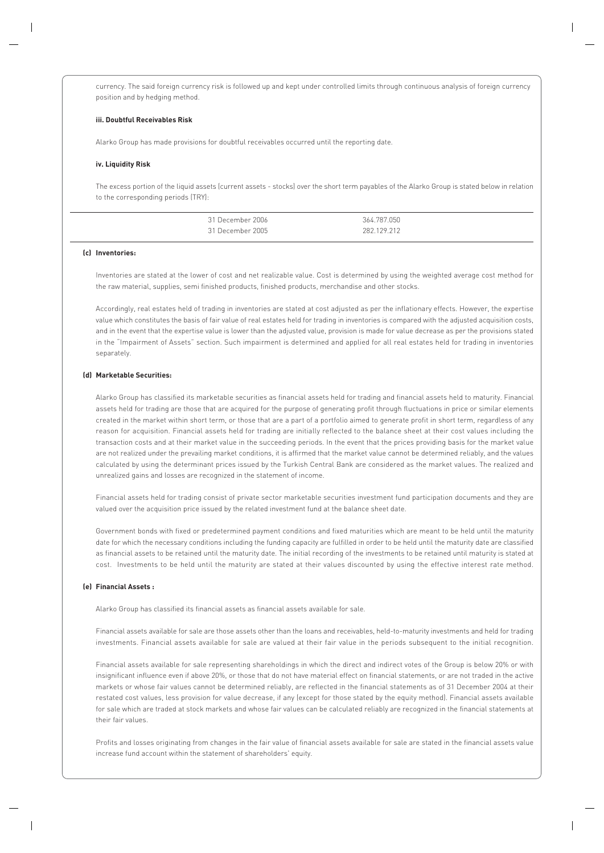currency. The said foreign currency risk is followed up and kept under controlled limits through continuous analysis of foreign currency position and by hedging method.

#### **iii. Doubtful Receivables Risk**

Alarko Group has made provisions for doubtful receivables occurred until the reporting date.

#### **iv. Liquidity Risk**

The excess portion of the liquid assets (current assets - stocks) over the short term payables of the Alarko Group is stated below in relation to the corresponding periods (TRY):

| 31 December 2006 | 364.787.050                                                                                                                    |
|------------------|--------------------------------------------------------------------------------------------------------------------------------|
| 31 December 2005 | 282 129 212<br>the contract of the contract of the contract of the contract of the contract of the contract of the contract of |

#### **(c) Inventories:**

Inventories are stated at the lower of cost and net realizable value. Cost is determined by using the weighted average cost method for the raw material, supplies, semi finished products, finished products, merchandise and other stocks.

Accordingly, real estates held of trading in inventories are stated at cost adjusted as per the inflationary effects. However, the expertise value which constitutes the basis of fair value of real estates held for trading in inventories is compared with the adjusted acquisition costs, and in the event that the expertise value is lower than the adjusted value, provision is made for value decrease as per the provisions stated in the "Impairment of Assets" section. Such impairment is determined and applied for all real estates held for trading in inventories separately.

#### **(d) Marketable Securities:**

Alarko Group has classified its marketable securities as financial assets held for trading and financial assets held to maturity. Financial assets held for trading are those that are acquired for the purpose of generating profit through fluctuations in price or similar elements created in the market within short term, or those that are a part of a portfolio aimed to generate profit in short term, regardless of any reason for acquisition. Financial assets held for trading are initially reflected to the balance sheet at their cost values including the transaction costs and at their market value in the succeeding periods. In the event that the prices providing basis for the market value are not realized under the prevailing market conditions, it is affirmed that the market value cannot be determined reliably, and the values calculated by using the determinant prices issued by the Turkish Central Bank are considered as the market values. The realized and unrealized gains and losses are recognized in the statement of income.

Financial assets held for trading consist of private sector marketable securities investment fund participation documents and they are valued over the acquisition price issued by the related investment fund at the balance sheet date.

Government bonds with fixed or predetermined payment conditions and fixed maturities which are meant to be held until the maturity date for which the necessary conditions including the funding capacity are fulfilled in order to be held until the maturity date are classified as financial assets to be retained until the maturity date. The initial recording of the investments to be retained until maturity is stated at cost. Investments to be held until the maturity are stated at their values discounted by using the effective interest rate method.

#### **(e) Financial Assets :**

Alarko Group has classified its financial assets as financial assets available for sale.

Financial assets available for sale are those assets other than the loans and receivables, held-to-maturity investments and held for trading investments. Financial assets available for sale are valued at their fair value in the periods subsequent to the initial recognition.

Financial assets available for sale representing shareholdings in which the direct and indirect votes of the Group is below 20% or with insignificant influence even if above 20%, or those that do not have material effect on financial statements, or are not traded in the active markets or whose fair values cannot be determined reliably, are reflected in the financial statements as of 31 December 2004 at their restated cost values, less provision for value decrease, if any (except for those stated by the equity method). Financial assets available for sale which are traded at stock markets and whose fair values can be calculated reliably are recognized in the financial statements at their fair values.

Profits and losses originating from changes in the fair value of financial assets available for sale are stated in the financial assets value increase fund account within the statement of shareholders' equity.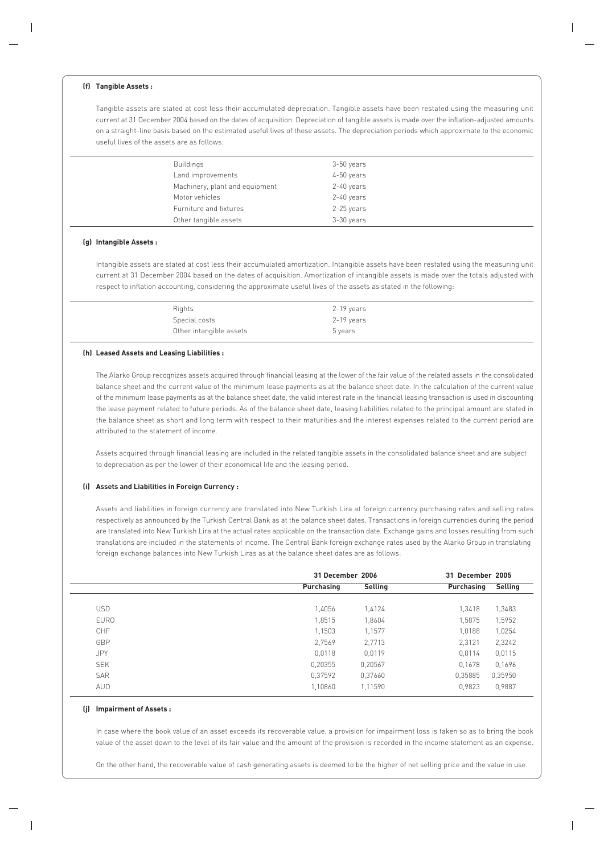#### **(f) Tangible Assets :**

Tangible assets are stated at cost less their accumulated depreciation. Tangible assets have been restated using the measuring unit current at 31 December 2004 based on the dates of acquisition. Depreciation of tangible assets is made over the inflation-adjusted amounts on a straight-line basis based on the estimated useful lives of these assets. The depreciation periods which approximate to the economic useful lives of the assets are as follows:

| Buildings                      | 3-50 years |
|--------------------------------|------------|
| Land improvements              | 4-50 years |
| Machinery, plant and equipment | 2-40 years |
| Motor vehicles                 | 2-40 years |
| Furniture and fixtures         | 2-25 years |
| Other tangible assets          | 3-30 years |

#### **(g) Intangible Assets :**

Intangible assets are stated at cost less their accumulated amortization. Intangible assets have been restated using the measuring unit current at 31 December 2004 based on the dates of acquisition. Amortization of intangible assets is made over the totals adjusted with respect to inflation accounting, considering the approximate useful lives of the assets as stated in the following:

| Rights                  | 2-19 years |
|-------------------------|------------|
| Special costs           | 2-19 years |
| Other intangible assets | 5 years    |

#### **(h) Leased Assets and Leasing Liabilities :**

The Alarko Group recognizes assets acquired through financial leasing at the lower of the fair value of the related assets in the consolidated balance sheet and the current value of the minimum lease payments as at the balance sheet date. In the calculation of the current value of the minimum lease payments as at the balance sheet date, the valid interest rate in the financial leasing transaction is used in discounting the lease payment related to future periods. As of the balance sheet date, leasing liabilities related to the principal amount are stated in the balance sheet as short and long term with respect to their maturities and the interest expenses related to the current period are attributed to the statement of income.

Assets acquired through financial leasing are included in the related tangible assets in the consolidated balance sheet and are subject to depreciation as per the lower of their economical life and the leasing period.

#### **(i) Assets and Liabilities in Foreign Currency :**

Assets and liabilities in foreign currency are translated into New Turkish Lira at foreign currency purchasing rates and selling rates respectively as announced by the Turkish Central Bank as at the balance sheet dates. Transactions in foreign currencies during the period are translated into New Turkish Lira at the actual rates applicable on the transaction date. Exchange gains and losses resulting from such translations are included in the statements of income. The Central Bank foreign exchange rates used by the Alarko Group in translating foreign exchange balances into New Turkish Liras as at the balance sheet dates are as follows:

|             | 31 December 2006 |         | 31 December 2005 |         |
|-------------|------------------|---------|------------------|---------|
|             | Purchasing       | Selling | Purchasing       | Selling |
|             |                  |         |                  |         |
| <b>USD</b>  | 1,4056           | 1,4124  | 1,3418           | 1,3483  |
| <b>EURO</b> | 1,8515           | 1,8604  | 1,5875           | 1,5952  |
| <b>CHF</b>  | 1,1503           | 1,1577  | 1,0188           | 1,0254  |
| GBP         | 2,7569           | 2,7713  | 2,3121           | 2,3242  |
| <b>JPY</b>  | 0,0118           | 0,0119  | 0,0114           | 0,0115  |
| <b>SEK</b>  | 0,20355          | 0,20567 | 0,1678           | 0,1696  |
| <b>SAR</b>  | 0,37592          | 0,37660 | 0,35885          | 0,35950 |
| AUD         | 1,10860          | 1,11590 | 0,9823           | 0,9887  |
|             |                  |         |                  |         |

#### **(j) Impairment of Assets :**

In case where the book value of an asset exceeds its recoverable value, a provision for impairment loss is taken so as to bring the book value of the asset down to the level of its fair value and the amount of the provision is recorded in the income statement as an expense.

On the other hand, the recoverable value of cash generating assets is deemed to be the higher of net selling price and the value in use.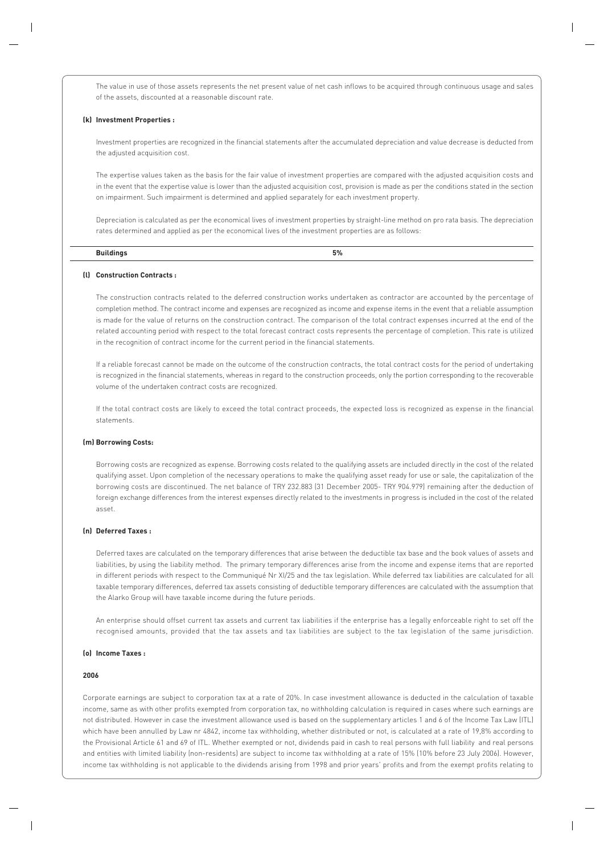The value in use of those assets represents the net present value of net cash inflows to be acquired through continuous usage and sales of the assets, discounted at a reasonable discount rate.

#### **(k) Investment Properties :**

Investment properties are recognized in the financial statements after the accumulated depreciation and value decrease is deducted from the adjusted acquisition cost.

The expertise values taken as the basis for the fair value of investment properties are compared with the adjusted acquisition costs and in the event that the expertise value is lower than the adjusted acquisition cost, provision is made as per the conditions stated in the section on impairment. Such impairment is determined and applied separately for each investment property.

Depreciation is calculated as per the economical lives of investment properties by straight-line method on pro rata basis. The depreciation rates determined and applied as per the economical lives of the investment properties are as follows:

| $-0.000000$ | $F^{\alpha}$<br> |
|-------------|------------------|
|             |                  |

#### **(l) Construction Contracts :**

The construction contracts related to the deferred construction works undertaken as contractor are accounted by the percentage of completion method. The contract income and expenses are recognized as income and expense items in the event that a reliable assumption is made for the value of returns on the construction contract. The comparison of the total contract expenses incurred at the end of the related accounting period with respect to the total forecast contract costs represents the percentage of completion. This rate is utilized in the recognition of contract income for the current period in the financial statements.

If a reliable forecast cannot be made on the outcome of the construction contracts, the total contract costs for the period of undertaking is recognized in the financial statements, whereas in regard to the construction proceeds, only the portion corresponding to the recoverable volume of the undertaken contract costs are recognized.

If the total contract costs are likely to exceed the total contract proceeds, the expected loss is recognized as expense in the financial statements.

#### **(m) Borrowing Costs:**

Borrowing costs are recognized as expense. Borrowing costs related to the qualifying assets are included directly in the cost of the related qualifying asset. Upon completion of the necessary operations to make the qualifying asset ready for use or sale, the capitalization of the borrowing costs are discontinued. The net balance of TRY 232.883 (31 December 2005- TRY 904.979) remaining after the deduction of foreign exchange differences from the interest expenses directly related to the investments in progress is included in the cost of the related asset.

#### **(n) Deferred Taxes :**

Deferred taxes are calculated on the temporary differences that arise between the deductible tax base and the book values of assets and liabilities, by using the liability method. The primary temporary differences arise from the income and expense items that are reported in different periods with respect to the Communiqué Nr XI/25 and the tax legislation. While deferred tax liabilities are calculated for all taxable temporary differences, deferred tax assets consisting of deductible temporary differences are calculated with the assumption that the Alarko Group will have taxable income during the future periods.

An enterprise should offset current tax assets and current tax liabilities if the enterprise has a legally enforceable right to set off the recognised amounts, provided that the tax assets and tax liabilities are subject to the tax legislation of the same jurisdiction.

#### **(o) Income Taxes :**

#### **2006**

Corporate earnings are subject to corporation tax at a rate of 20%. In case investment allowance is deducted in the calculation of taxable income, same as with other profits exempted from corporation tax, no withholding calculation is required in cases where such earnings are not distributed. However in case the investment allowance used is based on the supplementary articles 1 and 6 of the Income Tax Law (ITL) which have been annulled by Law nr 4842, income tax withholding, whether distributed or not, is calculated at a rate of 19,8% according to the Provisional Article 61 and 69 of ITL. Whether exempted or not, dividends paid in cash to real persons with full liability and real persons and entities with limited liability (non-residents) are subject to income tax withholding at a rate of 15% (10% before 23 July 2006). However, income tax withholding is not applicable to the dividends arising from 1998 and prior years' profits and from the exempt profits relating to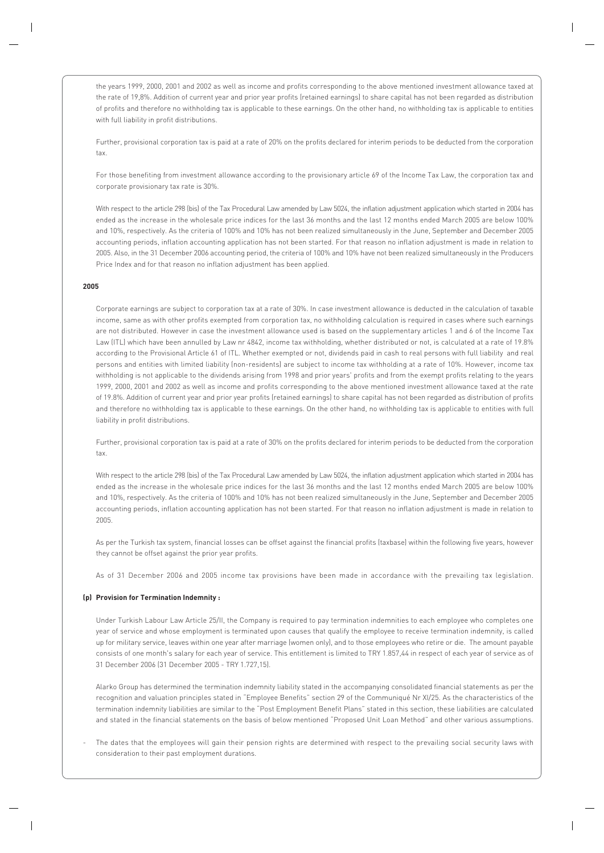the years 1999, 2000, 2001 and 2002 as well as income and profits corresponding to the above mentioned investment allowance taxed at the rate of 19,8%. Addition of current year and prior year profits (retained earnings) to share capital has not been regarded as distribution of profits and therefore no withholding tax is applicable to these earnings. On the other hand, no withholding tax is applicable to entities with full liability in profit distributions.

Further, provisional corporation tax is paid at a rate of 20% on the profits declared for interim periods to be deducted from the corporation tax.

For those benefiting from investment allowance according to the provisionary article 69 of the Income Tax Law, the corporation tax and corporate provisionary tax rate is 30%.

With respect to the article 298 (bis) of the Tax Procedural Law amended by Law 5024, the inflation adjustment application which started in 2004 has ended as the increase in the wholesale price indices for the last 36 months and the last 12 months ended March 2005 are below 100% and 10%, respectively. As the criteria of 100% and 10% has not been realized simultaneously in the June, September and December 2005 accounting periods, inflation accounting application has not been started. For that reason no inflation adjustment is made in relation to 2005. Also, in the 31 December 2006 accounting period, the criteria of 100% and 10% have not been realized simultaneously in the Producers Price Index and for that reason no inflation adjustment has been applied.

#### **2005**

Corporate earnings are subject to corporation tax at a rate of 30%. In case investment allowance is deducted in the calculation of taxable income, same as with other profits exempted from corporation tax, no withholding calculation is required in cases where such earnings are not distributed. However in case the investment allowance used is based on the supplementary articles 1 and 6 of the Income Tax Law (ITL) which have been annulled by Law nr 4842, income tax withholding, whether distributed or not, is calculated at a rate of 19.8% according to the Provisional Article 61 of ITL. Whether exempted or not, dividends paid in cash to real persons with full liability and real persons and entities with limited liability (non-residents) are subject to income tax withholding at a rate of 10%. However, income tax withholding is not applicable to the dividends arising from 1998 and prior years' profits and from the exempt profits relating to the years 1999, 2000, 2001 and 2002 as well as income and profits corresponding to the above mentioned investment allowance taxed at the rate of 19.8%. Addition of current year and prior year profits (retained earnings) to share capital has not been regarded as distribution of profits and therefore no withholding tax is applicable to these earnings. On the other hand, no withholding tax is applicable to entities with full liability in profit distributions.

Further, provisional corporation tax is paid at a rate of 30% on the profits declared for interim periods to be deducted from the corporation tax.

With respect to the article 298 (bis) of the Tax Procedural Law amended by Law 5024, the inflation adjustment application which started in 2004 has ended as the increase in the wholesale price indices for the last 36 months and the last 12 months ended March 2005 are below 100% and 10%, respectively. As the criteria of 100% and 10% has not been realized simultaneously in the June, September and December 2005 accounting periods, inflation accounting application has not been started. For that reason no inflation adjustment is made in relation to 2005.

As per the Turkish tax system, financial losses can be offset against the financial profits (taxbase) within the following five years, however they cannot be offset against the prior year profits.

As of 31 December 2006 and 2005 income tax provisions have been made in accordance with the prevailing tax legislation.

#### **(p) Provision for Termination Indemnity :**

Under Turkish Labour Law Article 25/II, the Company is required to pay termination indemnities to each employee who completes one year of service and whose employment is terminated upon causes that qualify the employee to receive termination indemnity, is called up for military service, leaves within one year after marriage (women only), and to those employees who retire or die. The amount payable consists of one month's salary for each year of service. This entitlement is limited to TRY 1.857,44 in respect of each year of service as of 31 December 2006 (31 December 2005 - TRY 1.727,15).

Alarko Group has determined the termination indemnity liability stated in the accompanying consolidated financial statements as per the recognition and valuation principles stated in "Employee Benefits" section 29 of the Communiqué Nr XI/25. As the characteristics of the termination indemnity liabilities are similar to the "Post Employment Benefit Plans" stated in this section, these liabilities are calculated and stated in the financial statements on the basis of below mentioned "Proposed Unit Loan Method" and other various assumptions.

The dates that the employees will gain their pension rights are determined with respect to the prevailing social security laws with consideration to their past employment durations.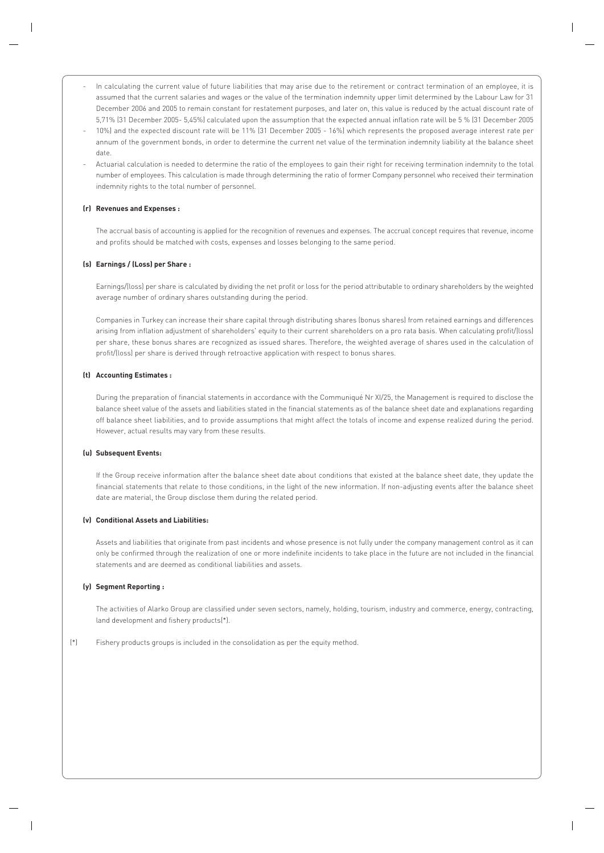- In calculating the current value of future liabilities that may arise due to the retirement or contract termination of an employee, it is assumed that the current salaries and wages or the value of the termination indemnity upper limit determined by the Labour Law for 31 December 2006 and 2005 to remain constant for restatement purposes, and later on, this value is reduced by the actual discount rate of 5,71% (31 December 2005- 5,45%) calculated upon the assumption that the expected annual inflation rate will be 5 % (31 December 2005
- 10%) and the expected discount rate will be 11% (31 December 2005 16%) which represents the proposed average interest rate per annum of the government bonds, in order to determine the current net value of the termination indemnity liability at the balance sheet date.
- Actuarial calculation is needed to determine the ratio of the employees to gain their right for receiving termination indemnity to the total number of employees. This calculation is made through determining the ratio of former Company personnel who received their termination indemnity rights to the total number of personnel.

#### **(r) Revenues and Expenses :**

The accrual basis of accounting is applied for the recognition of revenues and expenses. The accrual concept requires that revenue, income and profits should be matched with costs, expenses and losses belonging to the same period.

#### **(s) Earnings / (Loss) per Share :**

Earnings/(loss) per share is calculated by dividing the net profit or loss for the period attributable to ordinary shareholders by the weighted average number of ordinary shares outstanding during the period.

Companies in Turkey can increase their share capital through distributing shares (bonus shares) from retained earnings and differences arising from inflation adjustment of shareholders' equity to their current shareholders on a pro rata basis. When calculating profit/(loss) per share, these bonus shares are recognized as issued shares. Therefore, the weighted average of shares used in the calculation of profit/(loss) per share is derived through retroactive application with respect to bonus shares.

#### **(t) Accounting Estimates :**

During the preparation of financial statements in accordance with the Communiqué Nr XI/25, the Management is required to disclose the balance sheet value of the assets and liabilities stated in the financial statements as of the balance sheet date and explanations regarding off balance sheet liabilities, and to provide assumptions that might affect the totals of income and expense realized during the period. However, actual results may vary from these results.

#### **(u) Subsequent Events:**

If the Group receive information after the balance sheet date about conditions that existed at the balance sheet date, they update the financial statements that relate to those conditions, in the light of the new information. If non-adjusting events after the balance sheet date are material, the Group disclose them during the related period.

#### **(v) Conditional Assets and Liabilities:**

Assets and liabilities that originate from past incidents and whose presence is not fully under the company management control as it can only be confirmed through the realization of one or more indefinite incidents to take place in the future are not included in the financial statements and are deemed as conditional liabilities and assets.

#### **(y) Segment Reporting :**

The activities of Alarko Group are classified under seven sectors, namely, holding, tourism, industry and commerce, energy, contracting, land development and fishery products(\*).

(\*) Fishery products groups is included in the consolidation as per the equity method.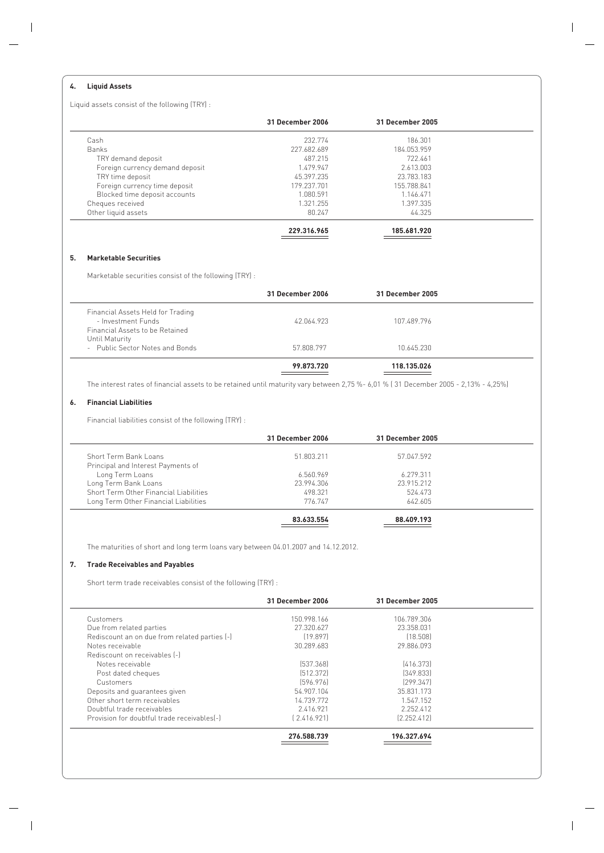#### **4. Liquid Assets**

Liquid assets consist of the following (TRY) :

|                                 | 31 December 2006 | 31 December 2005 |  |
|---------------------------------|------------------|------------------|--|
| Cash                            | 232.774          | 186.301          |  |
| <b>Banks</b>                    | 227.682.689      | 184.053.959      |  |
| TRY demand deposit              | 487.215          | 722.461          |  |
| Foreign currency demand deposit | 1.479.947        | 2.613.003        |  |
| TRY time deposit                | 45.397.235       | 23.783.183       |  |
| Foreign currency time deposit   | 179.237.701      | 155.788.841      |  |
| Blocked time deposit accounts   | 1.080.591        | 1.146.471        |  |
| Cheques received                | 1.321.255        | 1.397.335        |  |
| Other liquid assets             | 80.247           | 44.325           |  |
|                                 | 229.316.965      | 185.681.920      |  |

#### **5. Marketable Securities**

Marketable securities consist of the following (TRY) :

|                                                                                            | 31 December 2006 | 31 December 2005 |  |
|--------------------------------------------------------------------------------------------|------------------|------------------|--|
| Financial Assets Held for Trading<br>- Investment Funds<br>Financial Assets to be Retained | 42.064.923       | 107.489.796      |  |
| Until Maturity<br>- Public Sector Notes and Bonds                                          | 57.808.797       | 10.645.230       |  |
|                                                                                            | 99.873.720       | 118.135.026      |  |

The interest rates of financial assets to be retained until maturity vary between 2,75 %- 6,01 % ( 31 December 2005 - 2,13% - 4,25%)

#### **6. Financial Liabilities**

Financial liabilities consist of the following (TRY) :

|                                        | 31 December 2006 | 31 December 2005 |  |
|----------------------------------------|------------------|------------------|--|
| Short Term Bank Loans                  | 51.803.211       | 57.047.592       |  |
| Principal and Interest Payments of     |                  |                  |  |
| Long Term Loans                        | 6.560.969        | 6.279.311        |  |
| Long Term Bank Loans                   | 23.994.306       | 23.915.212       |  |
| Short Term Other Financial Liabilities | 498.321          | 524.473          |  |
| Long Term Other Financial Liabilities  | 776.747          | 642.605          |  |
|                                        | 83.633.554       | 88.409.193       |  |

The maturities of short and long term loans vary between 04.01.2007 and 14.12.2012.

#### **7. Trade Receivables and Payables**

Short term trade receivables consist of the following (TRY) :

|                                               | 31 December 2006 | 31 December 2005 |  |
|-----------------------------------------------|------------------|------------------|--|
| Customers                                     | 150.998.166      | 106.789.306      |  |
| Due from related parties                      | 27.320.627       | 23.358.031       |  |
| Rediscount an on due from related parties (-) | [19.897]         | [18.508]         |  |
| Notes receivable                              | 30.289.683       | 29.886.093       |  |
| Rediscount on receivables [-]                 |                  |                  |  |
| Notes receivable                              | [537.368]        | [416.373]        |  |
| Post dated cheques                            | [512.372]        | [349.833]        |  |
| Customers                                     | [596.976]        | [299.347]        |  |
| Deposits and quarantees given                 | 54.907.104       | 35.831.173       |  |
| Other short term receivables                  | 14.739.772       | 1.547.152        |  |
| Doubtful trade receivables                    | 2.416.921        | 2.252.412        |  |
| Provision for doubtful trade receivables[-]   | [2.416.921]      | [2.252.412]      |  |
|                                               | 276.588.739      | 196.327.694      |  |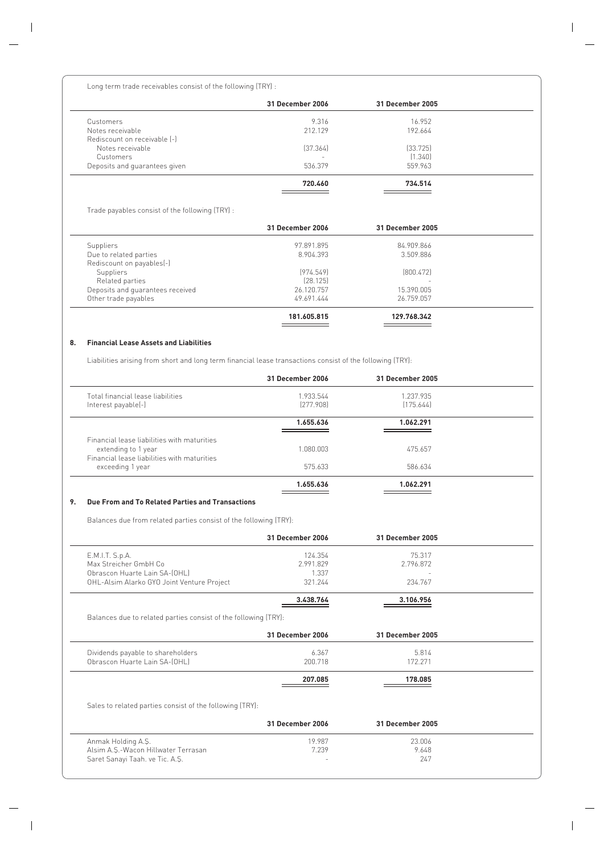Long term trade receivables consist of the following (TRY) :

|                               | 31 December 2006 | 31 December 2005 |  |
|-------------------------------|------------------|------------------|--|
| Customers                     | 9.316            | 16.952           |  |
| Notes receivable              | 212.129          | 192.664          |  |
| Rediscount on receivable [-]  |                  |                  |  |
| Notes receivable              | [37.364]         | [33.725]         |  |
| Customers                     |                  | (1.340)          |  |
| Deposits and quarantees given | 536.379          | 559.963          |  |
|                               | 720.460          | 734.514          |  |

Trade payables consist of the following (TRY) :

|                                  | 31 December 2006 | 31 December 2005         |  |
|----------------------------------|------------------|--------------------------|--|
| Suppliers                        | 97.891.895       | 84.909.866               |  |
| Due to related parties           | 8.904.393        | 3.509.886                |  |
| Rediscount on payables(-)        |                  |                          |  |
| Suppliers                        | [974.549]        | [800.472]                |  |
| Related parties                  | [28.125]         | $\overline{\phantom{a}}$ |  |
| Deposits and quarantees received | 26.120.757       | 15.390.005               |  |
| Other trade payables             | 49.691.444       | 26.759.057               |  |
|                                  | 181.605.815      | 129.768.342              |  |

#### **8. Financial Lease Assets and Liabilities**

Liabilities arising from short and long term financial lease transactions consist of the following (TRY):

|                                                                    | 31 December 2006       | 31 December 2005       |  |
|--------------------------------------------------------------------|------------------------|------------------------|--|
| Total financial lease liabilities<br>Interest payable(-)           | 1.933.544<br>[277.908] | 1.237.935<br>[175.644] |  |
|                                                                    | 1.655.636              | 1.062.291              |  |
| Financial lease liabilities with maturities<br>extending to 1 year | 1.080.003              | 475.657                |  |
| Financial lease liabilities with maturities<br>exceeding 1 year    | 575.633                | 586.634                |  |
|                                                                    | 1.655.636              | 1.062.291              |  |

#### **9. Due From and To Related Parties and Transactions**

Balances due from related parties consist of the following (TRY):

|                                                                 | <b>31 December 2006</b> | 31 December 2005 |  |
|-----------------------------------------------------------------|-------------------------|------------------|--|
| E.M.I.T. S.p.A.                                                 | 124.354                 | 75.317           |  |
| Max Streicher GmbH Co.                                          | 2.991.829               | 2.796.872        |  |
| Obrascon Huarte Lain SA-(OHL)                                   | 1.337                   |                  |  |
| OHL-Alsim Alarko GYO Joint Venture Project                      | 321.244                 | 234.767          |  |
|                                                                 | 3.438.764               | 3.106.956        |  |
| Balances due to related parties consist of the following (TRY): |                         |                  |  |
|                                                                 | 31 December 2006        | 31 December 2005 |  |
| Dividends payable to shareholders                               | 6.367                   | 5.814            |  |
| Obrascon Huarte Lain SA-(OHL)                                   | 200.718                 | 172.271          |  |
|                                                                 | 207.085                 | 178.085          |  |
| Sales to related parties consist of the following (TRY):        |                         |                  |  |
|                                                                 | 31 December 2006        | 31 December 2005 |  |
| Anmak Holding A.S.                                              | 19.987                  | 23.006           |  |
| Alsim A.S.-Wacon Hillwater Terrasan                             | 7.239                   | 9.648            |  |
| Saret Sanayi Taah. ve Tic. A.Ş.                                 |                         | 247              |  |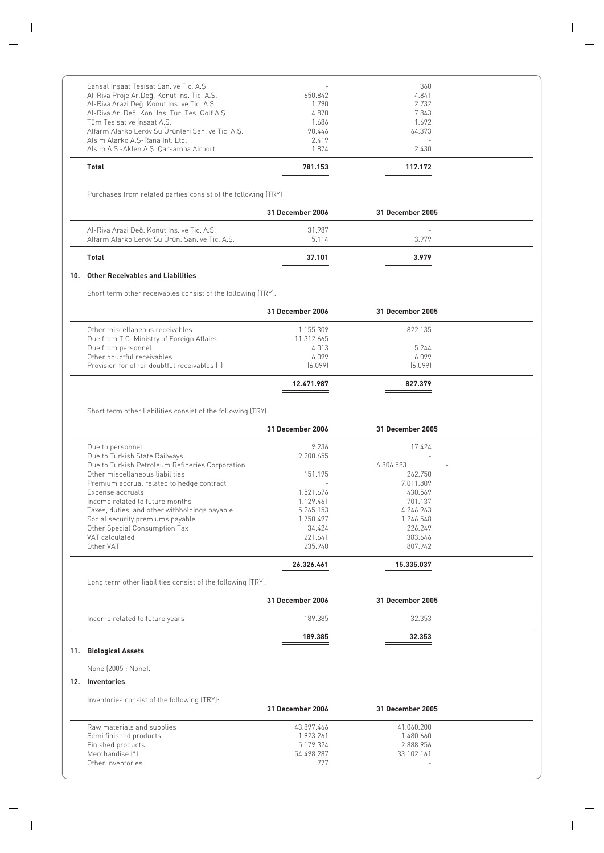| Total                                             | 781.153 | 117.172 |  |
|---------------------------------------------------|---------|---------|--|
| Alsim A.Ş.-Akfen A.Ş. Çarşamba Airport            | 1.874   | 2.430   |  |
| Alsim Alarko A.S-Rana Int. Ltd.                   | 2.419   |         |  |
| Alfarm Alarko Leröy Su Ürünleri San. ve Tic. A.Ş. | 90.446  | 64.373  |  |
| Tüm Tesisat ve İnşaat A.Ş.                        | 1.686   | 1.692   |  |
| Al-Riva Ar. Değ. Kon. Ins. Tur. Tes. Golf A.Ş.    | 4.870   | 7.843   |  |
| Al-Riva Arazi Deq. Konut Ins. ve Tic. A.Ş.        | 1.790   | 2.732   |  |
| Al-Riva Proje Ar.Deq. Konut Ins. Tic. A.Ş.        | 650.842 | 4.841   |  |
| Sansal İnsaat Tesisat San. ve Tic. A.S.           |         | 360     |  |

Purchases from related parties consist of the following (TRY):

|                                                                                              | 31 December 2006 | 31 December 2005 |  |
|----------------------------------------------------------------------------------------------|------------------|------------------|--|
| Al-Riva Arazi Değ. Konut Ins. ve Tic. A.Ş.<br>Alfarm Alarko Leröy Su Ürün. San. ve Tic. A.Ş. | 31.987<br>5.114  | $\sim$<br>3979   |  |
| Total                                                                                        | 37.101           | 3.979            |  |

#### **10. Other Receivables and Liabilities**

Short term other receivables consist of the following (TRY):

| 31 December 2006 | 31 December 2005 |  |
|------------------|------------------|--|
| 1.155.309        | 822.135          |  |
| 11.312.665       |                  |  |
| 4.013            | 5.244            |  |
| 6.099            | 6.099            |  |
| [6.099]          | [6.099]          |  |
| 12.471.987       | 827.379          |  |
|                  |                  |  |

Short term other liabilities consist of the following (TRY):

|                                                 | 31 December 2006 | <b>31 December 2005</b> |  |
|-------------------------------------------------|------------------|-------------------------|--|
| Due to personnel                                | 9.236            | 17.424                  |  |
| Due to Turkish State Railways                   | 9.200.655        |                         |  |
| Due to Turkish Petroleum Refineries Corporation |                  | 6.806.583               |  |
| Other miscellaneous liabilities                 | 151.195          | 262.750                 |  |
| Premium accrual related to hedge contract       |                  | 7.011.809               |  |
| Expense accruals                                | 1.521.676        | 430.569                 |  |
| Income related to future months                 | 1.129.461        | 701.137                 |  |
| Taxes, duties, and other withholdings payable   | 5.265.153        | 4.246.963               |  |
| Social security premiums payable                | 1.750.497        | 1.246.548               |  |
| Other Special Consumption Tax                   | 34.424           | 226.249                 |  |
| VAT calculated                                  | 221.641          | 383.646                 |  |
| Other VAT                                       | 235.940          | 807.942                 |  |
|                                                 | 26.326.461       | 15.335.037              |  |

Long term other liabilities consist of the following (TRY):

|                                | 31 December 2006 | 31 December 2005 |  |
|--------------------------------|------------------|------------------|--|
| Income related to future years | 189.385          | 32.353           |  |
|                                | 189.385          | 32.353           |  |

#### **11. Biological Assets**

None (2005 : None).

#### **12. Inventories**

Inventories consist of the following (TRY):

|                            | 31 December 2006 | 31 December 2005 |  |
|----------------------------|------------------|------------------|--|
| Raw materials and supplies | 43.897.466       | 41.060.200       |  |
| Semi finished products     | 1.923.261        | 1.480.660        |  |
| Finished products          | 5.179.324        | 2.888.956        |  |
| Merchandise [*]            | 54.498.287       | 33.102.161       |  |
| Other inventories          | 777              | $\sim$           |  |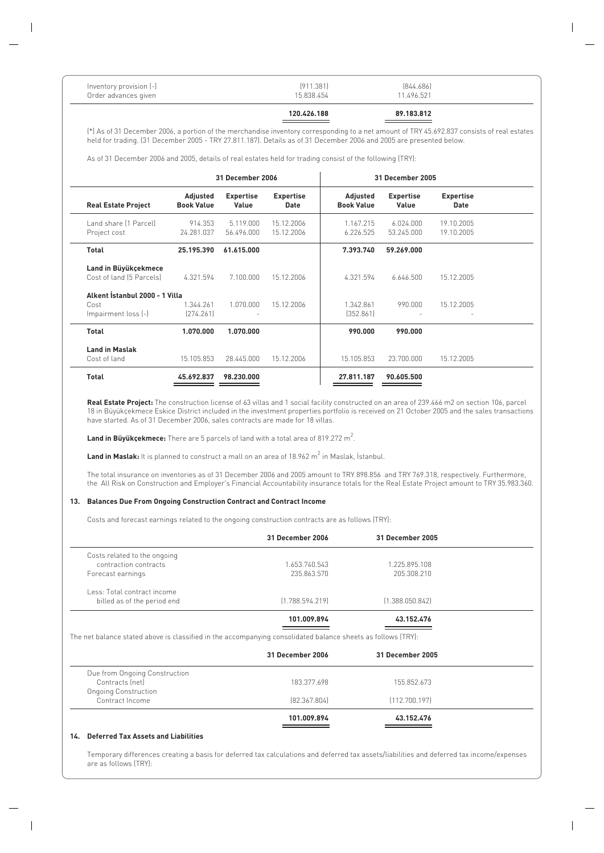| Inventory provision [-]<br>11.496.521<br>15.838.454<br>Order advances given |
|-----------------------------------------------------------------------------|
|-----------------------------------------------------------------------------|

**120.426.188 89.183.812**

(\*) As of 31 December 2006, a portion of the merchandise inventory corresponding to a net amount of TRY 45.692.837 consists of real estates held for trading. (31 December 2005 - TRY 27.811.187). Details as of 31 December 2006 and 2005 are presented below.

As of 31 December 2006 and 2005, details of real estates held for trading consist of the following (TRY):

|                                                  |                               | 31 December 2006          |                                 |                               | 31 December 2005          |                          |  |
|--------------------------------------------------|-------------------------------|---------------------------|---------------------------------|-------------------------------|---------------------------|--------------------------|--|
| <b>Real Estate Project</b>                       | Adjusted<br><b>Book Value</b> | <b>Expertise</b><br>Value | <b>Expertise</b><br><b>Date</b> | Adjusted<br><b>Book Value</b> | <b>Expertise</b><br>Value | <b>Expertise</b><br>Date |  |
| Land share [1 Parcel]<br>Project cost            | 914.353<br>24.281.037         | 5.119.000<br>56.496.000   | 15.12.2006<br>15.12.2006        | 1.167.215<br>6.226.525        | 6.024.000<br>53.245.000   | 19.10.2005<br>19.10.2005 |  |
| Total                                            | 25.195.390                    | 61.615.000                |                                 | 7.393.740                     | 59.269.000                |                          |  |
| Land in Büyükçekmece<br>Cost of land (5 Parcels) | 4.321.594                     | 7.100.000                 | 15.12.2006                      | 4.321.594                     | 6.646.500                 | 15.12.2005               |  |
| Alkent İstanbul 2000 - 1 Villa                   |                               |                           |                                 |                               |                           |                          |  |
| Cost<br>Impairment loss [-]                      | 1.344.261<br>[274.261]        | 1.070.000                 | 15.12.2006                      | 1.342.861<br>[352.861]        | 990.000                   | 15.12.2005               |  |
| <b>Total</b>                                     | 1.070.000                     | 1.070.000                 |                                 | 990.000                       | 990.000                   |                          |  |
| <b>Land in Maslak</b>                            |                               |                           |                                 |                               |                           |                          |  |
| Cost of land                                     | 15.105.853                    | 28.445.000                | 15.12.2006                      | 15.105.853                    | 23.700.000                | 15.12.2005               |  |
| <b>Total</b>                                     | 45.692.837                    | 98.230.000                |                                 | 27.811.187                    | 90.605.500                |                          |  |

**Real Estate Project:** The construction license of 63 villas and 1 social facility constructed on an area of 239.466 m2 on section 106, parcel 18 in Büyükçekmece Eskice District included in the investment properties portfolio is received on 21 October 2005 and the sales transactions have started. As of 31 December 2006, sales contracts are made for 18 villas.

**Land in Büyükçekmece:** There are 5 parcels of land with a total area of 819.272 m<sup>2</sup>.

 $\tt Land in Maslak:$  It is planned to construct a mall on an area of 18.962 m² in Maslak, İstanbul.

The total insurance on inventories as of 31 December 2006 and 2005 amount to TRY 898.856 and TRY 769.318, respectively. Furthermore, the All Risk on Construction and Employer's Financial Accountability insurance totals for the Real Estate Project amount to TRY 35.983.360.

#### **13. Balances Due From Ongoing Construction Contract and Contract Income**

Costs and forecast earnings related to the ongoing construction contracts are as follows (TRY):

|                              | 31 December 2006 | 31 December 2005 |  |
|------------------------------|------------------|------------------|--|
| Costs related to the ongoing |                  |                  |  |
| contraction contracts        | 1.653.740.543    | 1.225.895.108    |  |
| Forecast earnings            | 235.863.570      | 205.308.210      |  |
| Less: Total contract income  |                  |                  |  |
| billed as of the period end  | [1.788.594.219]  | [1.388.050.842]  |  |
|                              | 101.009.894      | 43.152.476       |  |

The net balance stated above is classified in the accompanying consolidated balance sheets as follows (TRY):

|                               | 31 December 2006 | 31 December 2005 |  |
|-------------------------------|------------------|------------------|--|
| Due from Ongoing Construction |                  |                  |  |
| Contracts (net)               | 183.377.698      | 155.852.673      |  |
| <b>Ongoing Construction</b>   |                  |                  |  |
| Contract Income               | [82.367.804]     | [112.700.197]    |  |
|                               | 101.009.894      | 43.152.476       |  |

#### **14. Deferred Tax Assets and Liabilities**

Temporary differences creating a basis for deferred tax calculations and deferred tax assets/liabilities and deferred tax income/expenses are as follows (TRY):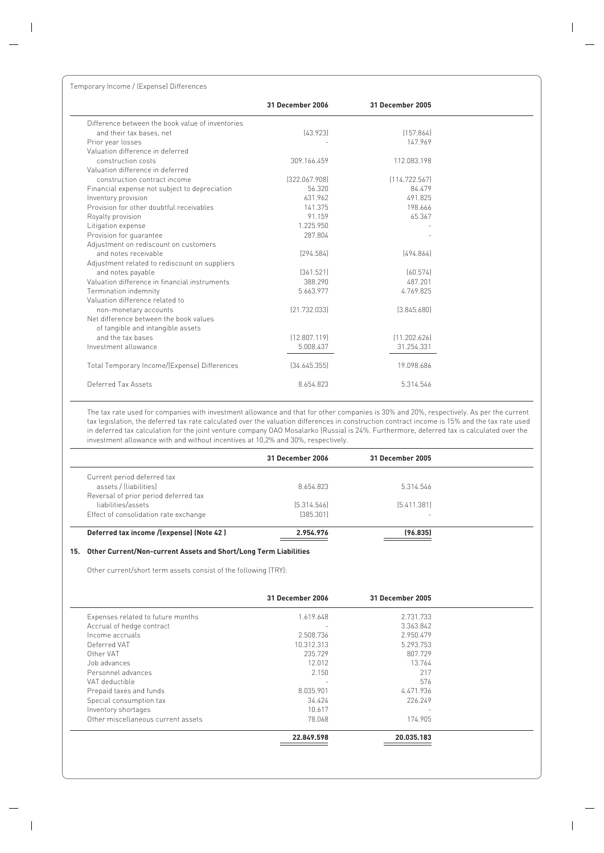|                                                  | 31 December 2006 | 31 December 2005 |
|--------------------------------------------------|------------------|------------------|
| Difference between the book value of inventories |                  |                  |
| and their tax bases, net                         | [43.923]         | [157.864]        |
| Prior year losses                                |                  | 147.969          |
| Valuation difference in deferred                 |                  |                  |
| construction costs                               | 309.166.459      | 112.083.198      |
| Valuation difference in deferred                 |                  |                  |
| construction contract income                     | [322.067.908]    | [114.722.567]    |
| Financial expense not subject to depreciation    | 56.320           | 84.479           |
| Inventory provision                              | 631.962          | 491.825          |
| Provision for other doubtful receivables         | 141.375          | 198.666          |
| Royalty provision                                | 91.159           | 65.367           |
| Litigation expense                               | 1.225.950        |                  |
| Provision for quarantee                          | 287.804          |                  |
| Adjustment on rediscount on customers            |                  |                  |
| and notes receivable                             | [294.584]        | [494.864]        |
| Adjustment related to rediscount on suppliers    |                  |                  |
| and notes payable                                | [361.521]        | [60.574]         |
| Valuation difference in financial instruments    | 388.290          | 487.201          |
| Termination indemnity                            | 5.663.977        | 4.769.825        |
| Valuation difference related to                  |                  |                  |
| non-monetary accounts                            | [21.732.033]     | [3.845.680]      |
| Net difference between the book values           |                  |                  |
| of tangible and intangible assets                |                  |                  |
| and the tax bases                                | (12.807.119)     | [11.202.626]     |
| Investment allowance                             | 5.008.437        | 31.254.331       |
| Total Temporary Income/(Expense) Differences     | [34.645.355]     | 19.098.686       |
| Deferred Tax Assets                              | 8.654.823        | 5.314.546        |

The tax rate used for companies with investment allowance and that for other companies is 30% and 20%, respectively. As per the current tax legislation, the deferred tax rate calculated over the valuation differences in construction contract income is 15% and the tax rate used in deferred tax calculation for the joint venture company OAO Mosalarko (Russia) is 24%. Furthermore, deferred tax is calculated over the investment allowance with and without incentives at 10,2% and 30%, respectively.

|                                          | 31 December 2006 | 31 December 2005 |  |
|------------------------------------------|------------------|------------------|--|
| Current period deferred tax              |                  |                  |  |
| assets / (liabilities)                   | 8.654.823        | 5.314.546        |  |
| Reversal of prior period deferred tax    |                  |                  |  |
| liabilities/assets                       | [5.314.546]      | [5.411.381]      |  |
| Effect of consolidation rate exchange    | [385.301]        | -                |  |
| Deferred tax income /(expense) (Note 42) | 2.954.976        | (96.835)         |  |

#### **15. Other Current/Non-current Assets and Short/Long Term Liabilities**

Other current/short term assets consist of the following (TRY):

|                                    | 31 December 2006         | <b>31 December 2005</b> |  |
|------------------------------------|--------------------------|-------------------------|--|
| Expenses related to future months  | 1.619.648                | 2.731.733               |  |
| Accrual of hedge contract          | $\overline{\phantom{a}}$ | 3.363.842               |  |
| Income accruals                    | 2.508.736                | 2.950.479               |  |
| Deferred VAT                       | 10.312.313               | 5.293.753               |  |
| Other VAT                          | 235.729                  | 807.729                 |  |
| Job advances                       | 12.012                   | 13.764                  |  |
| Personnel advances                 | 2.150                    | 217                     |  |
| VAT deductible                     |                          | 576                     |  |
| Prepaid taxes and funds            | 8.035.901                | 4.471.936               |  |
| Special consumption tax            | 34.424                   | 226.249                 |  |
| Inventory shortages                | 10.617                   |                         |  |
| Other miscellaneous current assets | 78.068                   | 174.905                 |  |
|                                    | 22.849.598               | 20.035.183              |  |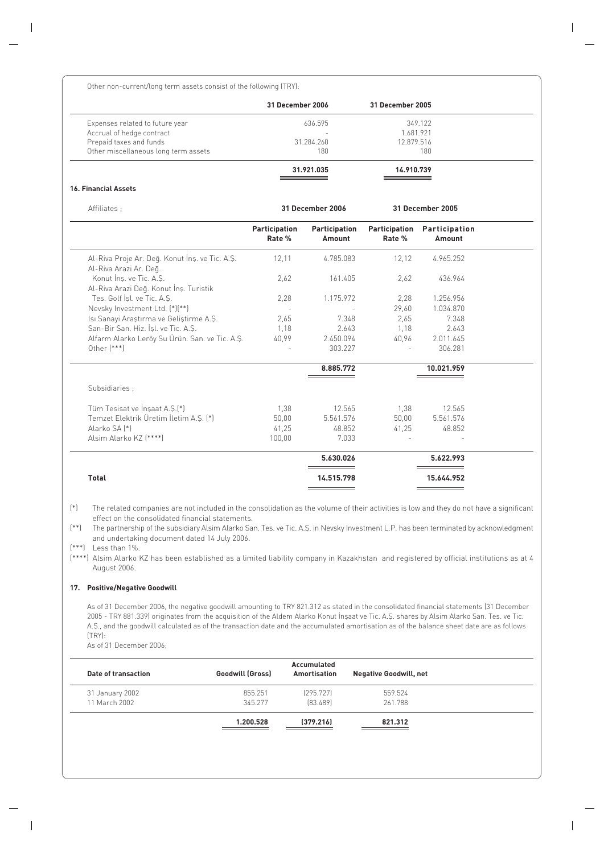Other non-current/long term assets consist of the following (TRY):

|                                      | 31 December 2006 | 31 December 2005 |
|--------------------------------------|------------------|------------------|
| Expenses related to future year      | 636.595          | 349.122          |
| Accrual of hedge contract            | -                | 1.681.921        |
| Prepaid taxes and funds              | 31.284.260       | 12.879.516       |
| Other miscellaneous long term assets | 180              | 180              |
|                                      | 31.921.035       | 14.910.739       |

#### **16. Financial Assets**

| Affiliates;                                                              |                         | <b>31 December 2006</b>        |                         | 31 December 2005        |  |
|--------------------------------------------------------------------------|-------------------------|--------------------------------|-------------------------|-------------------------|--|
|                                                                          | Participation<br>Rate % | <b>Participation</b><br>Amount | Participation<br>Rate % | Participation<br>Amount |  |
| Al-Riva Proje Ar. Deq. Konut Ins. ve Tic. A.S.<br>Al-Riva Arazi Ar. Deq. | 12,11                   | 4.785.083                      | 12,12                   | 4.965.252               |  |
| Konut Ins. ve Tic. A.S.<br>Al-Riva Arazi Deq. Konut İnş. Turistik        | 2.62                    | 161.405                        | 2.62                    | 436.964                 |  |
| Tes. Golf Isl. ve Tic. A.S.                                              | 2,28                    | 1.175.972                      | 2,28                    | 1.256.956               |  |
| Nevsky Investment Ltd. (*)(**)                                           |                         |                                | 29.60                   | 1.034.870               |  |
| Isi Sanayi Araştırma ve Geliştirme A.Ş.                                  | 2,65                    | 7.348                          | 2.65                    | 7.348                   |  |
| San-Bir San, Hiz, İsl. ve Tic, A.S.                                      | 1.18                    | 2.643                          | 1.18                    | 2.643                   |  |
| Alfarm Alarko Leröy Su Ürün. San. ve Tic. A.Ş.                           | 40,99                   | 2.450.094                      | 40,96                   | 2.011.645               |  |
| Other $[***]$                                                            |                         | 303.227                        | $\sim$                  | 306.281                 |  |
|                                                                          |                         | 8.885.772                      |                         | 10.021.959              |  |
| Subsidiaries ;                                                           |                         |                                |                         |                         |  |
| Tüm Tesisat ve İnşaat A.S. <sup>[*]</sup>                                | 1.38                    | 12.565                         | 1.38                    | 12.565                  |  |
| Temzet Elektrik Üretim İletim A.S. (*)                                   | 50,00                   | 5.561.576                      | 50,00                   | 5.561.576               |  |
| Alarko SA <sup>[*]</sup>                                                 | 41,25                   | 48.852                         | 41,25                   | 48.852                  |  |
| Alsim Alarko KZ [****]                                                   | 100,00                  | 7.033                          |                         |                         |  |
|                                                                          |                         | 5.630.026                      |                         | 5.622.993               |  |
| <b>Total</b>                                                             |                         | 14.515.798                     |                         | 15.644.952              |  |

(\*) The related companies are not included in the consolidation as the volume of their activities is low and they do not have a significant effect on the consolidated financial statements.

(\*\*) The partnership of the subsidiary Alsim Alarko San. Tes. ve Tic. A.fi. in Nevsky Investment L.P. has been terminated by acknowledgment and undertaking document dated 14 July 2006.

(\*\*\*) Less than 1%.

(\*\*\*\*) Alsim Alarko KZ has been established as a limited liability company in Kazakhstan and registered by official institutions as at 4 August 2006.

#### **17. Positive/Negative Goodwill**

As of 31 December 2006, the negative goodwill amounting to TRY 821.312 as stated in the consolidated financial statements (31 December 2005 - TRY 881.339) originates from the acquisition of the Aldem Alarko Konut İnsaat ve Tic. A.Ş. shares by Alsim Alarko San. Tes. ve Tic. A.S., and the goodwill calculated as of the transaction date and the accumulated amortisation as of the balance sheet date are as follows (TRY):

As of 31 December 2006;

|                     |                         | Accumulated  |                               |
|---------------------|-------------------------|--------------|-------------------------------|
| Date of transaction | <b>Goodwill (Gross)</b> | Amortisation | <b>Negative Goodwill, net</b> |
| 31 January 2002     | 855.251                 | [295.727]    | 559.524                       |
| 11 March 2002       | 345.277                 | [83, 489]    | 261.788                       |
|                     | 1.200.528               | [379.216]    | 821.312                       |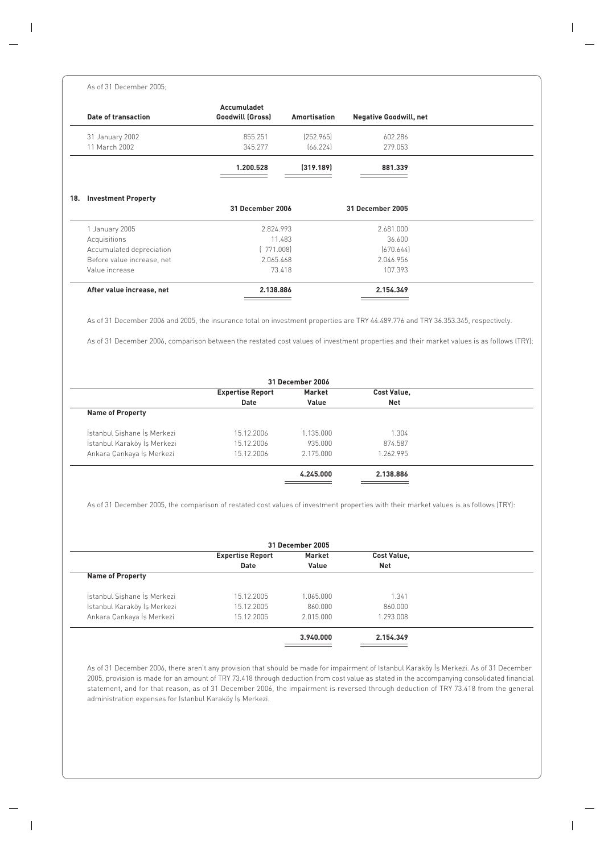#### As of 31 December 2005;

| Accumuladet<br>Goodwill (Gross) | Amortisation | <b>Negative Goodwill, net</b> |  |
|---------------------------------|--------------|-------------------------------|--|
| 855.251                         | [252.965]    | 602.286                       |  |
| 345.277                         | [66.224]     | 279.053                       |  |
| 1.200.528                       | (319.189)    | 881.339                       |  |
|                                 |              | 31 December 2005              |  |
|                                 |              | 2.681.000                     |  |
|                                 | 11.483       | 36.600                        |  |
|                                 |              |                               |  |
| [771.008]                       |              | [670.644]                     |  |
| 2.065.468                       |              | 2.046.956                     |  |
|                                 | 73.418       | 107.393                       |  |
|                                 |              | 31 December 2006<br>2.824.993 |  |

As of 31 December 2006 and 2005, the insurance total on investment properties are TRY 44.489.776 and TRY 36.353.345, respectively.

As of 31 December 2006, comparison between the restated cost values of investment properties and their market values is as follows (TRY):

| 31 December 2006            |           |           |                    |  |  |  |  |  |
|-----------------------------|-----------|-----------|--------------------|--|--|--|--|--|
| <b>Expertise Report</b>     |           |           |                    |  |  |  |  |  |
| <b>Net</b><br>Date<br>Value |           |           |                    |  |  |  |  |  |
|                             |           |           |                    |  |  |  |  |  |
| 15.12.2006                  | 1.135.000 | 1.304     |                    |  |  |  |  |  |
| 15.12.2006                  | 935.000   | 874.587   |                    |  |  |  |  |  |
| 15.12.2006                  | 2.175.000 | 1.262.995 |                    |  |  |  |  |  |
|                             | 4.245.000 | 2.138.886 |                    |  |  |  |  |  |
|                             |           | Market    | <b>Cost Value,</b> |  |  |  |  |  |

As of 31 December 2005, the comparison of restated cost values of investment properties with their market values is as follows (TRY):

|                             | <b>Expertise Report</b> | <b>Cost Value,</b> |            |  |
|-----------------------------|-------------------------|--------------------|------------|--|
|                             | Date                    | Value              | <b>Net</b> |  |
| <b>Name of Property</b>     |                         |                    |            |  |
| İstanbul Sishane İs Merkezi | 15.12.2005              | 1.065.000          | 1.341      |  |
| İstanbul Karaköy İş Merkezi | 15.12.2005              | 860.000            | 860.000    |  |
| Ankara Çankaya İş Merkezi   | 15.12.2005              | 2.015.000          | 1.293.008  |  |
|                             |                         | 3.940.000          | 2.154.349  |  |

As of 31 December 2006, there aren't any provision that should be made for impairment of Istanbul Karaköy İs Merkezi. As of 31 December 2005, provision is made for an amount of TRY 73.418 through deduction from cost value as stated in the accompanying consolidated financial statement, and for that reason, as of 31 December 2006, the impairment is reversed through deduction of TRY 73.418 from the general administration expenses for Istanbul Karaköy İş Merkezi.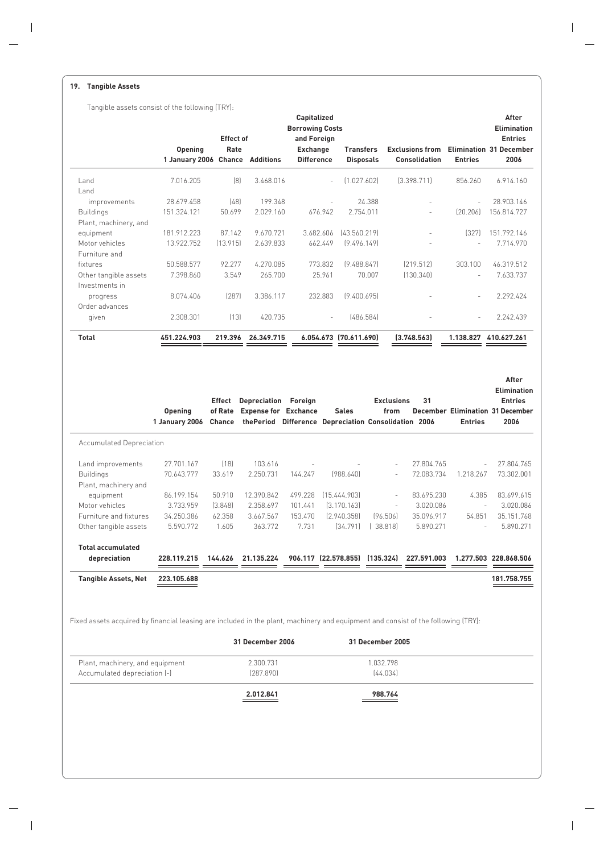#### **19. Tangible Assets**

Tangible assets consist of the following (TRY):

|                                                 |                                         | <b>Effect of</b>  |                             | Capitalized<br><b>Borrowing Costs</b><br>and Foreign |                                                                      |                           |                                         |                       | After<br><b>Elimination</b><br><b>Entries</b>   |
|-------------------------------------------------|-----------------------------------------|-------------------|-----------------------------|------------------------------------------------------|----------------------------------------------------------------------|---------------------------|-----------------------------------------|-----------------------|-------------------------------------------------|
|                                                 | <b>Opening</b><br>1 January 2006 Chance | Rate              | <b>Additions</b>            | <b>Exchange</b><br><b>Difference</b>                 | <b>Transfers</b><br><b>Disposals</b>                                 |                           | <b>Exclusions from</b><br>Consolidation | <b>Entries</b>        | <b>Elimination 31 December</b><br>2006          |
| Land<br>I and                                   | 7.016.205                               | [8]               | 3.468.016                   |                                                      | [1.027.602]                                                          |                           | [3.398.711]                             | 856.260               | 6.914.160                                       |
| improvements                                    | 28.679.458                              | (48)              | 199.348                     |                                                      |                                                                      | 24.388                    |                                         |                       | 28.903.146                                      |
| <b>Buildings</b>                                | 151.324.121                             | 50.699            | 2.029.160                   |                                                      | 676.942<br>2.754.011                                                 |                           |                                         | [20.206]              | 156.814.727                                     |
| Plant, machinery, and                           |                                         |                   |                             |                                                      |                                                                      |                           |                                         |                       |                                                 |
| equipment                                       | 181.912.223                             | 87.142            | 9.670.721                   |                                                      | 3.682.606<br>[43.560.219]                                            |                           |                                         | (327)                 | 151.792.146                                     |
| Motor vehicles                                  | 13.922.752                              | (13.915)          | 2.639.833                   |                                                      | 662.449<br>[9.496.149]                                               |                           |                                         |                       | 7.714.970                                       |
| Furniture and                                   |                                         |                   |                             |                                                      |                                                                      |                           |                                         |                       |                                                 |
| fixtures                                        | 50.588.577                              | 92.277            | 4.270.085                   |                                                      | 773.832<br>[9.488.847]                                               |                           | [219.512]                               | 303.100               | 46.319.512                                      |
| Other tangible assets                           | 7.398.860                               | 3.549             | 265.700                     |                                                      | 25.961                                                               | 70.007                    | (130.340)                               |                       | 7.633.737                                       |
| Investments in                                  |                                         |                   |                             |                                                      |                                                                      |                           |                                         |                       |                                                 |
| progress                                        | 8.074.406                               | [287]             | 3.386.117                   |                                                      | 232.883<br>[9.400.695]                                               |                           |                                         |                       | 2.292.424                                       |
| Order advances                                  |                                         |                   |                             |                                                      |                                                                      |                           |                                         |                       |                                                 |
| given                                           | 2.308.301                               | [13]              | 420.735                     |                                                      |                                                                      | [486.584]                 |                                         |                       | 2.242.439                                       |
|                                                 |                                         |                   |                             |                                                      |                                                                      |                           |                                         |                       |                                                 |
| Total                                           | 451.224.903                             | 219.396           | 26.349.715                  |                                                      | 6.054.673 (70.611.690)                                               |                           | (3.748.563)                             | 1.138.827 410.627.261 |                                                 |
|                                                 |                                         |                   |                             |                                                      |                                                                      |                           |                                         |                       | After<br><b>Elimination</b>                     |
|                                                 |                                         | Effect            | Depreciation                | Foreign                                              |                                                                      | <b>Exclusions</b><br>from | 31                                      |                       | <b>Entries</b>                                  |
|                                                 | <b>Opening</b><br>1 January 2006        | of Rate<br>Chance | <b>Expense for Exchance</b> |                                                      | <b>Sales</b><br>thePeriod Difference Depreciation Consolidation 2006 |                           |                                         | <b>Entries</b>        | <b>December Elimination 31 December</b><br>2006 |
| <b>Accumulated Depreciation</b>                 |                                         |                   |                             |                                                      |                                                                      |                           |                                         |                       |                                                 |
| Land improvements                               | 27.701.167                              | (18)              | 103.616                     |                                                      |                                                                      |                           | 27.804.765                              |                       | 27.804.765                                      |
| <b>Buildings</b>                                | 70.643.777                              | 33.619            | 2.250.731                   | 144.247                                              | (988.640)                                                            |                           | 72.083.734                              | 1.218.267             | 73.302.001                                      |
| Plant, machinery and                            |                                         |                   |                             |                                                      |                                                                      |                           |                                         |                       |                                                 |
| equipment                                       | 86.199.154                              | 50.910            | 12.390.842                  | 499.228                                              | (15.444.903)                                                         |                           | 83.695.230                              | 4.385                 | 83.699.615                                      |
|                                                 |                                         |                   |                             |                                                      |                                                                      | L.                        |                                         |                       |                                                 |
| Motor vehicles                                  | 3.733.959                               | (3.848)           | 2.358.697                   | 101.441                                              | [3.170.163]                                                          |                           | 3.020.086                               |                       | 3.020.086                                       |
| Furniture and fixtures<br>Other tangible assets | 34.250.386<br>5.590.772                 | 62.358<br>1.605   | 3.667.567<br>363.772        | 153.470<br>7.731                                     | [2.940.358]<br>[34.791]                                              | [96.506]<br>[38.818]      | 35.096.917<br>5.890.271                 | 54.851                | 35.151.768<br>5.890.271                         |
|                                                 |                                         |                   |                             |                                                      |                                                                      |                           |                                         |                       |                                                 |
| <b>Total accumulated</b><br>depreciation        | 228.119.215                             | 144.626           | 21.135.224                  |                                                      | 906.117 (22.578.855)                                                 | (135.324)                 | 227.591.003                             |                       | 1.277.503 228.868.506                           |
| <b>Tangible Assets, Net</b>                     | 223.105.688                             |                   |                             |                                                      |                                                                      |                           |                                         |                       | 181.758.755                                     |

Fixed assets acquired by financial leasing are included in the plant, machinery and equipment and consist of the following (TRY):

|                                 | 31 December 2006 | 31 December 2005 |  |
|---------------------------------|------------------|------------------|--|
| Plant, machinery, and equipment | 2.300.731        | 1.032.798        |  |
| Accumulated depreciation [-]    | (287.890)        | [44.034]         |  |
|                                 | 2.012.841        | 988.764          |  |
|                                 |                  |                  |  |
|                                 |                  |                  |  |
|                                 |                  |                  |  |
|                                 |                  |                  |  |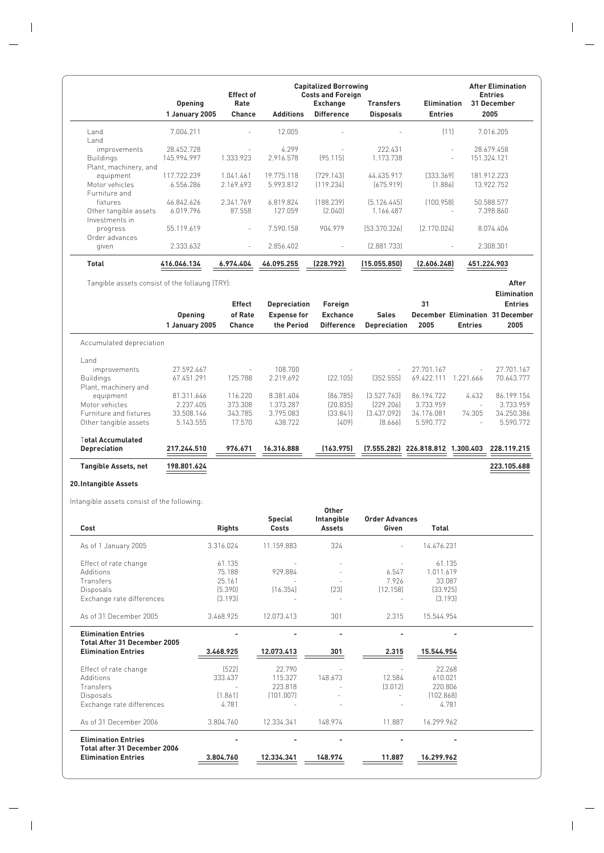|                       |                | <b>Capitalized Borrowing</b><br><b>Effect of</b><br><b>Costs and Foreign</b> |                  |                          |                  |                          | <b>After Elimination</b><br><b>Entries</b> |
|-----------------------|----------------|------------------------------------------------------------------------------|------------------|--------------------------|------------------|--------------------------|--------------------------------------------|
|                       | <b>Opening</b> | Rate                                                                         |                  | Exchange                 | <b>Transfers</b> | <b>Elimination</b>       | 31 December                                |
|                       | 1 January 2005 | <b>Chance</b>                                                                | <b>Additions</b> | <b>Difference</b>        | <b>Disposals</b> | <b>Entries</b>           | 2005                                       |
| Land                  | 7.004.211      | $\sim$                                                                       | 12.005           | ٠                        |                  | (11)                     | 7.016.205                                  |
| l and                 |                |                                                                              |                  |                          |                  |                          |                                            |
| improvements          | 28.452.728     |                                                                              | 4.299            |                          | 222.431          | $\sim$                   | 28.679.458                                 |
| <b>Buildings</b>      | 145.994.997    | 1.333.923                                                                    | 2.916.578        | [95.115]                 | 1.173.738        | $\overline{\phantom{a}}$ | 151.324.121                                |
| Plant, machinery, and |                |                                                                              |                  |                          |                  |                          |                                            |
| equipment             | 117.722.239    | 1.041.461                                                                    | 19.775.118       | [729.143]                | 44.435.917       | [333.369]                | 181.912.223                                |
| Motor vehicles        | 6.556.286      | 2.169.693                                                                    | 5.993.812        | [119.234]                | [675.919]        | [1.886]                  | 13.922.752                                 |
| Furniture and         |                |                                                                              |                  |                          |                  |                          |                                            |
| fixtures              | 46.842.626     | 2.341.769                                                                    | 6.819.824        | [188.239]                | [5.126.445]      | [100.958]                | 50.588.577                                 |
| Other tangible assets | 6.019.796      | 87.558                                                                       | 127.059          | (2.040)                  | 1.166.487        | ٠                        | 7.398.860                                  |
| Investments in        |                |                                                                              |                  |                          |                  |                          |                                            |
| progress              | 55.119.619     |                                                                              | 7.590.158        | 904.979                  | [53.370.326]     | [2.170.024]              | 8.074.406                                  |
| Order advances        |                |                                                                              |                  |                          |                  |                          |                                            |
| given                 | 2.333.632      | $\overline{\phantom{a}}$                                                     | 2.856.402        | $\overline{\phantom{a}}$ | [2.881.733]      | $\overline{\phantom{a}}$ | 2.308.301                                  |
| <b>Total</b>          | 416.046.134    | 6.974.404                                                                    | 46.095.255       | (228.792)                | (15.055.850)     | (2.606.248)              | 451.224.903                                |

Tangible assets consist of the follaung (TRY): **After**

|                             | <b>Opening</b><br>1 January 2005 | <b>Effect</b><br>of Rate<br><b>Chance</b> | <b>Depreciation</b><br><b>Expense for</b><br>the Period | Foreign<br><b>Exchance</b><br><b>Difference</b> | <b>Sales</b><br><b>Depreciation</b> | 31<br>2005            | <b>Entries</b> | <b>Elimination</b><br><b>Entries</b><br><b>December Elimination 31 December</b><br>2005 |
|-----------------------------|----------------------------------|-------------------------------------------|---------------------------------------------------------|-------------------------------------------------|-------------------------------------|-----------------------|----------------|-----------------------------------------------------------------------------------------|
| Accumulated depreciation    |                                  |                                           |                                                         |                                                 |                                     |                       |                |                                                                                         |
| Land                        |                                  |                                           |                                                         |                                                 |                                     |                       |                |                                                                                         |
| improvements                | 27.592.467                       | $\sim$                                    | 108.700                                                 |                                                 | $\sim$                              | 27.701.167            | $\sim$         | 27.701.167                                                                              |
| <b>Buildings</b>            | 67.451.291                       | 125.788                                   | 2.219.692                                               | [22.105]                                        | [352.555]                           | 69.422.111            | 1.221.666      | 70.643.777                                                                              |
| Plant, machinery and        |                                  |                                           |                                                         |                                                 |                                     |                       |                |                                                                                         |
| equipment                   | 81.311.646                       | 116.220                                   | 8.381.404                                               | [86.785]                                        | [3.527.763]                         | 86.194.722            | 4.432          | 86.199.154                                                                              |
| Motor vehicles              | 2.237.405                        | 373.308                                   | 1.373.287                                               | [20.835]                                        | [229.206]                           | 3.733.959             | $\sim$         | 3.733.959                                                                               |
| Furniture and fixtures      | 33.508.146                       | 343.785                                   | 3.795.083                                               | [33.841]                                        | [3.437.092]                         | 34.176.081            | 74.305         | 34.250.386                                                                              |
| Other tangible assets       | 5.143.555                        | 17.570                                    | 438.722                                                 | [409]                                           | [8.666]                             | 5.590.772             | $\sim$         | 5.590.772                                                                               |
| <b>⊺otal Accumulated</b>    |                                  |                                           |                                                         |                                                 |                                     |                       |                |                                                                                         |
| <b>Depreciation</b>         | 217.244.510                      | 976.671                                   | 16.316.888                                              | (163.975)                                       | (7.555.282)                         | 226.818.812 1.300.403 |                | 228.119.215                                                                             |
| <b>Tangible Assets, net</b> | 198.801.624                      |                                           |                                                         |                                                 |                                     |                       |                | 223.105.688                                                                             |

#### **20.Intangible Assets**

Intangible assets consist of the following:

| Cost                                                              | <b>Rights</b> | <b>Special</b><br>Costs | Other<br>Intangible<br><b>Assets</b> | <b>Order Advances</b><br>Given | Total      |  |
|-------------------------------------------------------------------|---------------|-------------------------|--------------------------------------|--------------------------------|------------|--|
| As of 1 January 2005                                              | 3.316.024     | 11.159.883              | 324                                  |                                | 14.476.231 |  |
| Effect of rate change                                             | 61.135        |                         |                                      |                                | 61.135     |  |
| Additions                                                         | 75.188        | 929.884                 |                                      | 6.547                          | 1.011.619  |  |
| Transfers                                                         | 25.161        |                         |                                      | 7.926                          | 33.087     |  |
| Disposals                                                         | (5.390)       | (16.354)                | [23]                                 | (12.158)                       | [33.925]   |  |
| Exchange rate differences                                         | [3.193]       |                         |                                      |                                | [3.193]    |  |
| As of 31 December 2005                                            | 3.468.925     | 12.073.413              | 301                                  | 2.315                          | 15.544.954 |  |
| <b>Elimination Entries</b><br><b>Total After 31 December 2005</b> |               |                         |                                      |                                |            |  |
| <b>Elimination Entries</b>                                        | 3.468.925     | 12.073.413              | 301                                  | 2.315                          | 15.544.954 |  |
| Effect of rate change                                             | (522)         | 22.790                  |                                      |                                | 22.268     |  |
| <b>Additions</b>                                                  | 333.437       | 115.327                 | 148.673                              | 12.584                         | 610.021    |  |
| Transfers                                                         |               | 223.818                 |                                      | (3.012)                        | 220.806    |  |
| <b>Disposals</b>                                                  | [1.861]       | [101.007]               |                                      |                                | [102.868]  |  |
| Exchange rate differences                                         | 4.781         |                         |                                      |                                | 4.781      |  |
| As of 31 December 2006                                            | 3.804.760     | 12.334.341              | 148.974                              | 11.887                         | 16.299.962 |  |
| <b>Elimination Entries</b><br><b>Total after 31 December 2006</b> |               |                         |                                      |                                |            |  |
| <b>Elimination Entries</b>                                        | 3.804.760     | 12.334.341              | 148.974                              | 11.887                         | 16.299.962 |  |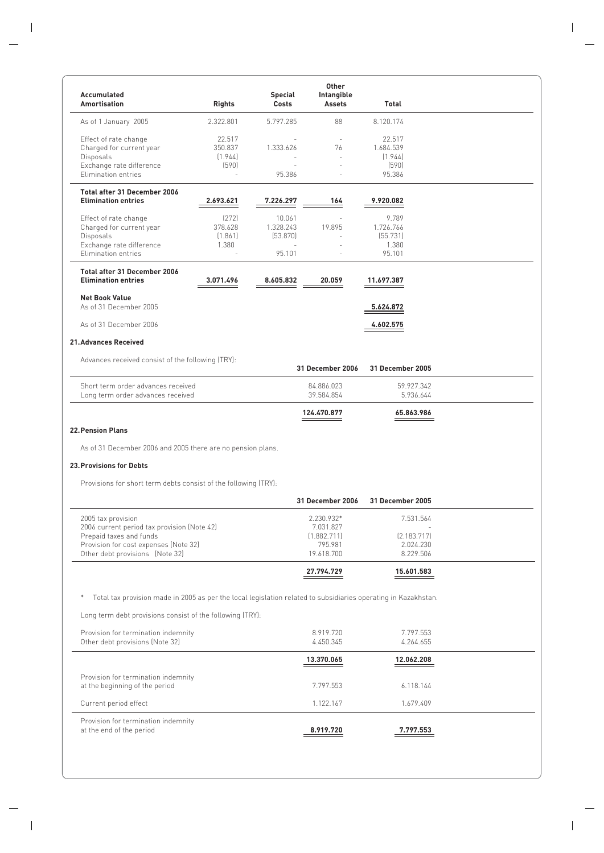| Accumulated<br><b>Amortisation</b>                                                                                                                                       | <b>Rights</b>                         | <b>Special</b><br>Costs                   | <b>Other</b><br>Intangible<br><b>Assets</b>                     | Total                                              |  |
|--------------------------------------------------------------------------------------------------------------------------------------------------------------------------|---------------------------------------|-------------------------------------------|-----------------------------------------------------------------|----------------------------------------------------|--|
| As of 1 January 2005                                                                                                                                                     | 2.322.801                             | 5.797.285                                 | 88                                                              | 8.120.174                                          |  |
| Effect of rate change<br>Charged for current year<br>Disposals<br>Exchange rate difference<br>Elimination entries                                                        | 22.517<br>350.837<br>(1.944)<br>(590) | 1.333.626<br>95.386                       | ×.<br>76<br>ä,                                                  | 22.517<br>1.684.539<br>(1.944)<br>(590)<br>95.386  |  |
| <b>Total after 31 December 2006</b><br><b>Elimination entries</b>                                                                                                        | 2.693.621                             | 7.226.297                                 | 164                                                             | 9.920.082                                          |  |
| Effect of rate change<br>Charged for current year<br>Disposals<br>Exchange rate difference<br>Elimination entries                                                        | [272]<br>378.628<br>(1.861)<br>1.380  | 10.061<br>1.328.243<br>[53.870]<br>95.101 | 19.895                                                          | 9.789<br>1.726.766<br>(55.731)<br>1.380<br>95.101  |  |
| <b>Total after 31 December 2006</b><br><b>Elimination entries</b>                                                                                                        | 3.071.496                             | 8.605.832                                 | 20.059                                                          | 11.697.387                                         |  |
| <b>Net Book Value</b><br>As of 31 December 2005                                                                                                                          |                                       |                                           |                                                                 | 5.624.872                                          |  |
| As of 31 December 2006                                                                                                                                                   |                                       |                                           |                                                                 | 4.602.575                                          |  |
| <b>21. Advances Received</b>                                                                                                                                             |                                       |                                           |                                                                 |                                                    |  |
| Advances received consist of the following (TRY):                                                                                                                        |                                       |                                           | 31 December 2006                                                | <b>31 December 2005</b>                            |  |
| Short term order advances received<br>Long term order advances received                                                                                                  |                                       |                                           | 84.886.023<br>39.584.854                                        | 59.927.342<br>5.936.644                            |  |
|                                                                                                                                                                          |                                       |                                           | 124.470.877                                                     | 65.863.986                                         |  |
| <b>22. Pension Plans</b>                                                                                                                                                 |                                       |                                           |                                                                 |                                                    |  |
| As of 31 December 2006 and 2005 there are no pension plans.                                                                                                              |                                       |                                           |                                                                 |                                                    |  |
| <b>23. Provisions for Debts</b>                                                                                                                                          |                                       |                                           |                                                                 |                                                    |  |
| Provisions for short term debts consist of the following (TRY):                                                                                                          |                                       |                                           |                                                                 |                                                    |  |
|                                                                                                                                                                          |                                       |                                           | 31 December 2006                                                | <b>31 December 2005</b>                            |  |
| 2005 tax provision<br>2006 current period tax provision (Note 42)<br>Prepaid taxes and funds<br>Provision for cost expenses (Note 32)<br>Other debt provisions (Note 32) |                                       |                                           | 2.230.932*<br>7.031.827<br>(1.882.711)<br>795.981<br>19.618.700 | 7.531.564<br>[2.183.717]<br>2.024.230<br>8.229.506 |  |
|                                                                                                                                                                          |                                       |                                           | 27.794.729                                                      | 15.601.583                                         |  |
| Total tax provision made in 2005 as per the local legislation related to subsidiaries operating in Kazakhstan.                                                           |                                       |                                           |                                                                 |                                                    |  |
| Long term debt provisions consist of the following (TRY):                                                                                                                |                                       |                                           |                                                                 |                                                    |  |
| Provision for termination indemnity<br>Other debt provisions (Note 32)                                                                                                   |                                       |                                           | 8.919.720<br>4.450.345                                          | 7.797.553<br>4.264.655                             |  |
|                                                                                                                                                                          |                                       |                                           | 13.370.065                                                      | 12.062.208                                         |  |
| Provision for termination indemnity<br>at the beginning of the period                                                                                                    |                                       |                                           | 7.797.553                                                       | 6.118.144                                          |  |
| Current period effect                                                                                                                                                    |                                       |                                           | 1.122.167                                                       | 1.679.409                                          |  |
| Provision for termination indemnity<br>at the end of the period                                                                                                          |                                       |                                           | 8.919.720                                                       | 7.797.553                                          |  |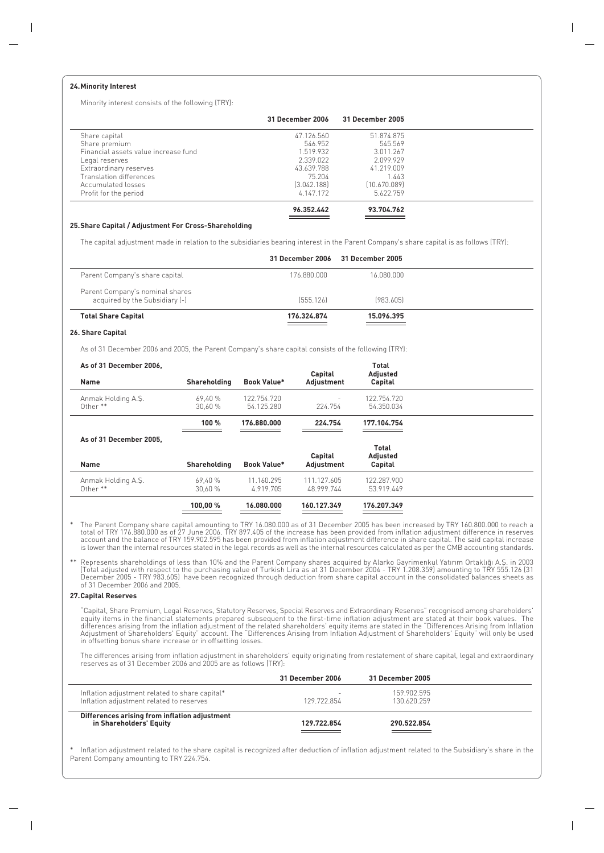#### **24.Minority Interest**

Minority interest consists of the following (TRY):

|                                      | 31 December 2006 | 31 December 2005 |  |
|--------------------------------------|------------------|------------------|--|
| Share capital                        | 47.126.560       | 51.874.875       |  |
| Share premium                        | 546.952          | 545.569          |  |
| Financial assets value increase fund | 1.519.932        | 3.011.267        |  |
| Legal reserves                       | 2.339.022        | 2.099.929        |  |
| Extraordinary reserves               | 43.639.788       | 41.219.009       |  |
| Translation differences              | 75.204           | 1.443            |  |
| Accumulated losses                   | [3.042.188]      | [10.670.089]     |  |
| Profit for the period                | 4.147.172        | 5.622.759        |  |
|                                      | 96.352.442       | 93.704.762       |  |

#### **25.Share Capital / Adjustment For Cross-Shareholding**

The capital adjustment made in relation to the subsidiaries bearing interest in the Parent Company's share capital is as follows (TRY):

|                                                                   |                           | 31 December 2006 31 December 2005                                                                                                                                                                                                                  |  |
|-------------------------------------------------------------------|---------------------------|----------------------------------------------------------------------------------------------------------------------------------------------------------------------------------------------------------------------------------------------------|--|
| Parent Company's share capital                                    | 176.880.000               | 16.080.000                                                                                                                                                                                                                                         |  |
| Parent Company's nominal shares<br>acquired by the Subsidiary [-] | [555.126]                 | [983.605]                                                                                                                                                                                                                                          |  |
| <b>Total Share Capital</b>                                        | 176.324.874<br>__________ | 15.096.395<br><u> The Communication of the Communication of the Communication of the Communication of the Communication of the Communication of the Communication of the Communication of the Communication of the Communication of the Commun</u> |  |

#### **26. Share Capital**

As of 31 December 2006 and 2005, the Parent Company's share capital consists of the following (TRY):

| As of 31 December 2006,        |                   |                           | Capital                             | Total<br>Adjusted         |  |
|--------------------------------|-------------------|---------------------------|-------------------------------------|---------------------------|--|
| <b>Name</b>                    | Shareholding      | <b>Book Value*</b>        | Adjustment                          | Capital                   |  |
| Anmak Holding A.S.<br>Other ** | 69.40 %<br>30.60% | 122.754.720<br>54.125.280 | $\overline{\phantom{a}}$<br>224.754 | 122.754.720<br>54.350.034 |  |
|                                | 100 %             | 176.880.000               | 224.754                             | 177.104.754               |  |
| As of 31 December 2005.        |                   |                           |                                     |                           |  |
|                                |                   |                           | Capital                             | Total<br>Adjusted         |  |
| <b>Name</b>                    | Shareholding      | Book Value*               | Adjustment                          | Capital                   |  |
| Anmak Holding A.Ş.<br>Other ** | 69.40%<br>30.60 % | 11.160.295<br>4.919.705   | 111.127.605<br>48.999.744           | 122.287.900<br>53.919.449 |  |
|                                | 100.00%           | 16.080.000                | 160.127.349                         | 176.207.349               |  |

The Parent Company share capital amounting to TRY 16.080.000 as of 31 December 2005 has been increased by TRY 160.800.000 to reach a "<br>total of TRY 176.880.000 as of 27 June 2006. TRY 897.405 of the increase has been provi is lower than the internal resources stated in the legal records as well as the internal resources calculated as per the CMB accounting standards.

Represents shareholdings of less than 10% and the Parent Company shares acquired by Alarko Gayrimenkul Yatırım Ortaklığı A.Ş. in 2003 \*\*<br>13) Total adjusted with respect to the purchasing value of Turkish Lira as at 31 Dece of 31 December 2006 and 2005.

#### **27.Capital Reserves**

"Capital, Share Premium, Legal Reserves, Statutory Reserves, Special Reserves and Extraordinary Reserves" recognised among shareholders'<br>equity items in the financial statements prepared subsequent to the first-time inflat differences arising from the inflation adjustment of the related shareholders' equity items are stated in the "Differences Arising from Inflation<br>Adjustment of Shareholders' Equity" account. The "Differences Arising from I

The differences arising from inflation adjustment in shareholders' equity originating from restatement of share capital, legal and extraordinary reserves as of 31 December 2006 and 2005 are as follows (TRY):

|                                                                                            | 31 December 2006 | 31 December 2005           |  |
|--------------------------------------------------------------------------------------------|------------------|----------------------------|--|
| Inflation adjustment related to share capital*<br>Inflation adjustment related to reserves | 129 722 854      | 159.902.595<br>130.620.259 |  |
| Differences arising from inflation adjustment<br>in Shareholders' Equity                   | 129.722.854      | 290.522.854                |  |

Inflation adjustment related to the share capital is recognized after deduction of inflation adjustment related to the Subsidiary's share in the Parent Company amounting to TRY 224.754.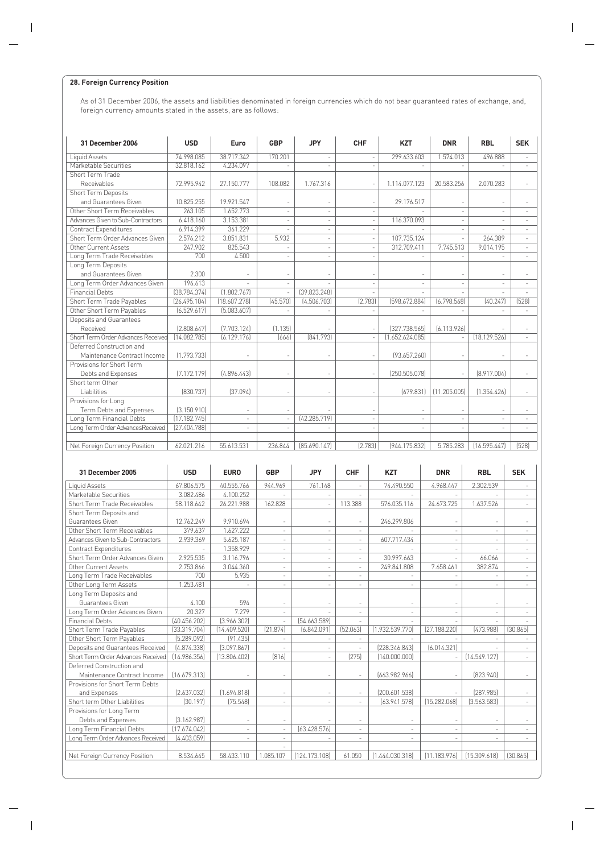#### **28. Foreign Currency Position**

As of 31 December 2006, the assets and liabilities denominated in foreign currencies which do not bear guaranteed rates of exchange, and, foreign currency amounts stated in the assets, are as follows:

| 31 December 2006                   | <b>USD</b>   | Euro         | <b>GBP</b>               | <b>JPY</b>   | CHF     | <b>KZT</b>    | <b>DNR</b>   | <b>RBL</b>   | <b>SEK</b> |
|------------------------------------|--------------|--------------|--------------------------|--------------|---------|---------------|--------------|--------------|------------|
| <b>Liquid Assets</b>               | 74.998.085   | 38.717.342   | 170.201                  |              |         | 299.633.603   | 1.574.013    | 496.888      |            |
| Marketable Securities              | 32.818.162   | 4.234.097    |                          |              |         |               |              |              |            |
| Short Term Trade                   |              |              |                          |              |         |               |              |              |            |
| Receivables                        | 72.995.942   | 27.150.777   | 108.082                  | 1.767.316    |         | 1.114.077.123 | 20.583.256   | 2.070.283    |            |
| <b>Short Term Deposits</b>         |              |              |                          |              |         |               |              |              |            |
| and Guarantees Given               | 10.825.255   | 19.921.547   |                          |              |         | 29.176.517    |              |              |            |
| Other Short Term Receivables       | 263.105      | 1.652.773    |                          |              |         |               | ٠            |              |            |
| Advances Given to Sub-Contractors  | 6.418.160    | 3.153.381    |                          |              |         | 116.370.093   |              |              |            |
| <b>Contract Expenditures</b>       | 6.914.399    | 361.229      |                          |              |         |               |              |              |            |
| Short Term Order Advances Given    | 2.576.212    | 3.851.831    | 5.932                    |              |         | 107.735.124   |              | 264.389      |            |
| Other Current Assets               | 247.902      | 825.543      |                          |              |         | 312.709.411   | 7.745.513    | 9.014.195    |            |
| Long Term Trade Receivables        | 700          | 4.500        |                          |              |         |               |              |              |            |
| Long Term Deposits                 |              |              |                          |              |         |               |              |              |            |
| and Guarantees Given               | 2.300        |              |                          |              |         |               |              |              |            |
| Long Term Order Advances Given     | 196.613      |              |                          |              |         |               |              |              |            |
| <b>Financial Debts</b>             | [38.784.374] | [1.802.767]  | $\overline{\phantom{a}}$ | [39.823.248] |         |               |              |              |            |
| Short Term Trade Payables          | [26.495.104] | [18,607,278] | [45.570]                 | [4.506.703]  | [2.783] | [598.672.884] | [6.798,568]  | [40.247]     | (528)      |
| Other Short Term Payables          | [6.529.617]  | [5.083.607]  |                          |              |         |               |              |              |            |
| Deposits and Guarantees            |              |              |                          |              |         |               |              |              |            |
| Received                           | [2.808.647]  | [7.703.124]  | [1.135]                  |              |         | (327.738.565) | [6.113.926]  |              |            |
| Short Term Order Advances Received | [14.082.785] | [6.129.176]  | [666]                    | [841.793]    |         | .652.624.0851 |              | [18,129,526] |            |
| Deferred Construction and          |              |              |                          |              |         |               |              |              |            |
| Maintenance Contract Income        | [1.793.733]  |              |                          |              |         | [93.657.260]  |              |              |            |
| Provisions for Short Term          |              |              |                          |              |         |               |              |              |            |
| Debts and Expenses                 | [7.172.179]  | [4.896.443]  | $\overline{\phantom{a}}$ |              |         | (250,505,078) |              | [8.917.004]  |            |
| Short term Other                   |              |              |                          |              |         |               |              |              |            |
| Liabilities                        | [830,737]    | [37.094]     |                          |              |         | [679.831]     | [11.205.005] | [1.354.426]  |            |
| Provisions for Long                |              |              |                          |              |         |               |              |              |            |
| Term Debts and Expenses            | (3.150.910)  |              |                          |              |         |               |              |              |            |
| Long Term Financial Debts          | [17.182.745] |              | $\overline{a}$           | (42.285.719) |         |               |              |              |            |
| Long Term Order AdvancesReceived   | [27.404.788] |              |                          |              |         |               |              |              |            |
|                                    |              |              |                          |              |         |               |              |              |            |
| Net Foreign Currency Position      | 62.021.216   | 55.613.531   | 236.844                  | [85.690.147] | [2.783] | [944.175.832] | 5.785.283    | (16.595.447) | [528]      |

| 31 December 2005                   | <b>USD</b>   | <b>EURO</b>  | <b>GBP</b>               | <b>JPY</b>               | CHF                      | <b>KZT</b>      | <b>DNR</b>   | <b>RBL</b>               | <b>SEK</b>               |
|------------------------------------|--------------|--------------|--------------------------|--------------------------|--------------------------|-----------------|--------------|--------------------------|--------------------------|
| Liquid Assets                      | 67.806.575   | 40.555.766   | 944.969                  | 761.148                  |                          | 74.490.550      | 4.968.447    | 2.302.539                |                          |
| Marketable Securities              | 3.082.486    | 4.100.252    |                          |                          |                          |                 |              |                          |                          |
| Short Term Trade Receivables       | 58.118.642   | 26.221.988   | 162.828                  |                          | 113.388                  | 576.035.116     | 24.673.725   | 1.637.526                |                          |
| Short Term Deposits and            |              |              |                          |                          |                          |                 |              |                          |                          |
| Guarantees Given                   | 12.762.249   | 9.910.694    |                          |                          |                          | 246.299.806     |              |                          |                          |
| Other Short Term Receivables       | 379.637      | 1.627.222    | ٠                        | ٠                        | ÷.                       |                 |              | ٠                        |                          |
| Advances Given to Sub-Contractors  | 2.939.369    | 5.625.187    | $\overline{\phantom{a}}$ | $\overline{\phantom{a}}$ | $\overline{\phantom{a}}$ | 607.717.434     |              | $\overline{\phantom{a}}$ |                          |
| Contract Expenditures              |              | 1.358.929    | ٠                        | $\overline{\phantom{a}}$ | ٠                        |                 |              | $\overline{\phantom{a}}$ | $\overline{\phantom{a}}$ |
| Short Term Order Advances Given    | 2.925.535    | 3.116.796    |                          |                          | ٠                        | 30.997.663      |              | 66.066                   |                          |
| Other Current Assets               | 2.753.866    | 3.044.360    | ٠                        |                          | $\overline{\phantom{a}}$ | 249.841.808     | 7.658.461    | 382.874                  | $\sim$                   |
| Long Term Trade Receivables        | 700          | 5.935        |                          |                          |                          |                 |              |                          |                          |
| Other Long Term Assets             | 1.253.481    |              | $\overline{\phantom{a}}$ | ٠                        | $\overline{\phantom{a}}$ | ٠               |              | $\overline{\phantom{a}}$ | $\sim$                   |
| Long Term Deposits and             |              |              |                          |                          |                          |                 |              |                          |                          |
| Guarantees Given                   | 4.100        | 594          |                          |                          |                          |                 |              |                          |                          |
| Long Term Order Advances Given     | 20.327       | 7.279        | ٠                        |                          | $\overline{a}$           |                 |              | ٠                        |                          |
| <b>Financial Debts</b>             | [40.456.202] | [3.966.302]  |                          | [54.663.589]             |                          |                 |              |                          |                          |
| Short Term Trade Payables          | (33.319.704) | [14.409.520] | [21.874]                 | [6.842.091]              | [52.063]                 | [1.932.539.770] | [27.188.220] | (473,988)                | [30.865]                 |
| Other Short Term Payables          | [5.289.092]  | [91.435]     |                          |                          |                          |                 |              |                          |                          |
| Deposits and Guarantees Received   | [4.874.338]  | [3.097.867]  |                          |                          |                          | [228.346.843]   | [6.014.321]  |                          |                          |
| Short Term Order Advances Received | [14.986.356] | (13.806.402) | [816]                    |                          | [275]                    | (140.000.000)   |              | [14.549.127]             |                          |
| Deferred Construction and          |              |              |                          |                          |                          |                 |              |                          |                          |
| Maintenance Contract Income        | [16.679.313] |              |                          |                          |                          | [663.982.966]   |              | [823.940]                |                          |
| Provisions for Short Term Debts    |              |              |                          |                          |                          |                 |              |                          |                          |
| and Expenses                       | [2.637.032]  | [1.694.818]  |                          |                          | ٠                        | [200.601.538]   |              | [287.985]                |                          |
| Short term Other Liabilities       | [30.197]     | (75.548)     | $\overline{\phantom{a}}$ |                          | $\sim$                   | [63.941.578]    | [15,282,068] | [3.563.583]              | $\overline{\phantom{a}}$ |
| Provisions for Long Term           |              |              |                          |                          |                          |                 |              |                          |                          |
| Debts and Expenses                 | [3.162.987]  |              |                          |                          |                          |                 |              |                          |                          |
| Long Term Financial Debts          | [17.674.042] | ٠            | ٠                        | [63.428.576]             | ٠                        | ۰               |              | $\overline{\phantom{a}}$ |                          |
| Long Term Order Advances Received  | [4.403.059]  |              |                          |                          |                          |                 |              |                          |                          |
|                                    |              |              |                          |                          |                          |                 |              |                          |                          |
| Net Foreign Currency Position      | 8.534.645    | 58.433.110   | 1.085.107                | (124.173.108)            | 61.050                   | [1.444.030.318] | [11.183.976] | [15.309.618]             | [30.865]                 |
|                                    |              |              |                          |                          |                          |                 |              |                          |                          |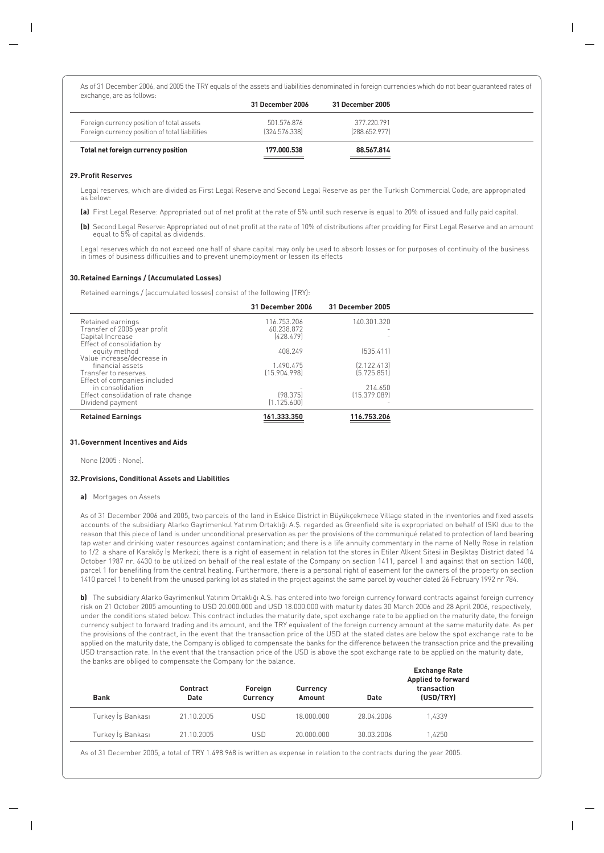As of 31 December 2006, and 2005 the TRY equals of the assets and liabilities denominated in foreign currencies which do not bear guaranteed rates of exchange, are as follows:

|                                                                                             | 31 December 2006             | 31 December 2005             |  |
|---------------------------------------------------------------------------------------------|------------------------------|------------------------------|--|
| Foreign currency position of total assets<br>Foreign currency position of total liabilities | 501.576.876<br>[324.576.338] | 377 220 791<br>[288.652.977] |  |
| Total net foreign currency position                                                         | 177.000.538                  | 88.567.814                   |  |

## **29.Profit Reserves**

Legal reserves, which are divided as First Legal Reserve and Second Legal Reserve as per the Turkish Commercial Code, are appropriated as below:

**(a)** First Legal Reserve: Appropriated out of net profit at the rate of 5% until such reserve is equal to 20% of issued and fully paid capital.

**(b)** Second Legal Reserve: Appropriated out of net profit at the rate of 10% of distributions after providing for First Legal Reserve and an amount equal to 5% of capital as dividends.

Legal reserves which do not exceed one half of share capital may only be used to absorb losses or for purposes of continuity of the business<br>in times of business difficulties and to prevent unemployment or lessen its effec

## **30.Retained Earnings / (Accumulated Losses)**

Retained earnings / (accumulated losses) consist of the following (TRY):

|                                     | 31 December 2006 | 31 December 2005 |  |
|-------------------------------------|------------------|------------------|--|
| Retained earnings                   | 116.753.206      | 140.301.320      |  |
| Transfer of 2005 year profit        | 60.238.872       |                  |  |
| Capital Increase                    | [428.479]        |                  |  |
| Effect of consolidation by          |                  |                  |  |
| equity method                       | 408.249          | [535.411]        |  |
| Value increase/decrease in          |                  |                  |  |
| financial assets                    | 1.490.475        | [2.122.413]      |  |
| Transfer to reserves                | [15.904.998]     | [5.725.851]      |  |
| Effect of companies included        |                  |                  |  |
| in consolidation                    |                  | 214.650          |  |
| Effect consolidation of rate change | [98.375]         | [15.379.089]     |  |
| Dividend payment                    | (1.125.600)      |                  |  |
| <b>Retained Earnings</b>            | 161.333.350      | 116.753.206      |  |

## **31.Government Incentives and Aids**

None (2005 : None).

## **32.Provisions, Conditional Assets and Liabilities**

## **a)** Mortgages on Assets

As of 31 December 2006 and 2005, two parcels of the land in Eskice District in Büyükçekmece Village stated in the inventories and fixed assets accounts of the subsidiary Alarko Gayrimenkul Yatırım Ortaklığı A.S. regarded as Greenfield site is expropriated on behalf of ISKI due to the reason that this piece of land is under unconditional preservation as per the provisions of the communiqué related to protection of land bearing tap water and drinking water resources against contamination; and there is a life annuity commentary in the name of Nelly Rose in relation to 1/2 a share of Karaköy is Merkezi; there is a right of easement in relation tot the stores in Etiler Alkent Sitesi in Besiktas District dated 14 October 1987 nr. 6430 to be utilized on behalf of the real estate of the Company on section 1411, parcel 1 and against that on section 1408, parcel 1 for benefiting from the central heating. Furthermore, there is a personal right of easement for the owners of the property on section 1410 parcel 1 to benefit from the unused parking lot as stated in the project against the same parcel by voucher dated 26 February 1992 nr 784.

**b)** The subsidiary Alarko Gayrimenkul Yatırım Ortaklığı A.Ş. has entered into two foreign currency forward contracts against foreign currency risk on 21 October 2005 amounting to USD 20.000.000 and USD 18.000.000 with maturity dates 30 March 2006 and 28 April 2006, respectively, under the conditions stated below. This contract includes the maturity date, spot exchange rate to be applied on the maturity date, the foreign currency subject to forward trading and its amount, and the TRY equivalent of the foreign currency amount at the same maturity date. As per the provisions of the contract, in the event that the transaction price of the USD at the stated dates are below the spot exchange rate to be applied on the maturity date, the Company is obliged to compensate the banks for the difference between the transaction price and the prevailing USD transaction rate. In the event that the transaction price of the USD is above the spot exchange rate to be applied on the maturity date, the banks are obliged to compensate the Company for the balance.

| <b>Bank</b>       | Contract<br><b>Date</b> | Foreign<br>Currency | Currency<br>Amount | <b>Date</b> | <b>Exchange Rate</b><br><b>Applied to forward</b><br>transaction<br>(USD/TRY) |  |
|-------------------|-------------------------|---------------------|--------------------|-------------|-------------------------------------------------------------------------------|--|
| Turkey İş Bankası | 21.10.2005              | <b>USD</b>          | 18.000.000         | 28.04.2006  | 1.4339                                                                        |  |
| Turkey İs Bankası | 21.10.2005              | <b>USD</b>          | 20,000,000         | 30.03.2006  | 1.4250                                                                        |  |

As of 31 December 2005, a total of TRY 1.498.968 is written as expense in relation to the contracts during the year 2005.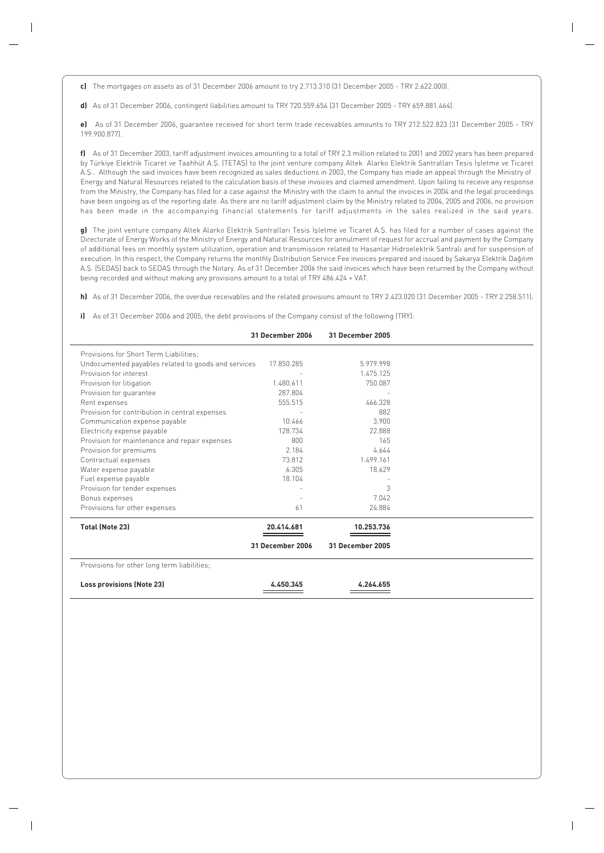**c)** The mortgages on assets as of 31 December 2006 amount to try 2.713.310 (31 December 2005 - TRY 2.622.000).

**d)** As of 31 December 2006, contingent liabilities amount to TRY 720.559.654 (31 December 2005 - TRY 659.881.464).

**e)** As of 31 December 2006, guarantee received for short term trade receivables amounts to TRY 212.522.823 (31 December 2005 - TRY 199.900.877).

**f)** As of 31 December 2003, tariff adjustment invoices amounting to a total of TRY 2.3 million related to 2001 and 2002 years has been prepared by Türkiye Elektrik Ticaret ve Taahhüt A.Ş. (TETAŞ) to the joint venture company Altek Alarko Elektrik Santralları Tesis İşletme ve Ticaret A.fi.. Although the said invoices have been recognized as sales deductions in 2003, the Company has made an appeal through the Ministry of Energy and Natural Resources related to the calculation basis of these invoices and claimed amendment. Upon failing to receive any response from the Ministry, the Company has filed for a case against the Ministry with the claim to annul the invoices in 2004 and the legal proceedings have been ongoing as of the reporting date. As there are no tariff adjustment claim by the Ministry related to 2004, 2005 and 2006, no provision has been made in the accompanying financial statements for tariff adjustments in the sales realized in the said years.

**g)** The joint venture company Altek Alarko Elektrik Santralları Tesis İşletme ve Ticaret A.Ş. has filed for a number of cases against the Directorate of Energy Works of the Ministry of Energy and Natural Resources for annulment of request for accrual and payment by the Company of additional fees on monthly system utilization, operation and transmission related to Hasanlar Hidroelektrik Santralı and for suspension of execution. In this respect, the Company returns the monthly Distribution Service Fee invoices prepared and issued by Sakarya Elektrik Dağıtım A.S. (SEDAS) back to SEDAS through the Notary. As of 31 December 2006 the said invoices which have been returned by the Company without being recorded and without making any provisions amount to a total of TRY 486.424 + VAT.

**h)** As of 31 December 2006, the overdue receivables and the related provisions amount to TRY 2.423.020 (31 December 2005 - TRY 2.258.511).

**i)** As of 31 December 2006 and 2005, the debt provisions of the Company consist of the following (TRY):

|                                                     | <b>31 December 2006</b> | <b>31 December 2005</b> |  |
|-----------------------------------------------------|-------------------------|-------------------------|--|
| Provisions for Short Term Liabilities:              |                         |                         |  |
| Undocumented payables related to goods and services | 17.850.285              | 5.979.998               |  |
| Provision for interest                              |                         | 1.475.125               |  |
| Provision for litigation                            | 1.480.611               | 750.087                 |  |
| Provision for quarantee                             | 287.804                 |                         |  |
| Rent expenses                                       | 555.515                 | 466.328                 |  |
| Provision for contribution in central expenses      |                         | 882                     |  |
| Communication expense payable                       | 10.466                  | 3.900                   |  |
| Electricity expense payable                         | 128.734                 | 22.888                  |  |
| Provision for maintenance and repair expenses       | 800                     | 165                     |  |
| Provision for premiums                              | 2.184                   | 4.644                   |  |
| Contractual expenses                                | 73.812                  | 1.499.161               |  |
| Water expense payable                               | 6.305                   | 18.629                  |  |
| Fuel expense payable                                | 18.104                  |                         |  |
| Provision for tender expenses                       |                         | 3                       |  |
| Bonus expenses                                      |                         | 7.042                   |  |
| Provisions for other expenses                       | 61                      | 24.884                  |  |
| <b>Total (Note 23)</b>                              | 20.414.681              | 10.253.736              |  |
|                                                     | 31 December 2006        | 31 December 2005        |  |
| Provisions for other long term liabilities;         |                         |                         |  |
| <b>Loss provisions (Note 23)</b>                    | 4.450.345               | 4.264.655               |  |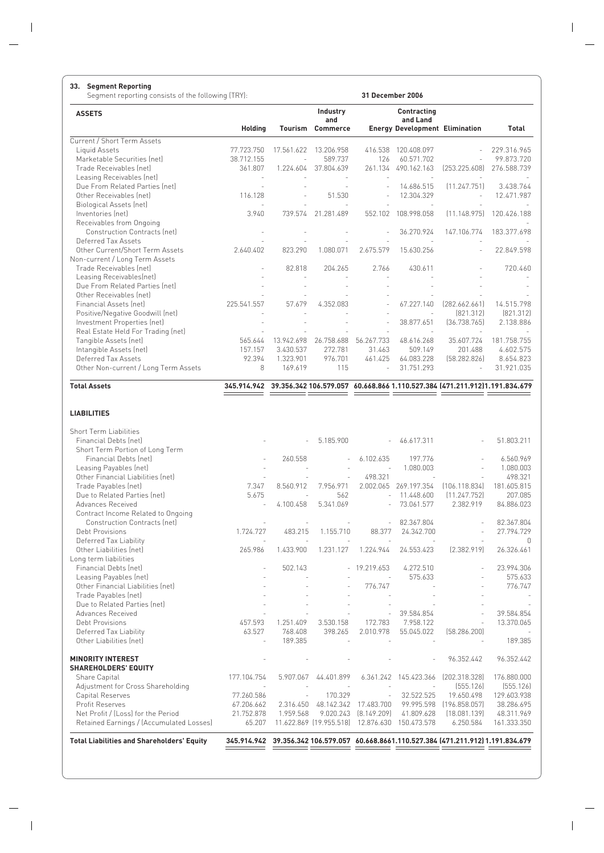#### **33. Segment Reporting**

Segment reporting consists of the following (TRY): **31 December 2006**

| <b>ASSETS</b>                                                   |             |            | Industry<br>and         |                          | Contracting<br>and Land                                                                |               |             |
|-----------------------------------------------------------------|-------------|------------|-------------------------|--------------------------|----------------------------------------------------------------------------------------|---------------|-------------|
|                                                                 | Holding     |            | <b>Tourism Commerce</b> |                          | <b>Energy Development Elimination</b>                                                  |               | Total       |
| Current / Short Term Assets                                     |             |            |                         |                          |                                                                                        |               |             |
| Liquid Assets                                                   | 77.723.750  | 17.561.622 | 13.206.958              | 416.538                  | 120.408.097                                                                            |               | 229.316.965 |
| Marketable Securities (net)                                     | 38.712.155  | ä,         | 589.737                 | 126                      | 60.571.702                                                                             |               | 99.873.720  |
| Trade Receivables (net)                                         | 361.807     | 1.224.604  | 37.804.639              | 261.134                  | 490.162.163                                                                            | [253.225.608] | 276.588.739 |
| Leasing Receivables (net)                                       |             |            |                         |                          |                                                                                        |               |             |
| Due From Related Parties (net)                                  |             |            |                         |                          | 14.686.515                                                                             | [11.247.751]  | 3.438.764   |
| Other Receivables (net)                                         | 116.128     |            | 51.530                  |                          | 12.304.329                                                                             |               | 12.471.987  |
| <b>Biological Assets (net)</b>                                  | ÷.          |            |                         |                          |                                                                                        |               |             |
| Inventories (net)                                               | 3.940       | 739.574    | 21.281.489              | 552.102                  | 108.998.058                                                                            | [11.148.975]  | 120.426.188 |
| Receivables from Ongoing                                        |             |            |                         |                          |                                                                                        |               |             |
| <b>Construction Contracts (net)</b>                             |             |            |                         |                          | 36.270.924                                                                             | 147.106.774   | 183.377.698 |
| Deferred Tax Assets                                             |             |            |                         |                          |                                                                                        |               |             |
| Other Current/Short Term Assets                                 | 2.640.402   | 823.290    | 1.080.071               | 2.675.579                | 15.630.256                                                                             |               | 22.849.598  |
| Non-current / Long Term Assets                                  |             |            |                         |                          |                                                                                        |               |             |
| Trade Receivables (net)                                         |             | 82.818     | 204.265                 | 2.766                    | 430.611                                                                                |               | 720.460     |
| Leasing Receivables(net)                                        |             |            |                         |                          |                                                                                        |               |             |
| Due From Related Parties (net)                                  |             |            |                         |                          |                                                                                        |               |             |
| Other Receivables (net)                                         |             |            |                         |                          |                                                                                        |               |             |
| Financial Assets (net)                                          | 225.541.557 | 57.679     | 4.352.083               |                          | 67.227.140                                                                             | [282.662.661] | 14.515.798  |
| Positive/Negative Goodwill (net)                                |             |            |                         |                          |                                                                                        | [821.312]     | [821.312]   |
| Investment Properties (net)                                     |             |            |                         | $\overline{\phantom{a}}$ | 38.877.651                                                                             | [36.738.765]  | 2.138.886   |
| Real Estate Held For Trading (net)                              |             |            |                         |                          |                                                                                        |               |             |
| Tangible Assets (net)                                           | 565.644     | 13.942.698 | 26.758.688              | 56.267.733               | 48.616.268                                                                             | 35.607.724    | 181.758.755 |
| Intangible Assets (net)                                         | 157.157     | 3.430.537  | 272.781                 | 31.463                   | 509.149                                                                                | 201.488       | 4.602.575   |
| Deferred Tax Assets                                             | 92.394      | 1.323.901  | 976.701                 | 461.425                  | 64.083.228                                                                             | [58.282.826]  | 8.654.823   |
| Other Non-current / Long Term Assets                            | 8           | 169.619    | 115                     |                          | 31.751.293                                                                             |               | 31.921.035  |
| <b>Total Assets</b>                                             |             |            |                         |                          | 345.914.942 39.356.342 106.579.057 60.668.866 1.110.527.384 [471.211.912]1.191.834.679 |               |             |
|                                                                 |             |            |                         |                          | ________                                                                               |               |             |
| <b>LIABILITIES</b>                                              |             |            |                         |                          |                                                                                        |               |             |
| <b>Short Term Liabilities</b>                                   |             |            |                         |                          |                                                                                        |               |             |
| <b>Financial Debts (net)</b><br>Short Term Portion of Long Term |             |            | 5.185.900               | $\overline{\phantom{a}}$ | 46.617.311                                                                             |               | 51.803.211  |
| القمعا مفطما امتمعت                                             |             | OID EEO    |                         | 1.10010                  | 10777                                                                                  |               | 1 E10010    |

| <b>Total Liabilities and Shareholders' Equity</b> | 345.914.942 |           |                         |                          |             | 39.356.342 106.579.057 60.668.8661.110.527.384 [471.211.912] 1.191.834.679 |             |
|---------------------------------------------------|-------------|-----------|-------------------------|--------------------------|-------------|----------------------------------------------------------------------------|-------------|
| Retained Earnings / (Accumulated Losses)          | 65.207      |           | 11.622.869 [19.955.518] | 12.876.630               | 150.473.578 | 6.250.584                                                                  | 161.333.350 |
| Net Profit / [Loss] for the Period                | 21.752.878  | 1.959.568 | 9.020.243               | [8.149.209]              | 41.809.628  | [18.081.139]                                                               | 48.311.969  |
| Profit Reserves                                   | 67.206.662  | 2.316.450 | 48.142.342              | 17.483.700               | 99.995.598  | [196.858.057]                                                              | 38.286.695  |
| Capital Reserves                                  | 77.260.586  |           | 170.329                 |                          | 32.522.525  | 19.650.498                                                                 | 129.603.938 |
| Adjustment for Cross Shareholding                 |             |           |                         |                          |             | [555.126]                                                                  | [555.126]   |
| Share Capital                                     | 177.104.754 | 5.907.067 | 44.401.899              | 6.361.242                | 145.423.366 | [202.318.328]                                                              | 176.880.000 |
| <b>SHAREHOLDERS' EQUITY</b>                       |             |           |                         |                          |             |                                                                            |             |
| <b>MINORITY INTEREST</b>                          |             |           |                         |                          |             | 96.352.442                                                                 | 96.352.442  |
| Other Liabilities (net)                           |             | 189.385   |                         |                          |             |                                                                            | 189.385     |
| Deferred Tax Liability                            | 63.527      | 768.408   | 398.265                 | 2.010.978                | 55.045.022  | [58,286,200]                                                               |             |
| Debt Provisions                                   | 457.593     | 1.251.409 | 3.530.158               | 172.783                  | 7.958.122   |                                                                            | 13.370.065  |
| Advances Received                                 |             |           |                         |                          | 39.584.854  |                                                                            | 39.584.854  |
| Due to Related Parties (net)                      |             |           |                         |                          |             |                                                                            |             |
| Trade Payables (net)                              |             |           |                         |                          |             |                                                                            |             |
| Other Financial Liabilities (net)                 |             |           |                         | 776.747                  |             |                                                                            | 776.747     |
| Leasing Payables (net)                            |             |           |                         |                          | 575.633     |                                                                            | 575.633     |
| Financial Debts (net)                             |             | 502.143   |                         | $-19.219.653$            | 4.272.510   |                                                                            | 23.994.306  |
| Long term liabilities                             |             |           |                         |                          |             |                                                                            |             |
| Other Liabilities (net)                           | 265.986     | 1.433.900 | 1.231.127               | 1.224.944                | 24.553.423  | [2.382.919]                                                                | 26.326.461  |
| Deferred Tax Liability                            |             |           |                         |                          |             |                                                                            | $\bigcap$   |
| Debt Provisions                                   | 1.724.727   | 483.215   | 1.155.710               | 88.377                   | 24.342.700  |                                                                            | 27.794.729  |
| <b>Construction Contracts (net)</b>               |             |           |                         |                          | 82.367.804  | ÷.                                                                         | 82.367.804  |
| Contract Income Related to Ongoing                |             |           |                         |                          |             |                                                                            |             |
| Advances Received                                 | ÷.          | 4.100.458 | 5.341.069               |                          | 73.061.577  | 2.382.919                                                                  | 84.886.023  |
| Due to Related Parties (net)                      | 5.675       |           | 562                     | $\overline{\phantom{a}}$ | 11.448.600  | [11.247.752]                                                               | 207.085     |
| Trade Payables (net)                              | 7.347       | 8.560.912 | 7.956.971               | 2.002.065                | 269.197.354 | (106.118.834)                                                              | 181.605.815 |
| Other Financial Liabilities (net)                 |             |           |                         | 498.321                  |             |                                                                            | 498.321     |
| Leasing Payables (net)                            |             |           |                         |                          | 1.080.003   |                                                                            | 1.080.003   |
| Financial Debts (net)                             |             | 260.558   |                         | 6.102.635                | 197.776     |                                                                            | 6.560.969   |
| Short Term Portion of Long Term                   |             |           |                         |                          |             |                                                                            |             |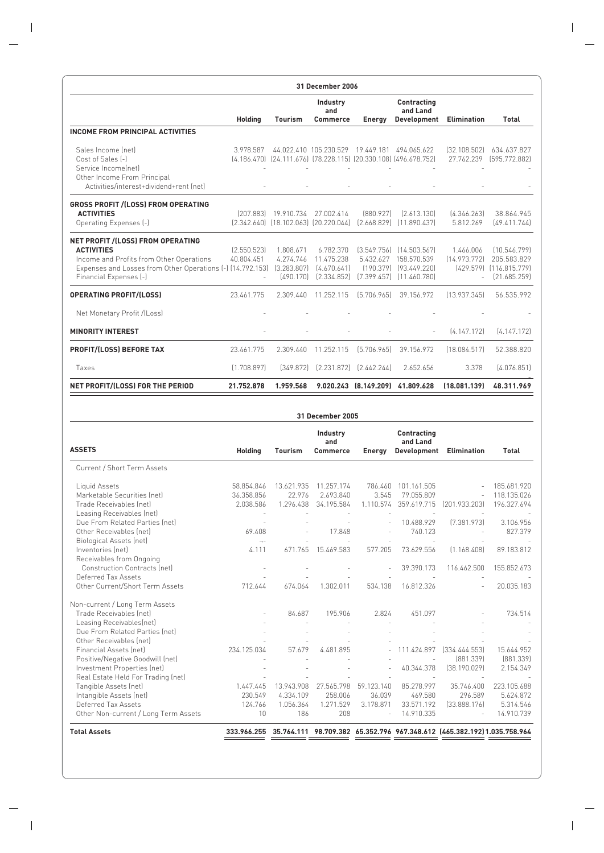|                                                                                                                                                                                            | 31 December 2006          |                                                    |                                                       |             |                                                                                                   |                            |                                                                            |
|--------------------------------------------------------------------------------------------------------------------------------------------------------------------------------------------|---------------------------|----------------------------------------------------|-------------------------------------------------------|-------------|---------------------------------------------------------------------------------------------------|----------------------------|----------------------------------------------------------------------------|
|                                                                                                                                                                                            | <b>Holding</b>            | Tourism                                            | Industry<br>and<br><b>Commerce</b>                    | Energy      | Contracting<br>and Land<br>Development                                                            | <b>Elimination</b>         | <b>Total</b>                                                               |
| <b>INCOME FROM PRINCIPAL ACTIVITIES</b>                                                                                                                                                    |                           |                                                    |                                                       |             |                                                                                                   |                            |                                                                            |
| Sales Income Inetl<br>Cost of Sales [-]<br>Service Income netl<br>Other Income From Principal<br>Activities/interest+dividend+rent (net)                                                   | 3.978.587                 |                                                    | 44.022.410 105.230.529                                | 19.449.181  | 494.065.622<br>(4.186.470) (24.111.676) (78.228.115) (20.330.108) (496.678.752)                   | [32.108.502]<br>27.762.239 | 634.637.827<br>[595.772.882]                                               |
| <b>GROSS PROFIT /(LOSS) FROM OPERATING</b><br><b>ACTIVITIES</b><br>Operating Expenses (-)                                                                                                  |                           | [207.883] 19.910.734                               | 27.002.414<br>[2.342.640] [18.102.063] [20.220.044]   | [880.927]   | [2.613.130]<br>$[2.668.829]$ $[11.890.437]$                                                       | [4.346.263]<br>5.812.269   | 38.864.945<br>[49.411.744]                                                 |
| NET PROFIT /(LOSS) FROM OPERATING<br><b>ACTIVITIES</b><br>Income and Profits from Other Operations<br>Expenses and Losses from Other Operations [-] [14.792.153]<br>Financial Expenses (-) | [2.550.523]<br>40.804.451 | 1.808.671<br>4.274.746<br>[3.283.807]<br>[490.170] | 6.782.370<br>11.475.238<br>[4.670.641]<br>[2.334.852] | 5.432.627   | $[3.549.756]$ $[14.503.567]$<br>158.570.539<br>[190.379] [93.449.220]<br>[7.399.457] [11.460.780] | 1.466.006<br>[14.973.772]  | [10.546.799]<br>205.583.829<br>$(429.579)$ $(116.815.779)$<br>[21.685.259] |
| <b>OPERATING PROFIT/(LOSS)</b>                                                                                                                                                             | 23.461.775                | 2.309.440                                          | 11.252.115                                            | [5.706.965] | 39.156.972                                                                                        | [13.937.345]               | 56.535.992                                                                 |
| Net Monetary Profit /(Loss)                                                                                                                                                                |                           |                                                    |                                                       |             |                                                                                                   |                            |                                                                            |
| <b>MINORITY INTEREST</b>                                                                                                                                                                   |                           |                                                    |                                                       |             | ÷                                                                                                 | [4.147.172]                | [4.147.172]                                                                |
| PROFIT/(LOSS) BEFORE TAX                                                                                                                                                                   | 23.461.775                | 2.309.440                                          | 11.252.115                                            | [5.706.965] | 39.156.972                                                                                        | [18.084.517]               | 52.388.820                                                                 |
| Taxes                                                                                                                                                                                      | [1.708.897]               | [349.872]                                          | [2.231.872]                                           | [2.442.244] | 2.652.656                                                                                         | 3.378                      | [4.076.851]                                                                |
| NET PROFIT/(LOSS) FOR THE PERIOD                                                                                                                                                           | 21.752.878                | 1.959.568                                          | 9.020.243                                             | [8.149.209] | 41.809.628                                                                                        | (18.081.139)               | 48.311.969                                                                 |

| <b>31 December 2005</b>              |                |                |                                    |               |                                        |                                                                          |              |
|--------------------------------------|----------------|----------------|------------------------------------|---------------|----------------------------------------|--------------------------------------------------------------------------|--------------|
| <b>ASSETS</b>                        | <b>Holding</b> | <b>Tourism</b> | Industry<br>and<br><b>Commerce</b> | <b>Energy</b> | Contracting<br>and Land<br>Development | <b>Elimination</b>                                                       | <b>Total</b> |
| Current / Short Term Assets          |                |                |                                    |               |                                        |                                                                          |              |
| Liquid Assets                        | 58.854.846     | 13.621.935     | 11.257.174                         | 786.460       | 101.161.505                            |                                                                          | 185.681.920  |
| Marketable Securities (net)          | 36.358.856     | 22.976         | 2.693.840                          | 3.545         | 79.055.809                             |                                                                          | 118.135.026  |
| Trade Receivables (net)              | 2.038.586      | 1.296.438      | 34.195.584                         | 1.110.574     | 359.619.715                            | [201.933.203]                                                            | 196.327.694  |
| Leasing Receivables (net)            |                |                |                                    |               |                                        |                                                                          |              |
| Due From Related Parties (net)       |                |                |                                    |               | 10.488.929                             | [7.381.973]                                                              | 3.106.956    |
| Other Receivables (net)              | 69.408         |                | 17.848                             | $\sim$        | 740.123                                |                                                                          | 827.379      |
| <b>Biological Assets (net)</b>       | $-1-$          |                |                                    |               |                                        |                                                                          |              |
| Inventories (net)                    | 4.111          | 671.765        | 15.469.583                         | 577.205       | 73.629.556                             | [1.168.408]                                                              | 89.183.812   |
| Receivables from Ongoing             |                |                |                                    |               |                                        |                                                                          |              |
| <b>Construction Contracts (net)</b>  |                |                |                                    |               | 39.390.173                             | 116.462.500                                                              | 155.852.673  |
| Deferred Tax Assets                  |                |                |                                    |               |                                        |                                                                          |              |
| Other Current/Short Term Assets      | 712.644        | 674.064        | 1.302.011                          | 534.138       | 16.812.326                             |                                                                          | 20.035.183   |
| Non-current / Long Term Assets       |                |                |                                    |               |                                        |                                                                          |              |
| Trade Receivables (net)              |                | 84.687         | 195.906                            | 2.824         | 451.097                                |                                                                          | 734.514      |
| Leasing Receivables(net)             |                |                |                                    |               |                                        |                                                                          |              |
| Due From Related Parties (net)       |                |                |                                    |               |                                        |                                                                          |              |
| Other Receivables (net)              |                |                |                                    |               |                                        |                                                                          |              |
| Financial Assets (net)               | 234.125.034    | 57.679         | 4.481.895                          |               | 111.424.897                            | [334.444.553]                                                            | 15.644.952   |
| Positive/Negative Goodwill (net)     |                |                |                                    |               |                                        | [881.339]                                                                | [881.339]    |
| Investment Properties (net)          |                |                |                                    |               | 40.344.378                             | [38.190.029]                                                             | 2.154.349    |
| Real Estate Held For Trading (net)   |                |                |                                    |               |                                        |                                                                          |              |
| Tangible Assets (net)                | 1.447.445      | 13.943.908     | 27.565.798                         | 59.123.140    | 85.278.997                             | 35.746.400                                                               | 223.105.688  |
| Intangible Assets (net)              | 230.549        | 4.334.109      | 258.006                            | 36.039        | 469.580                                | 296.589                                                                  | 5.624.872    |
| Deferred Tax Assets                  | 124.766        | 1.056.364      | 1.271.529                          | 3.178.871     | 33.571.192                             | [33.888.176]                                                             | 5.314.546    |
| Other Non-current / Long Term Assets | 10             | 186            | 208                                | $\sim$        | 14.910.335                             |                                                                          | 14.910.739   |
| <b>Total Assets</b>                  | 333,966,255    |                |                                    |               |                                        | 35.764.111 98.709.382 65.352.796 967.348.612 [465.382.192] 1.035.758.964 |              |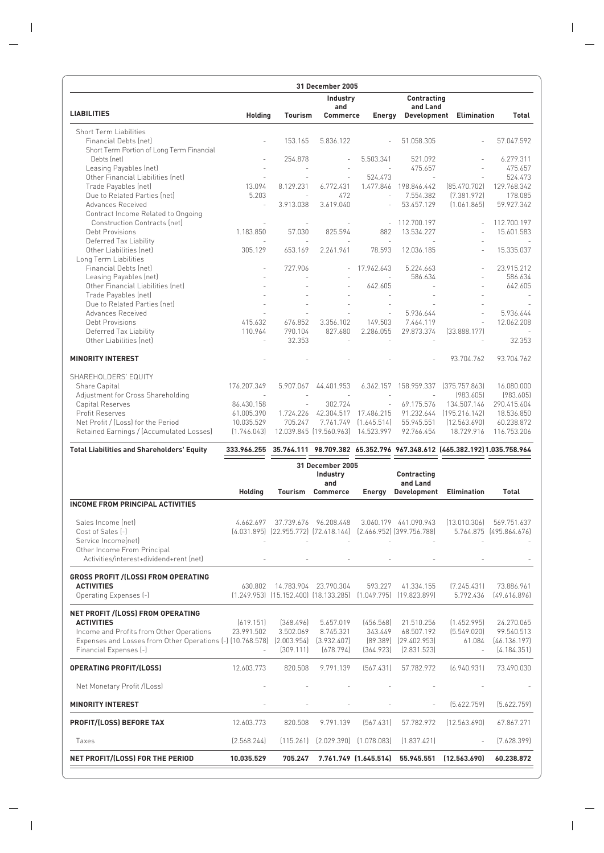| 31 December 2005                                                       |                          |                    |                                                                          |                                        |                           |                                                                                     |                           |
|------------------------------------------------------------------------|--------------------------|--------------------|--------------------------------------------------------------------------|----------------------------------------|---------------------------|-------------------------------------------------------------------------------------|---------------------------|
|                                                                        |                          |                    | Industry                                                                 |                                        | Contracting               |                                                                                     |                           |
| <b>LIABILITIES</b>                                                     | <b>Holding</b>           | Tourism            | and<br><b>Commerce</b>                                                   | Energy                                 | and Land                  | Development Elimination                                                             | Total                     |
| Short Term Liabilities                                                 |                          |                    |                                                                          |                                        |                           |                                                                                     |                           |
| Financial Debts (net)                                                  |                          | 153.165            | 5.836.122                                                                |                                        | 51.058.305                |                                                                                     | 57.047.592                |
| Short Term Portion of Long Term Financial                              |                          |                    |                                                                          |                                        |                           |                                                                                     |                           |
| Debts (net)                                                            |                          | 254.878            |                                                                          | 5.503.341                              | 521.092                   |                                                                                     | 6.279.311                 |
| Leasing Payables (net)<br>Other Financial Liabilities (net)            |                          |                    |                                                                          | 524.473                                | 475.657                   |                                                                                     | 475.657<br>524.473        |
| Trade Payables (net)                                                   | 13.094                   | 8.129.231          | 6.772.431                                                                | 1.477.846                              | 198.846.442               | (85.470.702)                                                                        | 129.768.342               |
| Due to Related Parties (net)                                           | 5.203                    |                    | 472                                                                      |                                        | 7.554.382                 | (7.381.972)                                                                         | 178.085                   |
| Advances Received                                                      | $\bar{a}$                | 3.913.038          | 3.619.040                                                                |                                        | 53.457.129                | (1.061.865)                                                                         | 59.927.342                |
| Contract Income Related to Ongoing<br>Construction Contracts (net)     |                          |                    |                                                                          |                                        | 112.700.197               |                                                                                     | 112.700.197               |
| Debt Provisions                                                        | 1.183.850                | 57.030             | 825.594                                                                  | 882                                    | 13.534.227                |                                                                                     | 15.601.583                |
| Deferred Tax Liability                                                 |                          |                    |                                                                          | $\sim$                                 |                           |                                                                                     |                           |
| Other Liabilities (net)                                                | 305.129                  | 653.169            | 2.261.961                                                                | 78.593                                 | 12.036.185                |                                                                                     | 15.335.037                |
| Long Term Liabilities                                                  |                          |                    |                                                                          |                                        |                           |                                                                                     |                           |
| Financial Debts (net)<br>Leasing Payables (net)                        |                          | 727.906            |                                                                          | 17.962.643                             | 5.224.663<br>586.634      |                                                                                     | 23.915.212<br>586.634     |
| Other Financial Liabilities (net)                                      |                          |                    |                                                                          | 642.605                                |                           |                                                                                     | 642.605                   |
| Trade Payables (net)                                                   |                          |                    |                                                                          |                                        |                           |                                                                                     |                           |
| Due to Related Parties (net)                                           |                          |                    |                                                                          |                                        |                           |                                                                                     |                           |
| Advances Received                                                      |                          |                    |                                                                          |                                        | 5.936.644                 |                                                                                     | 5.936.644                 |
| Debt Provisions                                                        | 415.632<br>110.964       | 676.852<br>790.104 | 3.356.102<br>827.680                                                     | 149.503<br>2.286.055                   | 7.464.119<br>29.873.374   |                                                                                     | 12.062.208                |
| Deferred Tax Liability<br>Other Liabilities (net)                      |                          | 32.353             |                                                                          |                                        |                           | [33.888.177]                                                                        | 32.353                    |
|                                                                        |                          |                    |                                                                          |                                        |                           |                                                                                     |                           |
| <b>MINORITY INTEREST</b>                                               |                          |                    |                                                                          |                                        |                           | 93.704.762                                                                          | 93.704.762                |
| SHAREHOLDERS' EQUITY                                                   |                          |                    |                                                                          |                                        |                           |                                                                                     |                           |
| Share Capital                                                          | 176.207.349              | 5.907.067          | 44.401.953                                                               | 6.362.157                              | 158.959.337               | [375.757.863]                                                                       | 16.080.000                |
| Adjustment for Cross Shareholding                                      | $\sim$                   |                    | ÷.                                                                       |                                        |                           | (983.605)                                                                           | (983.605)                 |
| Capital Reserves<br>Profit Reserves                                    | 86.430.158<br>61.005.390 | ÷.<br>1.724.226    | 302.724<br>42.304.517                                                    | $\overline{\phantom{a}}$<br>17.486.215 | 69.175.576<br>91.232.644  | 134.507.146<br>[195.216.142]                                                        | 290.415.604<br>18.536.850 |
| Net Profit / (Loss) for the Period                                     | 10.035.529               | 705.247            | 7.761.749                                                                | (1.645.514)                            | 55.945.551                | (12.563.690)                                                                        | 60.238.872                |
| Retained Earnings / (Accumulated Losses)                               | (1.746.043)              |                    | 12.039.845 (19.560.963)                                                  | 14.523.997                             | 92.766.454                | 18.729.916                                                                          | 116.753.206               |
| <b>Total Liabilities and Shareholders' Equity</b>                      |                          |                    |                                                                          |                                        |                           | 333.966.255 35.764.111 98.709.382 65.352.796 967.348.612 [465.382.192]1.035.758.964 |                           |
|                                                                        |                          |                    | 31 December 2005<br>Industry                                             |                                        | <b>Contracting</b>        |                                                                                     |                           |
|                                                                        |                          |                    | and                                                                      |                                        | and Land                  |                                                                                     |                           |
|                                                                        | <b>Holding</b>           | Tourism            | <b>Commerce</b>                                                          | Energy                                 |                           | Development Elimination                                                             | <b>Total</b>              |
| <b>INCOME FROM PRINCIPAL ACTIVITIES</b>                                |                          |                    |                                                                          |                                        |                           |                                                                                     |                           |
| Sales Income (net)                                                     | 4.662.697                | 37.739.676         | 96.208.448                                                               |                                        | 3.060.179 441.090.943     | [13.010.306]                                                                        | 569.751.637               |
| Cost of Sales [-]                                                      |                          |                    | (4.031.895) (22.955.772) (72.418.144) (2.466.952) (399.756.788)          |                                        |                           |                                                                                     | 5.764.875 (495.864.676)   |
| Service Income(net)<br>Other Income From Principal                     |                          |                    |                                                                          |                                        |                           |                                                                                     |                           |
| Activities/interest+dividend+rent (net)                                |                          |                    |                                                                          |                                        |                           |                                                                                     |                           |
|                                                                        |                          |                    |                                                                          |                                        |                           |                                                                                     |                           |
| <b>GROSS PROFIT /(LOSS) FROM OPERATING</b>                             |                          |                    |                                                                          |                                        |                           |                                                                                     |                           |
| <b>ACTIVITIES</b>                                                      | 630.802                  |                    | 14.783.904 23.790.304                                                    | 593.227                                | 41.334.155                | (7.245.431)                                                                         | 73.886.961                |
| Operating Expenses (-)                                                 |                          |                    | $(1.249.953)$ $(15.152.400)$ $(18.133.285)$ $(1.049.795)$ $(19.823.899)$ |                                        |                           | 5.792.436                                                                           | [49.616.896]              |
| NET PROFIT /(LOSS) FROM OPERATING                                      |                          |                    |                                                                          |                                        |                           |                                                                                     |                           |
| <b>ACTIVITIES</b>                                                      | (619.151)                | [368.496]          | 5.657.019                                                                | (456.568)                              | 21.510.256                | (1.452.995)                                                                         | 24.270.065                |
| Income and Profits from Other Operations                               | 23.991.502               | 3.502.069          | 8.745.321                                                                | 343.449                                | 68.507.192                | (5.549.020)                                                                         | 99.540.513                |
| Expenses and Losses from Other Operations [-] (10.768.578) (2.003.954) |                          |                    | (3.932.407)                                                              |                                        | $[89.389]$ $[29.402.953]$ | 61.084                                                                              | [46.136.197]              |
| Financial Expenses (-)                                                 |                          | (309.111)          | (678.794)                                                                | (364.923)                              | [2.831.523]               |                                                                                     | (4.184.351)               |
| <b>OPERATING PROFIT/(LOSS)</b>                                         | 12.603.773               | 820.508            | 9.791.139                                                                | [567.431]                              | 57.782.972                | (6.940.931)                                                                         | 73.490.030                |
| Net Monetary Profit /(Loss)                                            |                          |                    |                                                                          |                                        |                           |                                                                                     |                           |
| <b>MINORITY INTEREST</b>                                               |                          |                    |                                                                          |                                        |                           | [5.622.759]                                                                         | (5.622.759)               |
| PROFIT/(LOSS) BEFORE TAX                                               | 12.603.773               | 820.508            | 9.791.139                                                                | [567.431]                              | 57.782.972                | (12.563.690)                                                                        | 67.867.271                |
| Taxes                                                                  | [2.568.244]              | (115.261)          | $(2.029.390)$ $(1.078.083)$                                              |                                        | (1.837.421)               |                                                                                     | (7.628.399)               |
| NET PROFIT/(LOSS) FOR THE PERIOD                                       | 10.035.529               | 705.247            |                                                                          | 7.761.749 (1.645.514)                  | 55.945.551                | (12.563.690)                                                                        | 60.238.872                |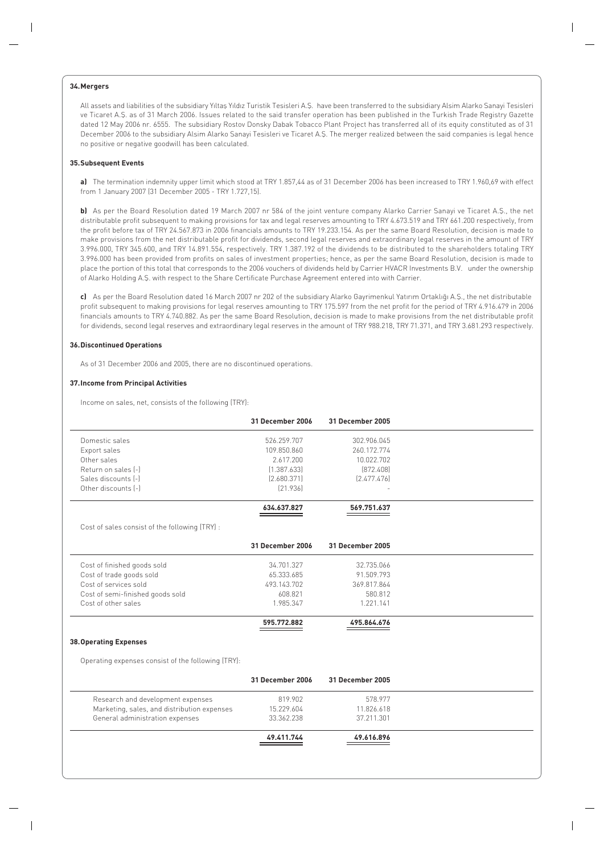## **34.Mergers**

All assets and liabilities of the subsidiary Yıltas Yıldız Turistik Tesisleri A.S. have been transferred to the subsidiary Alsim Alarko Sanayi Tesisleri ve Ticaret A.S. as of 31 March 2006. Issues related to the said transfer operation has been published in the Turkish Trade Registry Gazette dated 12 May 2006 nr. 6555. The subsidiary Rostov Donsky Dabak Tobacco Plant Project has transferred all of its equity constituted as of 31 December 2006 to the subsidiary Alsim Alarko Sanayi Tesisleri ve Ticaret A.fi. The merger realized between the said companies is legal hence no positive or negative goodwill has been calculated.

### **35.Subsequent Events**

**a)** The termination indemnity upper limit which stood at TRY 1.857,44 as of 31 December 2006 has been increased to TRY 1.960,69 with effect from 1 January 2007 (31 December 2005 - TRY 1.727,15).

**b)** As per the Board Resolution dated 19 March 2007 nr 584 of the joint venture company Alarko Carrier Sanayi ve Ticaret A.S., the net distributable profit subsequent to making provisions for tax and legal reserves amounting to TRY 4.673.519 and TRY 661.200 respectively, from the profit before tax of TRY 24.567.873 in 2006 financials amounts to TRY 19.233.154. As per the same Board Resolution, decision is made to make provisions from the net distributable profit for dividends, second legal reserves and extraordinary legal reserves in the amount of TRY 3.996.000, TRY 345.600, and TRY 14.891.554, respectively. TRY 1.387.192 of the dividends to be distributed to the shareholders totaling TRY 3.996.000 has been provided from profits on sales of investment properties; hence, as per the same Board Resolution, decision is made to place the portion of this total that corresponds to the 2006 vouchers of dividends held by Carrier HVACR Investments B.V. under the ownership of Alarko Holding A.S. with respect to the Share Certificate Purchase Agreement entered into with Carrier.

c) As per the Board Resolution dated 16 March 2007 nr 202 of the subsidiary Alarko Gayrimenkul Yatırım Ortaklığı A.Ş., the net distributable profit subsequent to making provisions for legal reserves amounting to TRY 175.597 from the net profit for the period of TRY 4.916.479 in 2006 financials amounts to TRY 4.740.882. As per the same Board Resolution, decision is made to make provisions from the net distributable profit for dividends, second legal reserves and extraordinary legal reserves in the amount of TRY 988.218, TRY 71.371, and TRY 3.681.293 respectively.

### **36.Discontinued Operations**

As of 31 December 2006 and 2005, there are no discontinued operations.

#### **37.Income from Principal Activities**

Income on sales, net, consists of the following (TRY):

| 31 December 2006 | 31 December 2005                                   |  |
|------------------|----------------------------------------------------|--|
| 526.259.707      | 302.906.045                                        |  |
| 109.850.860      | 260.172.774                                        |  |
| 2.617.200        | 10.022.702                                         |  |
| [1.387.633]      | [872.408]                                          |  |
| [2.680.371]      | [2.477.476]                                        |  |
| [21.936]         |                                                    |  |
| 634.637.827      | 569.751.637                                        |  |
|                  |                                                    |  |
| 31 December 2006 | 31 December 2005                                   |  |
| 34.701.327       | 32.735.066                                         |  |
| 65.333.685       | 91.509.793                                         |  |
| 493.143.702      | 369.817.864                                        |  |
| 608.821          | 580.812                                            |  |
| 1.985.347        | 1.221.141                                          |  |
| 595.772.882      | 495.864.676                                        |  |
|                  |                                                    |  |
|                  |                                                    |  |
| 31 December 2006 | 31 December 2005                                   |  |
| 819,902          | 578.977                                            |  |
| 15.229.604       | 11.826.618                                         |  |
| 33.362.238       | 37.211.301                                         |  |
| 49.411.744       | 49.616.896                                         |  |
|                  | Operating expenses consist of the following (TRY): |  |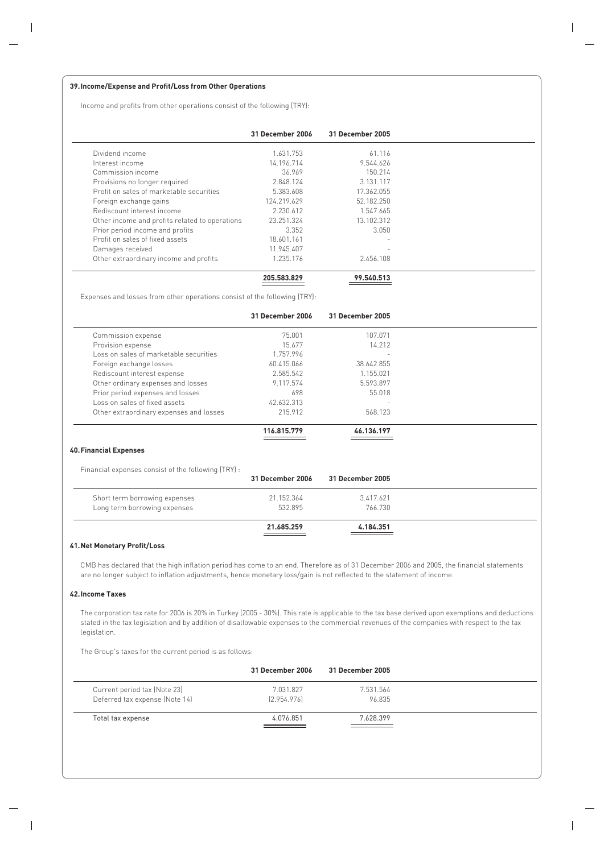## **39.Income/Expense and Profit/Loss from Other Operations**

Income and profits from other operations consist of the following (TRY):

|                                                | 31 December 2006 | 31 December 2005         |  |
|------------------------------------------------|------------------|--------------------------|--|
| Dividend income                                | 1.631.753        | 61.116                   |  |
| Interest income                                | 14.196.714       | 9.544.626                |  |
| Commission income                              | 36.969           | 150.214                  |  |
| Provisions no longer required                  | 2.848.124        | 3.131.117                |  |
| Profit on sales of marketable securities       | 5.383.608        | 17.362.055               |  |
| Foreign exchange gains                         | 124.219.629      | 52.182.250               |  |
| Rediscount interest income                     | 2 230 612        | 1.547.665                |  |
| Other income and profits related to operations | 23.251.324       | 13.102.312               |  |
| Prior period income and profits                | 3.352            | 3.050                    |  |
| Profit on sales of fixed assets                | 18.601.161       | -                        |  |
| Damages received                               | 11.945.407       | $\overline{\phantom{a}}$ |  |
| Other extraordinary income and profits         | 1.235.176        | 2.456.108                |  |
|                                                | 205.583.829      | 99.540.513               |  |

Expenses and losses from other operations consist of the following (TRY):

|                                                     | 31 December 2006 | 31 December 2005 |  |
|-----------------------------------------------------|------------------|------------------|--|
| Commission expense                                  | 75.001           | 107.071          |  |
| Provision expense                                   | 15.677           | 14.212           |  |
| Loss on sales of marketable securities              | 1.757.996        |                  |  |
| Foreign exchange losses                             | 60.415.066       | 38.642.855       |  |
| Rediscount interest expense                         | 2.585.542        | 1.155.021        |  |
| Other ordinary expenses and losses                  | 9.117.574        | 5.593.897        |  |
| Prior period expenses and losses                    | 698              | 55.018           |  |
| Loss on sales of fixed assets                       | 42.632.313       |                  |  |
| Other extraordinary expenses and losses             | 215.912          | 568.123          |  |
|                                                     | 116.815.779      | 46.136.197       |  |
| <b>40. Financial Expenses</b>                       |                  |                  |  |
| Financial expenses consist of the following (TRY) : |                  |                  |  |
|                                                     | 31 December 2006 | 31 December 2005 |  |
| Short term borrowing expenses                       | 21.152.364       | 3.417.621        |  |
| Long term borrowing expenses                        | 532.895          | 766.730          |  |

# **41.Net Monetary Profit/Loss**

CMB has declared that the high inflation period has come to an end. Therefore as of 31 December 2006 and 2005, the financial statements are no longer subject to inflation adjustments, hence monetary loss/gain is not reflected to the statement of income.

**21.685.259 4.184.351**

## **42.Income Taxes**

The corporation tax rate for 2006 is 20% in Turkey (2005 - 30%). This rate is applicable to the tax base derived upon exemptions and deductions stated in the tax legislation and by addition of disallowable expenses to the commercial revenues of the companies with respect to the tax legislation.

The Group's taxes for the current period is as follows:

|                                | 31 December 2006 | 31 December 2005 |  |
|--------------------------------|------------------|------------------|--|
| Current period tax (Note 23)   | 7.031.827        | 7.531.564        |  |
| Deferred tax expense (Note 14) | [2.954.976]      | 96.835           |  |
| Total tax expense              | 4.076.851        | 7.628.399        |  |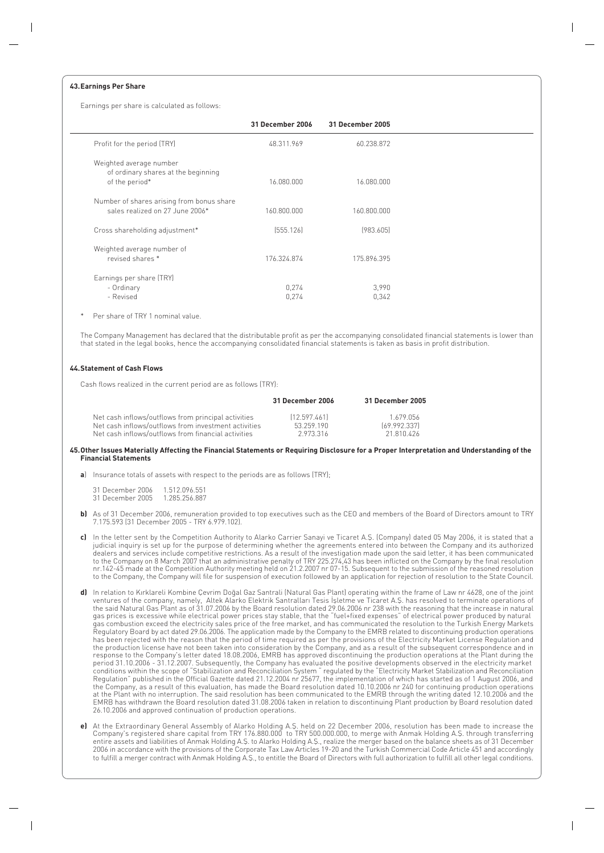## **43.Earnings Per Share**

Earnings per share is calculated as follows:

|                                                                                  | 31 December 2006 | 31 December 2005 |
|----------------------------------------------------------------------------------|------------------|------------------|
| Profit for the period (TRY)                                                      | 48.311.969       | 60.238.872       |
| Weighted average number<br>of ordinary shares at the beginning<br>of the period* | 16.080.000       | 16.080.000       |
| Number of shares arising from bonus share<br>sales realized on 27 June 2006*     | 160.800.000      | 160.800.000      |
| Cross shareholding adjustment*                                                   | [555.126]        | [983.605]        |
| Weighted average number of<br>revised shares *                                   | 176.324.874      | 175.896.395      |
| Earnings per share (TRY)<br>- Ordinary<br>- Revised                              | 0,274<br>0,274   | 3,990<br>0,342   |

Per share of TRY 1 nominal value.

The Company Management has declared that the distributable profit as per the accompanying consolidated financial statements is lower than that stated in the legal books, hence the accompanying consolidated financial statements is taken as basis in profit distribution.

## **44.Statement of Cash Flows**

Cash flows realized in the current period are as follows (TRY):

|                                                      | 31 December 2006 | 31 December 2005 |
|------------------------------------------------------|------------------|------------------|
| Net cash inflows/outflows from principal activities  | [12.597.461]     | 1.679.056        |
| Net cash inflows/outflows from investment activities | 53.259.190       | [69.992.337]     |
| Net cash inflows/outflows from financial activities  | 2973316          | 21 810 426       |

#### **45.Other Issues Materially Affecting the Financial Statements or Requiring Disclosure for a Proper Interpretation and Understanding of the Financial Statements**

**a**) Insurance totals of assets with respect to the periods are as follows (TRY);

31 December 2006 1.512.096.551<br>31 December 2005 1.285.256.887 31 December 2005

- **b)** As of 31 December 2006, remuneration provided to top executives such as the CEO and members of the Board of Directors amount to TRY 7.175.593 (31 December 2005 - TRY 6.979.102).
- c) In the letter sent by the Competition Authority to Alarko Carrier Sanayi ve Ticaret A.S. (Company) dated 05 May 2006, it is stated that a judicial inquiry is set up for the purpose of determining whether the agreements entered into between the Company and its authorized dealers and services include competitive restrictions. As a result of the investigation made upon the said letter, it has been communicated to the Company on 8 March 2007 that an administrative penalty of TRY 225.274,43 has been inflicted on the Company by the final resolution nr.142-45 made at the Competition Authority meeting held on 21.2.2007 nr 07-15. Subsequent to the submission of the reasoned resolution to the Company, the Company will file for suspension of execution followed by an application for rejection of resolution to the State Council.
- d) In relation to Kırklareli Kombine Çevrim Doğal Gaz Santrali (Natural Gas Plant) operating within the frame of Law nr 4628, one of the joint ventures of the company, namely, Altek Alarko Elektrik Santralları Tesis Işletme ve Ticaret A.Ş. has resolved to terminate operations of<br>the said Natural Gas Plant as of 31.07.2006 by the Board resolution dated 29.06.2006 gas combustion exceed the electricity sales price of the free market, and has communicated the resolution to the Turkish Energy Markets Regulatory Board by act dated 29.06.2006. The application made by the Company to the EMRB related to discontinuing production operations has been rejected with the reason that the period of time required as per the provisions of the Electricity Market License Regulation and the production license have not been taken into consideration by the Company, and as a result of the subsequent correspondence and in response to the Company's letter dated 18.08.2006, EMRB has approved discontinuing the production operations at the Plant during the<br>period 31.10.2006 - 31.12.2007. Subsequently, the Company has evaluated the positive deve conditions within the scope of "Stabilization and Reconciliation System " regulated by the "Electricity Market Stabilization and Reconciliation<br>Regulation" published in the Official Gazette dated 21.12.2004 nr 25677, the i the Company, as a result of this evaluation, has made the Board resolution dated 10.10.2006 nr 240 for continuing production operations at the Plant with no interruption. The said resolution has been communicated to the EMRB through the writing dated 12.10.2006 and the EMRB has withdrawn the Board resolution dated 31.08.2006 taken in relation to discontinuing Plant production by Board resolution dated 26.10.2006 and approved continuation of production operations.
- **e)** At the Extraordinary General Assembly of Alarko Holding A.S. held on 22 December 2006, resolution has been made to increase the Company's registered share capital from TRY 176.880.000 to TRY 500.000.000, to merge with Anmak Holding A.S. through transferring entire assets and liabilities of Anmak Holding A.S. to Alarko Holding A.S., realize the merger based on the balance sheets as of 31 December<br>2006 in accordance with the provisions of the Corporate Tax Law Articles 19-20 an to fulfill a merger contract with Anmak Holding A.S., to entitle the Board of Directors with full authorization to fulfill all other legal conditions.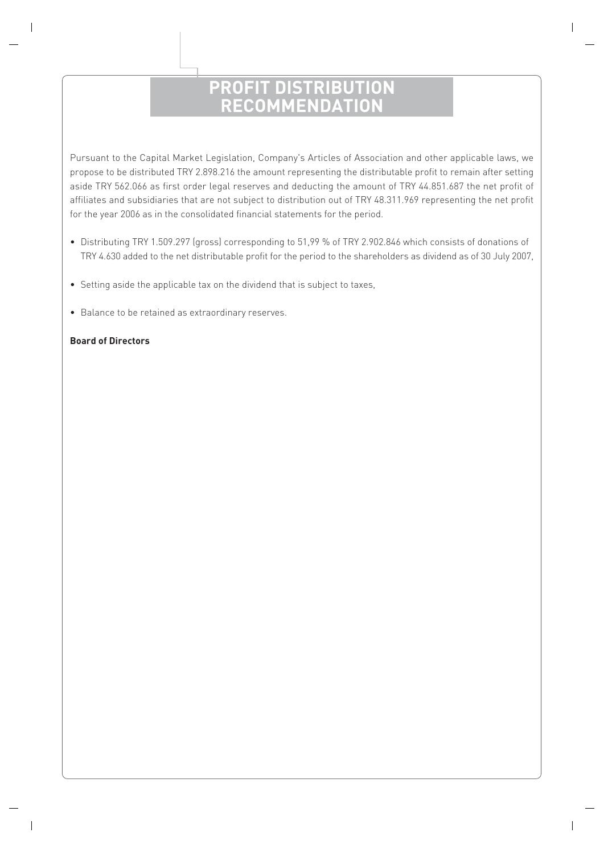# **PROFIT DISTRIBUTION RECOMMENDATION**

Pursuant to the Capital Market Legislation, Company's Articles of Association and other applicable laws, we propose to be distributed TRY 2.898.216 the amount representing the distributable profit to remain after setting aside TRY 562.066 as first order legal reserves and deducting the amount of TRY 44.851.687 the net profit of affiliates and subsidiaries that are not subject to distribution out of TRY 48.311.969 representing the net profit for the year 2006 as in the consolidated financial statements for the period.

- Distributing TRY 1.509.297 (gross) corresponding to 51,99 % of TRY 2.902.846 which consists of donations of TRY 4.630 added to the net distributable profit for the period to the shareholders as dividend as of 30 July 2007,
- Setting aside the applicable tax on the dividend that is subject to taxes,
- Balance to be retained as extraordinary reserves.

# **Board of Directors**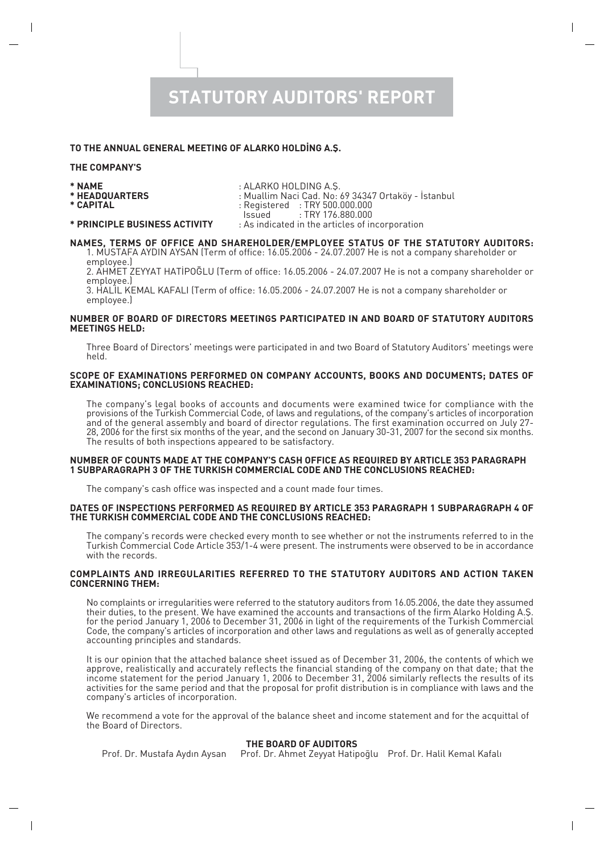# **STATUTORY AUDITORS' REPORT**

# TO THE ANNUAL GENERAL MEETING OF ALARKO HOLDING A.S.

## **THE COMPANY'S**

- 
- 
- **\* NAME** : ALARKO HOLDING A.fi.
- **\* HEADQUARTERS** : Muallim Naci Cad. No: 69 34347 Ortaköy ‹stanbul
	- Registered : TRY 500.000.000<br>Issued : TRY 176.880.000
	- $:$  TRY 176.880.000

# **\* PRINCIPLE BUSINESS ACTIVITY** : As indicated in the articles of incorporation

# **NAMES, TERMS OF OFFICE AND SHAREHOLDER/EMPLOYEE STATUS OF THE STATUTORY AUDITORS:**

1. MUSTAFA AYDIN AYSAN (Term of office: 16.05.2006 - 24.07.2007 He is not a company shareholder or employee.)

2. AHMET ZEYYAT HAT‹PO⁄LU (Term of office: 16.05.2006 - 24.07.2007 He is not a company shareholder or employee.)

3. HAL‹L KEMAL KAFALI (Term of office: 16.05.2006 - 24.07.2007 He is not a company shareholder or employee.)

## **NUMBER OF BOARD OF DIRECTORS MEETINGS PARTICIPATED IN AND BOARD OF STATUTORY AUDITORS MEETINGS HELD:**

Three Board of Directors' meetings were participated in and two Board of Statutory Auditors' meetings were held.

## **SCOPE OF EXAMINATIONS PERFORMED ON COMPANY ACCOUNTS, BOOKS AND DOCUMENTS; DATES OF EXAMINATIONS; CONCLUSIONS REACHED:**

The company's legal books of accounts and documents were examined twice for compliance with the provisions of the Turkish Commercial Code, of laws and regulations, of the company's articles of incorporation and of the general assembly and board of director regulations. The first examination occurred on July 27- 28, 2006 for the first six months of the year, and the second on January 30-31, 2007 for the second six months. The results of both inspections appeared to be satisfactory.

## **NUMBER OF COUNTS MADE AT THE COMPANY'S CASH OFFICE AS REQUIRED BY ARTICLE 353 PARAGRAPH 1 SUBPARAGRAPH 3 OF THE TURKISH COMMERCIAL CODE AND THE CONCLUSIONS REACHED:**

The company's cash office was inspected and a count made four times.

## **DATES OF INSPECTIONS PERFORMED AS REQUIRED BY ARTICLE 353 PARAGRAPH 1 SUBPARAGRAPH 4 OF THE TURKISH COMMERCIAL CODE AND THE CONCLUSIONS REACHED:**

The company's records were checked every month to see whether or not the instruments referred to in the Turkish Commercial Code Article 353/1-4 were present. The instruments were observed to be in accordance with the records.

# **COMPLAINTS AND IRREGULARITIES REFERRED TO THE STATUTORY AUDITORS AND ACTION TAKEN CONCERNING THEM:**

No complaints or irregularities were referred to the statutory auditors from 16.05.2006, the date they assumed their duties, to the present. We have examined the accounts and transactions of the firm Alarko Holding A.fi. for the period January 1, 2006 to December 31, 2006 in light of the requirements of the Turkish Commercial Code, the company's articles of incorporation and other laws and regulations as well as of generally accepted accounting principles and standards.

It is our opinion that the attached balance sheet issued as of December 31, 2006, the contents of which we approve, realistically and accurately reflects the financial standing of the company on that date; that the income statement for the period January 1, 2006 to December 31, 2006 similarly reflects the results of its activities for the same period and that the proposal for profit distribution is in compliance with laws and the company's articles of incorporation.

We recommend a vote for the approval of the balance sheet and income statement and for the acquittal of the Board of Directors.

# **THE BOARD OF AUDITORS**

Prof. Dr. Mustafa Aydın Aysan Prof. Dr. Ahmet Zeyyat Hatipoqlu Prof. Dr. Halil Kemal Kafalı